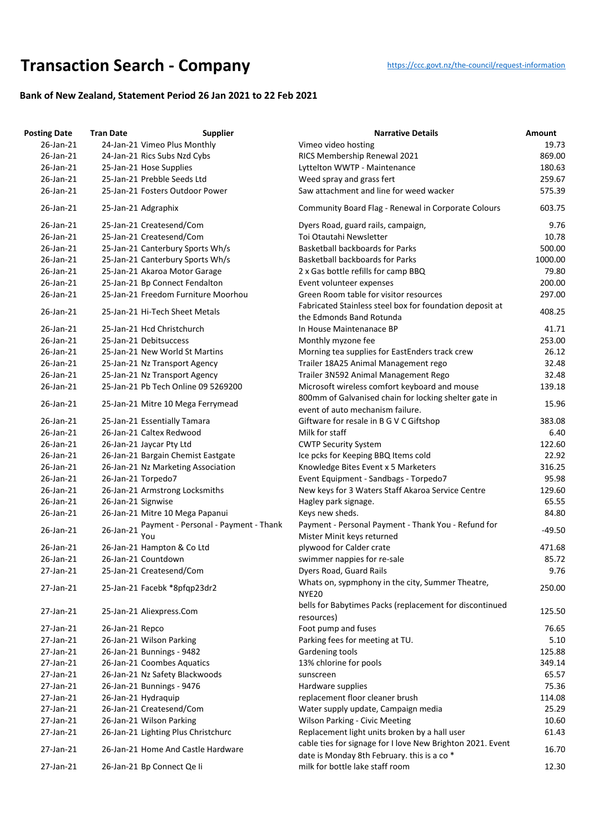## **Transaction Searc[h](https://ccc.govt.nz/the-council/request-information) - Company** https://ccc.govt.nz/the-council/request-information

## **Bank of New Zealand, Statement Period 26 Jan 2021 to 22 Feb 2021**

| <b>Posting Date</b> | <b>Tran Date</b>             | <b>Supplier</b>                      | <b>Narrative Details</b>                                                                                  | Amount   |
|---------------------|------------------------------|--------------------------------------|-----------------------------------------------------------------------------------------------------------|----------|
| 26-Jan-21           |                              | 24-Jan-21 Vimeo Plus Monthly         | Vimeo video hosting                                                                                       | 19.73    |
| 26-Jan-21           | 24-Jan-21 Rics Subs Nzd Cybs |                                      | RICS Membership Renewal 2021                                                                              | 869.00   |
| 26-Jan-21           | 25-Jan-21 Hose Supplies      |                                      | Lyttelton WWTP - Maintenance                                                                              | 180.63   |
| 26-Jan-21           | 25-Jan-21 Prebble Seeds Ltd  |                                      | Weed spray and grass fert                                                                                 | 259.67   |
| 26-Jan-21           |                              | 25-Jan-21 Fosters Outdoor Power      | Saw attachment and line for weed wacker                                                                   | 575.39   |
| 26-Jan-21           | 25-Jan-21 Adgraphix          |                                      | Community Board Flag - Renewal in Corporate Colours                                                       | 603.75   |
| 26-Jan-21           | 25-Jan-21 Createsend/Com     |                                      | Dyers Road, guard rails, campaign,                                                                        | 9.76     |
| 26-Jan-21           | 25-Jan-21 Createsend/Com     |                                      | Toi Otautahi Newsletter                                                                                   | 10.78    |
| 26-Jan-21           |                              | 25-Jan-21 Canterbury Sports Wh/s     | <b>Basketball backboards for Parks</b>                                                                    | 500.00   |
| 26-Jan-21           |                              | 25-Jan-21 Canterbury Sports Wh/s     | <b>Basketball backboards for Parks</b>                                                                    | 1000.00  |
| 26-Jan-21           |                              | 25-Jan-21 Akaroa Motor Garage        | 2 x Gas bottle refills for camp BBQ                                                                       | 79.80    |
| 26-Jan-21           |                              | 25-Jan-21 Bp Connect Fendalton       | Event volunteer expenses                                                                                  | 200.00   |
| 26-Jan-21           |                              | 25-Jan-21 Freedom Furniture Moorhou  | Green Room table for visitor resources                                                                    | 297.00   |
| 26-Jan-21           |                              | 25-Jan-21 Hi-Tech Sheet Metals       | Fabricated Stainless steel box for foundation deposit at<br>the Edmonds Band Rotunda                      | 408.25   |
| 26-Jan-21           | 25-Jan-21 Hcd Christchurch   |                                      | In House Maintenanace BP                                                                                  | 41.71    |
| 26-Jan-21           | 25-Jan-21 Debitsuccess       |                                      | Monthly myzone fee                                                                                        | 253.00   |
| 26-Jan-21           |                              | 25-Jan-21 New World St Martins       | Morning tea supplies for EastEnders track crew                                                            | 26.12    |
| 26-Jan-21           |                              | 25-Jan-21 Nz Transport Agency        | Trailer 18A25 Animal Management rego                                                                      | 32.48    |
| 26-Jan-21           |                              | 25-Jan-21 Nz Transport Agency        | Trailer 3N592 Animal Management Rego                                                                      | 32.48    |
| 26-Jan-21           |                              | 25-Jan-21 Pb Tech Online 09 5269200  | Microsoft wireless comfort keyboard and mouse                                                             | 139.18   |
| 26-Jan-21           |                              | 25-Jan-21 Mitre 10 Mega Ferrymead    | 800mm of Galvanised chain for locking shelter gate in<br>event of auto mechanism failure.                 | 15.96    |
| 26-Jan-21           | 25-Jan-21 Essentially Tamara |                                      | Giftware for resale in B G V C Giftshop                                                                   | 383.08   |
| 26-Jan-21           | 26-Jan-21 Caltex Redwood     |                                      | Milk for staff                                                                                            | 6.40     |
| 26-Jan-21           | 26-Jan-21 Jaycar Pty Ltd     |                                      | <b>CWTP Security System</b>                                                                               | 122.60   |
| 26-Jan-21           |                              | 26-Jan-21 Bargain Chemist Eastgate   | Ice pcks for Keeping BBQ Items cold                                                                       | 22.92    |
| 26-Jan-21           |                              | 26-Jan-21 Nz Marketing Association   | Knowledge Bites Event x 5 Marketers                                                                       | 316.25   |
| 26-Jan-21           | 26-Jan-21 Torpedo7           |                                      | Event Equipment - Sandbags - Torpedo7                                                                     | 95.98    |
| 26-Jan-21           |                              | 26-Jan-21 Armstrong Locksmiths       | New keys for 3 Waters Staff Akaroa Service Centre                                                         | 129.60   |
| 26-Jan-21           | 26-Jan-21 Signwise           |                                      | Hagley park signage.                                                                                      | 65.55    |
| 26-Jan-21           |                              | 26-Jan-21 Mitre 10 Mega Papanui      | Keys new sheds.                                                                                           | 84.80    |
|                     |                              | Payment - Personal - Payment - Thank | Payment - Personal Payment - Thank You - Refund for                                                       |          |
| 26-Jan-21           | 26-Jan-21<br>You             |                                      | Mister Minit keys returned                                                                                | $-49.50$ |
| 26-Jan-21           | 26-Jan-21 Hampton & Co Ltd   |                                      | plywood for Calder crate                                                                                  | 471.68   |
| 26-Jan-21           | 26-Jan-21 Countdown          |                                      | swimmer nappies for re-sale                                                                               | 85.72    |
| 27-Jan-21           | 25-Jan-21 Createsend/Com     |                                      | Dyers Road, Guard Rails                                                                                   | 9.76     |
|                     |                              |                                      | Whats on, sypmphony in the city, Summer Theatre,                                                          |          |
| 27-Jan-21           |                              | 25-Jan-21 Facebk *8pfqp23dr2         | <b>NYE20</b>                                                                                              | 250.00   |
| 27-Jan-21           | 25-Jan-21 Aliexpress.Com     |                                      | bells for Babytimes Packs (replacement for discontinued<br>resources)                                     | 125.50   |
| 27-Jan-21           | 26-Jan-21 Repco              |                                      | Foot pump and fuses                                                                                       | 76.65    |
| 27-Jan-21           | 26-Jan-21 Wilson Parking     |                                      | Parking fees for meeting at TU.                                                                           | 5.10     |
| 27-Jan-21           | 26-Jan-21 Bunnings - 9482    |                                      | Gardening tools                                                                                           | 125.88   |
| 27-Jan-21           | 26-Jan-21 Coombes Aquatics   |                                      | 13% chlorine for pools                                                                                    | 349.14   |
| 27-Jan-21           |                              | 26-Jan-21 Nz Safety Blackwoods       | sunscreen                                                                                                 | 65.57    |
| 27-Jan-21           | 26-Jan-21 Bunnings - 9476    |                                      | Hardware supplies                                                                                         | 75.36    |
| 27-Jan-21           | 26-Jan-21 Hydraquip          |                                      | replacement floor cleaner brush                                                                           | 114.08   |
| 27-Jan-21           | 26-Jan-21 Createsend/Com     |                                      | Water supply update, Campaign media                                                                       | 25.29    |
| 27-Jan-21           | 26-Jan-21 Wilson Parking     |                                      | <b>Wilson Parking - Civic Meeting</b>                                                                     | 10.60    |
| 27-Jan-21           |                              | 26-Jan-21 Lighting Plus Christchurc  | Replacement light units broken by a hall user                                                             | 61.43    |
| 27-Jan-21           |                              | 26-Jan-21 Home And Castle Hardware   | cable ties for signage for I love New Brighton 2021. Event<br>date is Monday 8th February. this is a co * | 16.70    |
| 27-Jan-21           | 26-Jan-21 Bp Connect Qe li   |                                      | milk for bottle lake staff room                                                                           | 12.30    |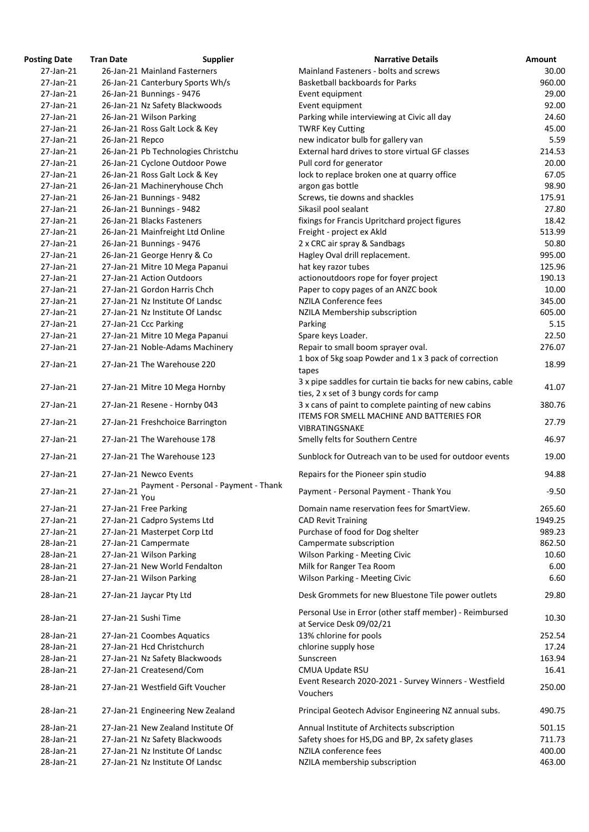| <b>Posting Date</b> | <b>Tran Date</b> | <b>Supplier</b>                             | <b>Narrative Details</b>                                                                        | Amount  |
|---------------------|------------------|---------------------------------------------|-------------------------------------------------------------------------------------------------|---------|
| 27-Jan-21           |                  | 26-Jan-21 Mainland Fasterners               | Mainland Fasteners - bolts and screws                                                           | 30.00   |
| 27-Jan-21           |                  | 26-Jan-21 Canterbury Sports Wh/s            | <b>Basketball backboards for Parks</b>                                                          | 960.00  |
| 27-Jan-21           |                  | 26-Jan-21 Bunnings - 9476                   | Event equipment                                                                                 | 29.00   |
| 27-Jan-21           |                  | 26-Jan-21 Nz Safety Blackwoods              | Event equipment                                                                                 | 92.00   |
| 27-Jan-21           |                  | 26-Jan-21 Wilson Parking                    | Parking while interviewing at Civic all day                                                     | 24.60   |
| 27-Jan-21           |                  | 26-Jan-21 Ross Galt Lock & Key              | <b>TWRF Key Cutting</b>                                                                         | 45.00   |
| 27-Jan-21           | 26-Jan-21 Repco  |                                             | new indicator bulb for gallery van                                                              | 5.59    |
| 27-Jan-21           |                  | 26-Jan-21 Pb Technologies Christchu         | External hard drives to store virtual GF classes                                                | 214.53  |
| 27-Jan-21           |                  | 26-Jan-21 Cyclone Outdoor Powe              | Pull cord for generator                                                                         | 20.00   |
| 27-Jan-21           |                  | 26-Jan-21 Ross Galt Lock & Key              | lock to replace broken one at quarry office                                                     | 67.05   |
| 27-Jan-21           |                  | 26-Jan-21 Machineryhouse Chch               | argon gas bottle                                                                                | 98.90   |
| 27-Jan-21           |                  | 26-Jan-21 Bunnings - 9482                   | Screws, tie downs and shackles                                                                  | 175.91  |
| 27-Jan-21           |                  | 26-Jan-21 Bunnings - 9482                   | Sikasil pool sealant                                                                            | 27.80   |
| 27-Jan-21           |                  | 26-Jan-21 Blacks Fasteners                  | fixings for Francis Upritchard project figures                                                  | 18.42   |
| 27-Jan-21           |                  | 26-Jan-21 Mainfreight Ltd Online            | Freight - project ex Akld                                                                       | 513.99  |
| 27-Jan-21           |                  | 26-Jan-21 Bunnings - 9476                   | 2 x CRC air spray & Sandbags                                                                    | 50.80   |
| 27-Jan-21           |                  | 26-Jan-21 George Henry & Co                 | Hagley Oval drill replacement.                                                                  | 995.00  |
| 27-Jan-21           |                  | 27-Jan-21 Mitre 10 Mega Papanui             | hat key razor tubes                                                                             | 125.96  |
| 27-Jan-21           |                  | 27-Jan-21 Action Outdoors                   | actionoutdoors rope for foyer project                                                           | 190.13  |
| 27-Jan-21           |                  | 27-Jan-21 Gordon Harris Chch                | Paper to copy pages of an ANZC book                                                             | 10.00   |
| 27-Jan-21           |                  | 27-Jan-21 Nz Institute Of Landsc            | <b>NZILA Conference fees</b>                                                                    | 345.00  |
| 27-Jan-21           |                  | 27-Jan-21 Nz Institute Of Landsc            | NZILA Membership subscription                                                                   | 605.00  |
| 27-Jan-21           |                  | 27-Jan-21 Ccc Parking                       | Parking                                                                                         | 5.15    |
| 27-Jan-21           |                  | 27-Jan-21 Mitre 10 Mega Papanui             | Spare keys Loader.                                                                              | 22.50   |
| 27-Jan-21           |                  | 27-Jan-21 Noble-Adams Machinery             | Repair to small boom sprayer oval.                                                              | 276.07  |
|                     |                  |                                             | 1 box of 5kg soap Powder and 1 x 3 pack of correction                                           |         |
| 27-Jan-21           |                  | 27-Jan-21 The Warehouse 220                 | tapes<br>3 x pipe saddles for curtain tie backs for new cabins, cable                           | 18.99   |
| 27-Jan-21           |                  | 27-Jan-21 Mitre 10 Mega Hornby              |                                                                                                 | 41.07   |
| 27-Jan-21           |                  |                                             | ties, 2 x set of 3 bungy cords for camp<br>3 x cans of paint to complete painting of new cabins | 380.76  |
|                     |                  | 27-Jan-21 Resene - Hornby 043               | ITEMS FOR SMELL MACHINE AND BATTERIES FOR                                                       |         |
| 27-Jan-21           |                  | 27-Jan-21 Freshchoice Barrington            | VIBRATINGSNAKE                                                                                  | 27.79   |
| 27-Jan-21           |                  | 27-Jan-21 The Warehouse 178                 | Smelly felts for Southern Centre                                                                | 46.97   |
| 27-Jan-21           |                  | 27-Jan-21 The Warehouse 123                 | Sunblock for Outreach van to be used for outdoor events                                         | 19.00   |
| 27-Jan-21           |                  | 27-Jan-21 Newco Events                      | Repairs for the Pioneer spin studio                                                             | 94.88   |
| 27-Jan-21           | 27-Jan-21        | Payment - Personal - Payment - Thank<br>You | Payment - Personal Payment - Thank You                                                          | $-9.50$ |
| 27-Jan-21           |                  | 27-Jan-21 Free Parking                      | Domain name reservation fees for SmartView.                                                     | 265.60  |
| 27-Jan-21           |                  | 27-Jan-21 Cadpro Systems Ltd                | <b>CAD Revit Training</b>                                                                       | 1949.25 |
| 27-Jan-21           |                  | 27-Jan-21 Masterpet Corp Ltd                | Purchase of food for Dog shelter                                                                | 989.23  |
| 28-Jan-21           |                  | 27-Jan-21 Campermate                        | Campermate subscription                                                                         | 862.50  |
| 28-Jan-21           |                  | 27-Jan-21 Wilson Parking                    | <b>Wilson Parking - Meeting Civic</b>                                                           | 10.60   |
| 28-Jan-21           |                  | 27-Jan-21 New World Fendalton               | Milk for Ranger Tea Room                                                                        | 6.00    |
| 28-Jan-21           |                  | 27-Jan-21 Wilson Parking                    | <b>Wilson Parking - Meeting Civic</b>                                                           | 6.60    |
| 28-Jan-21           |                  | 27-Jan-21 Jaycar Pty Ltd                    | Desk Grommets for new Bluestone Tile power outlets                                              | 29.80   |
| 28-Jan-21           |                  | 27-Jan-21 Sushi Time                        | Personal Use in Error (other staff member) - Reimbursed<br>at Service Desk 09/02/21             | 10.30   |
| 28-Jan-21           |                  | 27-Jan-21 Coombes Aquatics                  | 13% chlorine for pools                                                                          | 252.54  |
| 28-Jan-21           |                  | 27-Jan-21 Hcd Christchurch                  | chlorine supply hose                                                                            | 17.24   |
| 28-Jan-21           |                  | 27-Jan-21 Nz Safety Blackwoods              | Sunscreen                                                                                       | 163.94  |
| 28-Jan-21           |                  | 27-Jan-21 Createsend/Com                    | <b>CMUA Update RSU</b>                                                                          | 16.41   |
|                     |                  |                                             | Event Research 2020-2021 - Survey Winners - Westfield                                           |         |
| 28-Jan-21           |                  | 27-Jan-21 Westfield Gift Voucher            | Vouchers                                                                                        | 250.00  |
| 28-Jan-21           |                  | 27-Jan-21 Engineering New Zealand           | Principal Geotech Advisor Engineering NZ annual subs.                                           | 490.75  |
| 28-Jan-21           |                  | 27-Jan-21 New Zealand Institute Of          | Annual Institute of Architects subscription                                                     | 501.15  |
| 28-Jan-21           |                  | 27-Jan-21 Nz Safety Blackwoods              | Safety shoes for HS, DG and BP, 2x safety glases                                                | 711.73  |
| 28-Jan-21           |                  | 27-Jan-21 Nz Institute Of Landsc            | NZILA conference fees                                                                           | 400.00  |
| 28-Jan-21           |                  | 27-Jan-21 Nz Institute Of Landsc            | NZILA membership subscription                                                                   | 463.00  |
|                     |                  |                                             |                                                                                                 |         |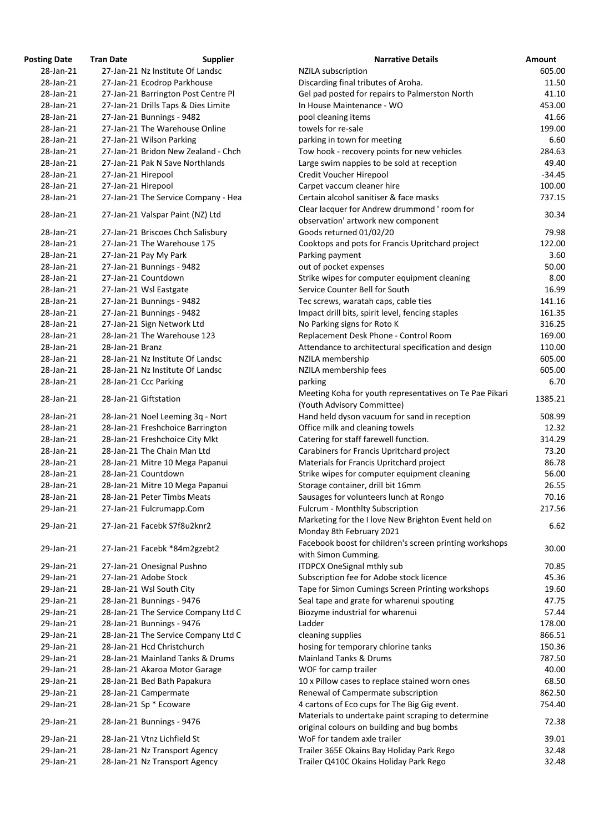| osting Date | <b>Tran Date</b>      | <b>Supplier</b>                     | <b>Narrative Details</b>                                                                         |
|-------------|-----------------------|-------------------------------------|--------------------------------------------------------------------------------------------------|
| 28-Jan-21   |                       | 27-Jan-21 Nz Institute Of Landsc    | <b>NZILA</b> subscription                                                                        |
| 28-Jan-21   |                       | 27-Jan-21 Ecodrop Parkhouse         | Discarding final tributes of Aroha.                                                              |
| 28-Jan-21   |                       | 27-Jan-21 Barrington Post Centre Pl | Gel pad posted for repairs to Palmerston North                                                   |
| 28-Jan-21   |                       | 27-Jan-21 Drills Taps & Dies Limite | In House Maintenance - WO                                                                        |
| 28-Jan-21   |                       | 27-Jan-21 Bunnings - 9482           | pool cleaning items                                                                              |
| 28-Jan-21   |                       | 27-Jan-21 The Warehouse Online      | towels for re-sale                                                                               |
| 28-Jan-21   |                       | 27-Jan-21 Wilson Parking            | parking in town for meeting                                                                      |
| 28-Jan-21   |                       | 27-Jan-21 Bridon New Zealand - Chch | Tow hook - recovery points for new vehicles                                                      |
| 28-Jan-21   |                       | 27-Jan-21 Pak N Save Northlands     | Large swim nappies to be sold at reception                                                       |
| 28-Jan-21   | 27-Jan-21 Hirepool    |                                     | Credit Voucher Hirepool                                                                          |
| 28-Jan-21   | 27-Jan-21 Hirepool    |                                     | Carpet vaccum cleaner hire                                                                       |
| 28-Jan-21   |                       | 27-Jan-21 The Service Company - Hea | Certain alcohol sanitiser & face masks                                                           |
| 28-Jan-21   |                       | 27-Jan-21 Valspar Paint (NZ) Ltd    | Clear lacquer for Andrew drummond ' room for<br>observation' artwork new component               |
| 28-Jan-21   |                       | 27-Jan-21 Briscoes Chch Salisbury   | Goods returned 01/02/20                                                                          |
| 28-Jan-21   |                       | 27-Jan-21 The Warehouse 175         | Cooktops and pots for Francis Upritchard project                                                 |
| 28-Jan-21   | 27-Jan-21 Pay My Park |                                     | Parking payment                                                                                  |
| 28-Jan-21   |                       | 27-Jan-21 Bunnings - 9482           | out of pocket expenses                                                                           |
| 28-Jan-21   | 27-Jan-21 Countdown   |                                     | Strike wipes for computer equipment cleaning                                                     |
| 28-Jan-21   |                       | 27-Jan-21 Wsl Eastgate              | Service Counter Bell for South                                                                   |
| 28-Jan-21   |                       | 27-Jan-21 Bunnings - 9482           | Tec screws, waratah caps, cable ties                                                             |
| 28-Jan-21   |                       | 27-Jan-21 Bunnings - 9482           | Impact drill bits, spirit level, fencing staples                                                 |
| 28-Jan-21   |                       | 27-Jan-21 Sign Network Ltd          | No Parking signs for Roto K                                                                      |
| 28-Jan-21   |                       | 28-Jan-21 The Warehouse 123         | Replacement Desk Phone - Control Room                                                            |
| 28-Jan-21   | 28-Jan-21 Branz       |                                     | Attendance to architectural specification and design                                             |
| 28-Jan-21   |                       | 28-Jan-21 Nz Institute Of Landsc    | NZILA membership                                                                                 |
| 28-Jan-21   |                       | 28-Jan-21 Nz Institute Of Landsc    | NZILA membership fees                                                                            |
| 28-Jan-21   | 28-Jan-21 Ccc Parking |                                     | parking                                                                                          |
| 28-Jan-21   | 28-Jan-21 Giftstation |                                     | Meeting Koha for youth representatives on Te Pae Pi<br>(Youth Advisory Committee)                |
| 28-Jan-21   |                       | 28-Jan-21 Noel Leeming 3q - Nort    | Hand held dyson vacuum for sand in reception                                                     |
| 28-Jan-21   |                       | 28-Jan-21 Freshchoice Barrington    | Office milk and cleaning towels                                                                  |
| 28-Jan-21   |                       | 28-Jan-21 Freshchoice City Mkt      | Catering for staff farewell function.                                                            |
| 28-Jan-21   |                       | 28-Jan-21 The Chain Man Ltd         | Carabiners for Francis Upritchard project                                                        |
| 28-Jan-21   |                       | 28-Jan-21 Mitre 10 Mega Papanui     | Materials for Francis Upritchard project                                                         |
| 28-Jan-21   | 28-Jan-21 Countdown   |                                     | Strike wipes for computer equipment cleaning                                                     |
| 28-Jan-21   |                       | 28-Jan-21 Mitre 10 Mega Papanui     | Storage container, drill bit 16mm                                                                |
| 28-Jan-21   |                       | 28-Jan-21 Peter Timbs Meats         | Sausages for volunteers lunch at Rongo                                                           |
| 29-Jan-21   |                       | 27-Jan-21 Fulcrumapp.Com            | <b>Fulcrum - Monthlty Subscription</b>                                                           |
|             |                       |                                     | Marketing for the I love New Brighton Event held on                                              |
| 29-Jan-21   |                       | 27-Jan-21 Facebk S7f8u2knr2         | Monday 8th February 2021                                                                         |
|             |                       |                                     | Facebook boost for children's screen printing worksh                                             |
| 29-Jan-21   |                       | 27-Jan-21 Facebk *84m2gzebt2        | with Simon Cumming.                                                                              |
| 29-Jan-21   |                       | 27-Jan-21 Onesignal Pushno          | <b>ITDPCX OneSignal mthly sub</b>                                                                |
| 29-Jan-21   |                       | 27-Jan-21 Adobe Stock               | Subscription fee for Adobe stock licence                                                         |
| 29-Jan-21   |                       | 28-Jan-21 Wsl South City            | Tape for Simon Cumings Screen Printing workshops                                                 |
| 29-Jan-21   |                       | 28-Jan-21 Bunnings - 9476           | Seal tape and grate for wharenui spouting                                                        |
| 29-Jan-21   |                       | 28-Jan-21 The Service Company Ltd C | Biozyme industrial for wharenui                                                                  |
| 29-Jan-21   |                       | 28-Jan-21 Bunnings - 9476           | Ladder                                                                                           |
| 29-Jan-21   |                       | 28-Jan-21 The Service Company Ltd C | cleaning supplies                                                                                |
| 29-Jan-21   |                       | 28-Jan-21 Hcd Christchurch          | hosing for temporary chlorine tanks                                                              |
| 29-Jan-21   |                       | 28-Jan-21 Mainland Tanks & Drums    | <b>Mainland Tanks &amp; Drums</b>                                                                |
| 29-Jan-21   |                       | 28-Jan-21 Akaroa Motor Garage       | WOF for camp trailer                                                                             |
| 29-Jan-21   |                       | 28-Jan-21 Bed Bath Papakura         | 10 x Pillow cases to replace stained worn ones                                                   |
| 29-Jan-21   |                       | 28-Jan-21 Campermate                | Renewal of Campermate subscription                                                               |
| 29-Jan-21   |                       | 28-Jan-21 Sp * Ecoware              | 4 cartons of Eco cups for The Big Gig event.                                                     |
| 29-Jan-21   |                       | 28-Jan-21 Bunnings - 9476           | Materials to undertake paint scraping to determine<br>original colours on building and bug bombs |
| 29-Jan-21   |                       | 28-Jan-21 Vtnz Lichfield St         | WoF for tandem axle trailer                                                                      |
| 29-Jan-21   |                       | 28-Jan-21 Nz Transport Agency       | Trailer 365E Okains Bay Holiday Park Rego                                                        |
| 29-Jan-21   |                       | 28-Jan-21 Nz Transport Agency       | Trailer Q410C Okains Holiday Park Rego                                                           |
|             |                       |                                     |                                                                                                  |

| <b>Posting Date</b> | <b>Tran Date</b>   | <b>Supplier</b>                     | <b>Narrative Details</b>                                                                         | Amount   |
|---------------------|--------------------|-------------------------------------|--------------------------------------------------------------------------------------------------|----------|
| 28-Jan-21           |                    | 27-Jan-21 Nz Institute Of Landsc    | <b>NZILA</b> subscription                                                                        | 605.00   |
| 28-Jan-21           |                    | 27-Jan-21 Ecodrop Parkhouse         | Discarding final tributes of Aroha.                                                              | 11.50    |
| 28-Jan-21           |                    | 27-Jan-21 Barrington Post Centre Pl | Gel pad posted for repairs to Palmerston North                                                   | 41.10    |
| 28-Jan-21           |                    | 27-Jan-21 Drills Taps & Dies Limite | In House Maintenance - WO                                                                        | 453.00   |
| 28-Jan-21           |                    | 27-Jan-21 Bunnings - 9482           | pool cleaning items                                                                              | 41.66    |
| 28-Jan-21           |                    | 27-Jan-21 The Warehouse Online      | towels for re-sale                                                                               | 199.00   |
| 28-Jan-21           |                    | 27-Jan-21 Wilson Parking            | parking in town for meeting                                                                      | 6.60     |
| 28-Jan-21           |                    | 27-Jan-21 Bridon New Zealand - Chch | Tow hook - recovery points for new vehicles                                                      | 284.63   |
| 28-Jan-21           |                    | 27-Jan-21 Pak N Save Northlands     | Large swim nappies to be sold at reception                                                       | 49.40    |
| 28-Jan-21           | 27-Jan-21 Hirepool |                                     | Credit Voucher Hirepool                                                                          | $-34.45$ |
| 28-Jan-21           | 27-Jan-21 Hirepool |                                     | Carpet vaccum cleaner hire                                                                       | 100.00   |
| 28-Jan-21           |                    | 27-Jan-21 The Service Company - Hea | Certain alcohol sanitiser & face masks                                                           | 737.15   |
| 28-Jan-21           |                    | 27-Jan-21 Valspar Paint (NZ) Ltd    | Clear lacquer for Andrew drummond ' room for<br>observation' artwork new component               | 30.34    |
| 28-Jan-21           |                    | 27-Jan-21 Briscoes Chch Salisbury   | Goods returned 01/02/20                                                                          | 79.98    |
| 28-Jan-21           |                    | 27-Jan-21 The Warehouse 175         | Cooktops and pots for Francis Upritchard project                                                 | 122.00   |
| 28-Jan-21           |                    | 27-Jan-21 Pay My Park               | Parking payment                                                                                  | 3.60     |
| 28-Jan-21           |                    | 27-Jan-21 Bunnings - 9482           | out of pocket expenses                                                                           | 50.00    |
| 28-Jan-21           |                    | 27-Jan-21 Countdown                 | Strike wipes for computer equipment cleaning                                                     | 8.00     |
| 28-Jan-21           |                    | 27-Jan-21 Wsl Eastgate              | Service Counter Bell for South                                                                   | 16.99    |
| 28-Jan-21           |                    | 27-Jan-21 Bunnings - 9482           | Tec screws, waratah caps, cable ties                                                             | 141.16   |
| 28-Jan-21           |                    | 27-Jan-21 Bunnings - 9482           | Impact drill bits, spirit level, fencing staples                                                 | 161.35   |
| 28-Jan-21           |                    | 27-Jan-21 Sign Network Ltd          | No Parking signs for Roto K                                                                      | 316.25   |
| 28-Jan-21           |                    | 28-Jan-21 The Warehouse 123         | Replacement Desk Phone - Control Room                                                            | 169.00   |
| 28-Jan-21           | 28-Jan-21 Branz    |                                     | Attendance to architectural specification and design                                             | 110.00   |
| 28-Jan-21           |                    | 28-Jan-21 Nz Institute Of Landsc    | NZILA membership                                                                                 | 605.00   |
| 28-Jan-21           |                    | 28-Jan-21 Nz Institute Of Landsc    | NZILA membership fees                                                                            | 605.00   |
| 28-Jan-21           |                    | 28-Jan-21 Ccc Parking               | parking                                                                                          | 6.70     |
| 28-Jan-21           |                    | 28-Jan-21 Giftstation               | Meeting Koha for youth representatives on Te Pae Pikari<br>(Youth Advisory Committee)            | 1385.21  |
| 28-Jan-21           |                    | 28-Jan-21 Noel Leeming 3q - Nort    | Hand held dyson vacuum for sand in reception                                                     | 508.99   |
| 28-Jan-21           |                    | 28-Jan-21 Freshchoice Barrington    | Office milk and cleaning towels                                                                  | 12.32    |
| 28-Jan-21           |                    | 28-Jan-21 Freshchoice City Mkt      | Catering for staff farewell function.                                                            | 314.29   |
| 28-Jan-21           |                    | 28-Jan-21 The Chain Man Ltd         | Carabiners for Francis Upritchard project                                                        | 73.20    |
| 28-Jan-21           |                    | 28-Jan-21 Mitre 10 Mega Papanui     | Materials for Francis Upritchard project                                                         | 86.78    |
| 28-Jan-21           |                    | 28-Jan-21 Countdown                 | Strike wipes for computer equipment cleaning                                                     | 56.00    |
| 28-Jan-21           |                    | 28-Jan-21 Mitre 10 Mega Papanui     | Storage container, drill bit 16mm                                                                | 26.55    |
| 28-Jan-21           |                    | 28-Jan-21 Peter Timbs Meats         | Sausages for volunteers lunch at Rongo                                                           | 70.16    |
| 29-Jan-21           |                    | 27-Jan-21 Fulcrumapp.Com            | Fulcrum - Monthlty Subscription                                                                  | 217.56   |
|                     |                    |                                     | Marketing for the I love New Brighton Event held on                                              |          |
| 29-Jan-21           |                    | 27-Jan-21 Facebk S7f8u2knr2         | Monday 8th February 2021                                                                         | 6.62     |
| 29-Jan-21           |                    | 27-Jan-21 Facebk *84m2gzebt2        | Facebook boost for children's screen printing workshops<br>with Simon Cumming.                   | 30.00    |
| 29-Jan-21           |                    | 27-Jan-21 Onesignal Pushno          | <b>ITDPCX OneSignal mthly sub</b>                                                                | 70.85    |
| 29-Jan-21           |                    | 27-Jan-21 Adobe Stock               | Subscription fee for Adobe stock licence                                                         | 45.36    |
| 29-Jan-21           |                    | 28-Jan-21 Wsl South City            | Tape for Simon Cumings Screen Printing workshops                                                 | 19.60    |
| 29-Jan-21           |                    | 28-Jan-21 Bunnings - 9476           | Seal tape and grate for wharenui spouting                                                        | 47.75    |
| 29-Jan-21           |                    | 28-Jan-21 The Service Company Ltd C | Biozyme industrial for wharenui                                                                  | 57.44    |
| 29-Jan-21           |                    | 28-Jan-21 Bunnings - 9476           | Ladder                                                                                           | 178.00   |
| 29-Jan-21           |                    | 28-Jan-21 The Service Company Ltd C | cleaning supplies                                                                                | 866.51   |
| 29-Jan-21           |                    | 28-Jan-21 Hcd Christchurch          | hosing for temporary chlorine tanks                                                              | 150.36   |
| 29-Jan-21           |                    | 28-Jan-21 Mainland Tanks & Drums    | <b>Mainland Tanks &amp; Drums</b>                                                                | 787.50   |
| 29-Jan-21           |                    | 28-Jan-21 Akaroa Motor Garage       | WOF for camp trailer                                                                             | 40.00    |
| 29-Jan-21           |                    | 28-Jan-21 Bed Bath Papakura         | 10 x Pillow cases to replace stained worn ones                                                   | 68.50    |
| 29-Jan-21           |                    | 28-Jan-21 Campermate                | Renewal of Campermate subscription                                                               | 862.50   |
| 29-Jan-21           |                    | 28-Jan-21 Sp * Ecoware              | 4 cartons of Eco cups for The Big Gig event.                                                     | 754.40   |
| 29-Jan-21           |                    | 28-Jan-21 Bunnings - 9476           | Materials to undertake paint scraping to determine<br>original colours on building and bug bombs | 72.38    |
| 29-Jan-21           |                    | 28-Jan-21 Vtnz Lichfield St         | WoF for tandem axle trailer                                                                      | 39.01    |
| 29-Jan-21           |                    |                                     |                                                                                                  | 32.48    |
|                     |                    | 28-Jan-21 Nz Transport Agency       | Trailer 365E Okains Bay Holiday Park Rego                                                        |          |
| 29-Jan-21           |                    | 28-Jan-21 Nz Transport Agency       | Trailer Q410C Okains Holiday Park Rego                                                           | 32.48    |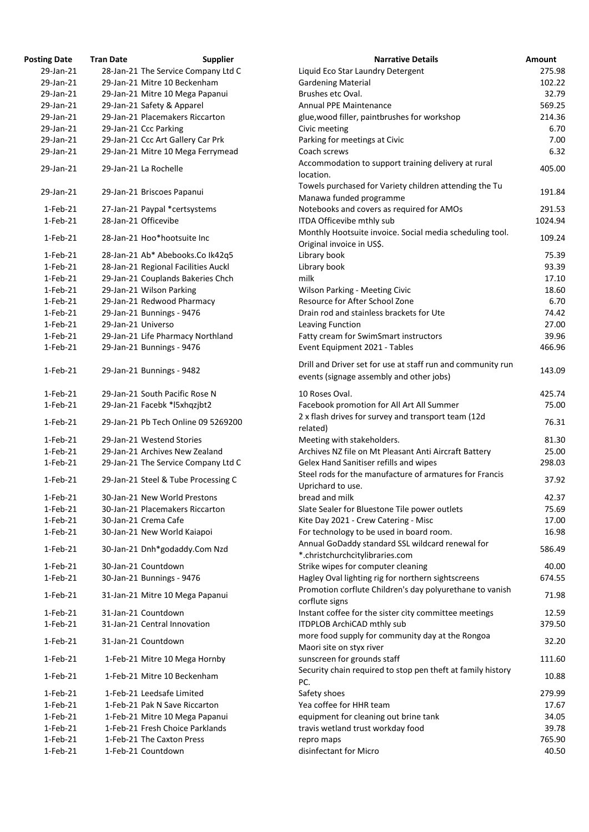| <b>Posting Date</b>       | <b>Tran Date</b>     | <b>Supplier</b>                                     | <b>Narrative Details</b>                                                                                | Amount          |
|---------------------------|----------------------|-----------------------------------------------------|---------------------------------------------------------------------------------------------------------|-----------------|
| 29-Jan-21                 |                      | 28-Jan-21 The Service Company Ltd C                 | Liquid Eco Star Laundry Detergent                                                                       | 275.98          |
| 29-Jan-21                 |                      | 29-Jan-21 Mitre 10 Beckenham                        | <b>Gardening Material</b>                                                                               | 102.22          |
| 29-Jan-21                 |                      | 29-Jan-21 Mitre 10 Mega Papanui                     | Brushes etc Oval.                                                                                       | 32.79           |
| 29-Jan-21                 |                      | 29-Jan-21 Safety & Apparel                          | <b>Annual PPE Maintenance</b>                                                                           | 569.25          |
| 29-Jan-21                 |                      | 29-Jan-21 Placemakers Riccarton                     | glue, wood filler, paintbrushes for workshop                                                            | 214.36          |
| 29-Jan-21                 |                      | 29-Jan-21 Ccc Parking                               | Civic meeting                                                                                           | 6.70            |
| 29-Jan-21                 |                      | 29-Jan-21 Ccc Art Gallery Car Prk                   | Parking for meetings at Civic                                                                           | 7.00            |
| 29-Jan-21                 |                      | 29-Jan-21 Mitre 10 Mega Ferrymead                   | Coach screws                                                                                            | 6.32            |
|                           |                      |                                                     | Accommodation to support training delivery at rural                                                     |                 |
| 29-Jan-21                 |                      | 29-Jan-21 La Rochelle                               | location.                                                                                               | 405.00          |
| 29-Jan-21                 |                      | 29-Jan-21 Briscoes Papanui                          | Towels purchased for Variety children attending the Tu<br>Manawa funded programme                       | 191.84          |
| $1-Feb-21$                |                      | 27-Jan-21 Paypal *certsystems                       | Notebooks and covers as required for AMOs                                                               | 291.53          |
| $1-Feb-21$                | 28-Jan-21 Officevibe |                                                     | ITDA Officevibe mthly sub                                                                               | 1024.94         |
| $1-Feb-21$                |                      | 28-Jan-21 Hoo*hootsuite Inc                         | Monthly Hootsuite invoice. Social media scheduling tool.<br>Original invoice in US\$.                   | 109.24          |
| $1-Feb-21$                |                      | 28-Jan-21 Ab* Abebooks.Co Ik42q5                    | Library book                                                                                            | 75.39           |
| $1-Feb-21$                |                      | 28-Jan-21 Regional Facilities Auckl                 | Library book                                                                                            | 93.39           |
| $1-Feb-21$                |                      | 29-Jan-21 Couplands Bakeries Chch                   | milk                                                                                                    | 17.10           |
| $1$ -Feb-21               |                      | 29-Jan-21 Wilson Parking                            | <b>Wilson Parking - Meeting Civic</b>                                                                   | 18.60           |
| $1-Feb-21$                |                      |                                                     | Resource for After School Zone                                                                          | 6.70            |
|                           |                      | 29-Jan-21 Redwood Pharmacy                          |                                                                                                         |                 |
| $1$ -Feb-21               |                      | 29-Jan-21 Bunnings - 9476                           | Drain rod and stainless brackets for Ute                                                                | 74.42           |
| $1-Feb-21$                | 29-Jan-21 Universo   |                                                     | Leaving Function                                                                                        | 27.00           |
| $1-Feb-21$                |                      | 29-Jan-21 Life Pharmacy Northland                   | Fatty cream for SwimSmart instructors                                                                   | 39.96           |
| $1-Feb-21$                |                      | 29-Jan-21 Bunnings - 9476                           | Event Equipment 2021 - Tables                                                                           | 466.96          |
| $1-Feb-21$                |                      | 29-Jan-21 Bunnings - 9482                           | Drill and Driver set for use at staff run and community run<br>events (signage assembly and other jobs) | 143.09          |
| 1-Feb-21                  |                      | 29-Jan-21 South Pacific Rose N                      | 10 Roses Oval.                                                                                          | 425.74          |
| $1-Feb-21$                |                      | 29-Jan-21 Facebk *I5xhqzjbt2                        | Facebook promotion for All Art All Summer                                                               | 75.00           |
| $1-Feb-21$                |                      | 29-Jan-21 Pb Tech Online 09 5269200                 | 2 x flash drives for survey and transport team (12d<br>related)                                         | 76.31           |
| $1-Feb-21$                |                      | 29-Jan-21 Westend Stories                           | Meeting with stakeholders.                                                                              | 81.30           |
| 1-Feb-21                  |                      | 29-Jan-21 Archives New Zealand                      | Archives NZ file on Mt Pleasant Anti Aircraft Battery                                                   | 25.00           |
|                           |                      |                                                     |                                                                                                         |                 |
| $1-Feb-21$                |                      | 29-Jan-21 The Service Company Ltd C                 | Gelex Hand Sanitiser refills and wipes                                                                  | 298.03          |
| $1-Feb-21$                |                      | 29-Jan-21 Steel & Tube Processing C                 | Steel rods for the manufacture of armatures for Francis<br>Uprichard to use.                            | 37.92           |
| $1-Feb-21$                |                      | 30-Jan-21 New World Prestons                        | bread and milk                                                                                          | 42.37           |
| 1-Feb-21                  |                      | 30-Jan-21 Placemakers Riccarton                     | Slate Sealer for Bluestone Tile power outlets                                                           | 75.69           |
| $1-Feb-21$                |                      | 30-Jan-21 Crema Cafe                                | Kite Day 2021 - Crew Catering - Misc                                                                    | 17.00           |
| $1$ -Feb-21               |                      | 30-Jan-21 New World Kaiapoi                         | For technology to be used in board room.                                                                | 16.98           |
| $1-Feb-21$                |                      | 30-Jan-21 Dnh*godaddy.Com Nzd                       | Annual GoDaddy standard SSL wildcard renewal for<br>*.christchurchcitylibraries.com                     | 586.49          |
| $1-Feb-21$                |                      | 30-Jan-21 Countdown                                 | Strike wipes for computer cleaning                                                                      | 40.00           |
| $1$ -Feb-21               |                      | 30-Jan-21 Bunnings - 9476                           | Hagley Oval lighting rig for northern sightscreens                                                      | 674.55          |
| $1-Feb-21$                |                      | 31-Jan-21 Mitre 10 Mega Papanui                     | Promotion corflute Children's day polyurethane to vanish                                                | 71.98           |
|                           |                      |                                                     | corflute signs                                                                                          |                 |
| $1-Feb-21$                |                      | 31-Jan-21 Countdown                                 | Instant coffee for the sister city committee meetings                                                   | 12.59           |
| $1-Feb-21$<br>$1$ -Feb-21 |                      | 31-Jan-21 Central Innovation<br>31-Jan-21 Countdown | ITDPLOB ArchiCAD mthly sub<br>more food supply for community day at the Rongoa                          | 379.50<br>32.20 |
| $1-Feb-21$                |                      | 1-Feb-21 Mitre 10 Mega Hornby                       | Maori site on styx river<br>sunscreen for grounds staff                                                 | 111.60          |
|                           |                      |                                                     | Security chain required to stop pen theft at family history                                             |                 |
| $1-Feb-21$                |                      | 1-Feb-21 Mitre 10 Beckenham                         | PC.                                                                                                     | 10.88           |
| $1-Feb-21$                |                      | 1-Feb-21 Leedsafe Limited                           | Safety shoes                                                                                            | 279.99          |
| $1$ -Feb-21               |                      | 1-Feb-21 Pak N Save Riccarton                       | Yea coffee for HHR team                                                                                 | 17.67           |
| $1-Feb-21$                |                      | 1-Feb-21 Mitre 10 Mega Papanui                      | equipment for cleaning out brine tank                                                                   | 34.05           |
| $1-Feb-21$                |                      | 1-Feb-21 Fresh Choice Parklands                     | travis wetland trust workday food                                                                       | 39.78           |
| $1-Feb-21$                |                      | 1-Feb-21 The Caxton Press                           | repro maps                                                                                              | 765.90          |
| $1-Feb-21$                |                      | 1-Feb-21 Countdown                                  | disinfectant for Micro                                                                                  | 40.50           |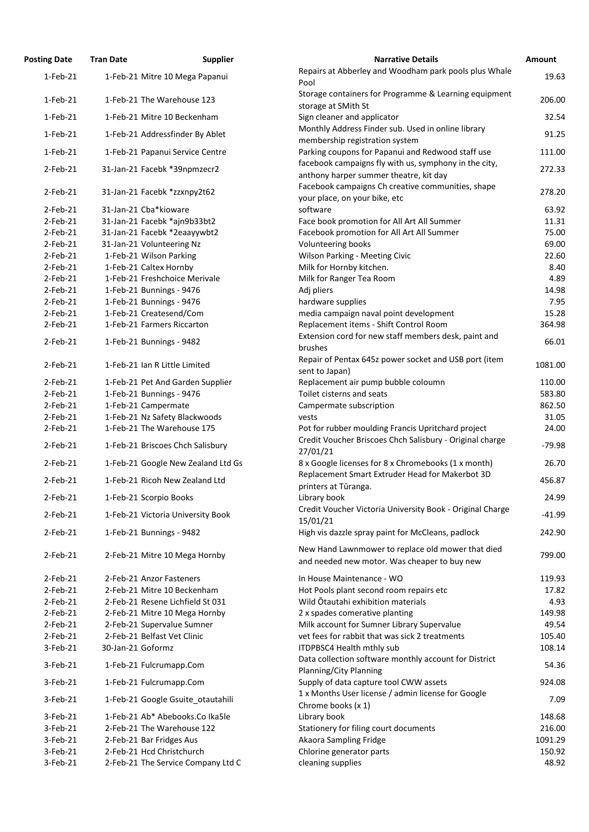| <b>Posting Date</b>        | <b>Tran Date</b>  | <b>Supplier</b>                                                | <b>Narrative Details</b>                                                                                       | Amount            |
|----------------------------|-------------------|----------------------------------------------------------------|----------------------------------------------------------------------------------------------------------------|-------------------|
| $1-Feb-21$                 |                   | 1-Feb-21 Mitre 10 Mega Papanui                                 | Repairs at Abberley and Woodham park pools plus Whale<br>Pool                                                  | 19.63             |
| $1-Feb-21$                 |                   | 1-Feb-21 The Warehouse 123                                     | Storage containers for Programme & Learning equipment<br>storage at SMith St                                   | 206.00            |
| $1-Feb-21$                 |                   | 1-Feb-21 Mitre 10 Beckenham                                    | Sign cleaner and applicator                                                                                    | 32.54             |
| $1-Feb-21$                 |                   | 1-Feb-21 Addressfinder By Ablet                                | Monthly Address Finder sub. Used in online library<br>membership registration system                           | 91.25             |
| $1-Feb-21$                 |                   | 1-Feb-21 Papanui Service Centre                                | Parking coupons for Papanui and Redwood staff use                                                              | 111.00            |
| $2$ -Feb-21                |                   | 31-Jan-21 Facebk *39npmzecr2                                   | facebook campaigns fly with us, symphony in the city,<br>anthony harper summer theatre, kit day                | 272.33            |
| $2$ -Feb-21                |                   | 31-Jan-21 Facebk *zzxnpy2t62                                   | Facebook campaigns Ch creative communities, shape<br>your place, on your bike, etc                             | 278.20            |
| $2$ -Feb-21                |                   | 31-Jan-21 Cba*kioware                                          | software                                                                                                       | 63.92             |
| $2$ -Feb-21                |                   | 31-Jan-21 Facebk *ajn9b33bt2                                   | Face book promotion for All Art All Summer                                                                     | 11.31             |
| $2$ -Feb-21                |                   | 31-Jan-21 Facebk *2eaayywbt2                                   | Facebook promotion for All Art All Summer                                                                      | 75.00             |
| 2-Feb-21                   |                   | 31-Jan-21 Volunteering Nz                                      | Volunteering books                                                                                             | 69.00             |
| $2$ -Feb-21                |                   | 1-Feb-21 Wilson Parking                                        | <b>Wilson Parking - Meeting Civic</b>                                                                          | 22.60             |
| $2$ -Feb-21                |                   | 1-Feb-21 Caltex Hornby                                         | Milk for Hornby kitchen.                                                                                       | 8.40              |
| 2-Feb-21                   |                   | 1-Feb-21 Freshchoice Merivale                                  | Milk for Ranger Tea Room                                                                                       | 4.89              |
| $2$ -Feb-21                |                   | 1-Feb-21 Bunnings - 9476                                       | Adj pliers                                                                                                     | 14.98             |
| $2$ -Feb-21                |                   | 1-Feb-21 Bunnings - 9476                                       | hardware supplies                                                                                              | 7.95              |
| $2$ -Feb-21                |                   | 1-Feb-21 Createsend/Com                                        | media campaign naval point development                                                                         | 15.28             |
| 2-Feb-21                   |                   | 1-Feb-21 Farmers Riccarton                                     | Replacement items - Shift Control Room<br>Extension cord for new staff members desk, paint and                 | 364.98            |
| $2$ -Feb-21                |                   | 1-Feb-21 Bunnings - 9482                                       | brushes                                                                                                        | 66.01             |
| 2-Feb-21                   |                   | 1-Feb-21 Ian R Little Limited                                  | Repair of Pentax 645z power socket and USB port (item<br>sent to Japan)                                        | 1081.00           |
| $2$ -Feb-21                |                   | 1-Feb-21 Pet And Garden Supplier                               | Replacement air pump bubble coloumn                                                                            | 110.00            |
| 2-Feb-21                   |                   | 1-Feb-21 Bunnings - 9476                                       | Toilet cisterns and seats                                                                                      | 583.80            |
| $2$ -Feb-21                |                   | 1-Feb-21 Campermate                                            | Campermate subscription                                                                                        | 862.50            |
| $2$ -Feb-21                |                   | 1-Feb-21 Nz Safety Blackwoods                                  | vests                                                                                                          | 31.05             |
| $2$ -Feb-21<br>$2$ -Feb-21 |                   | 1-Feb-21 The Warehouse 175<br>1-Feb-21 Briscoes Chch Salisbury | Pot for rubber moulding Francis Upritchard project<br>Credit Voucher Briscoes Chch Salisbury - Original charge | 24.00<br>$-79.98$ |
| 2-Feb-21                   |                   | 1-Feb-21 Google New Zealand Ltd Gs                             | 27/01/21<br>8 x Google licenses for 8 x Chromebooks (1 x month)                                                | 26.70             |
|                            |                   | 1-Feb-21 Ricoh New Zealand Ltd                                 | Replacement Smart Extruder Head for Makerbot 3D                                                                |                   |
| 2-Feb-21                   |                   |                                                                | printers at Tūranga.                                                                                           | 456.87            |
| $2$ -Feb-21                |                   | 1-Feb-21 Scorpio Books                                         | Library book                                                                                                   | 24.99             |
| $2$ -Feb-21                |                   | 1-Feb-21 Victoria University Book                              | Credit Voucher Victoria University Book - Original Charge<br>15/01/21                                          | $-41.99$          |
| $2$ -Feb-21                |                   | 1-Feb-21 Bunnings - 9482                                       | High vis dazzle spray paint for McCleans, padlock                                                              | 242.90            |
| $2$ -Feb-21                |                   | 2-Feb-21 Mitre 10 Mega Hornby                                  | New Hand Lawnmower to replace old mower that died<br>and needed new motor. Was cheaper to buy new              | 799.00            |
| $2$ -Feb-21                |                   | 2-Feb-21 Anzor Fasteners                                       | In House Maintenance - WO                                                                                      | 119.93            |
| $2$ -Feb-21                |                   | 2-Feb-21 Mitre 10 Beckenham                                    | Hot Pools plant second room repairs etc                                                                        | 17.82             |
| $2$ -Feb-21                |                   | 2-Feb-21 Resene Lichfield St 031                               | Wild Otautahi exhibition materials                                                                             | 4.93              |
| $2$ -Feb-21                |                   | 2-Feb-21 Mitre 10 Mega Hornby                                  | 2 x spades comerative planting                                                                                 | 149.98            |
| $2$ -Feb-21                |                   | 2-Feb-21 Supervalue Sumner                                     | Milk account for Sumner Library Supervalue                                                                     | 49.54             |
| $2$ -Feb-21                |                   | 2-Feb-21 Belfast Vet Clinic                                    | vet fees for rabbit that was sick 2 treatments                                                                 | 105.40            |
| 3-Feb-21                   | 30-Jan-21 Goformz |                                                                | ITDPBSC4 Health mthly sub                                                                                      | 108.14            |
| 3-Feb-21                   |                   | 1-Feb-21 Fulcrumapp.Com                                        | Data collection software monthly account for District<br>Planning/City Planning                                | 54.36             |
| 3-Feb-21                   |                   | 1-Feb-21 Fulcrumapp.Com                                        | Supply of data capture tool CWW assets                                                                         | 924.08            |
| 3-Feb-21                   |                   | 1-Feb-21 Google Gsuite otautahili                              | 1 x Months User license / admin license for Google<br>Chrome books (x 1)                                       | 7.09              |
| 3-Feb-21                   |                   | 1-Feb-21 Ab* Abebooks.Co Ika5le                                | Library book                                                                                                   | 148.68            |
| 3-Feb-21                   |                   | 2-Feb-21 The Warehouse 122                                     | Stationery for filing court documents                                                                          | 216.00            |
| 3-Feb-21                   |                   | 2-Feb-21 Bar Fridges Aus                                       | Akaora Sampling Fridge                                                                                         | 1091.29           |
| 3-Feb-21                   |                   | 2-Feb-21 Hcd Christchurch                                      | Chlorine generator parts                                                                                       | 150.92            |
| 3-Feb-21                   |                   | 2-Feb-21 The Service Company Ltd C                             | cleaning supplies                                                                                              | 48.92             |

| <b>Narrative Details</b>                                                                                       | <b>Amount</b>     |
|----------------------------------------------------------------------------------------------------------------|-------------------|
| Repairs at Abberley and Woodham park pools plus Whale<br>Pool                                                  | 19.63             |
| Storage containers for Programme & Learning equipment<br>storage at SMith St                                   | 206.00            |
| Sign cleaner and applicator                                                                                    | 32.54             |
| Monthly Address Finder sub. Used in online library                                                             | 91.25             |
| membership registration system                                                                                 |                   |
| Parking coupons for Papanui and Redwood staff use                                                              | 111.00            |
| facebook campaigns fly with us, symphony in the city,<br>anthony harper summer theatre, kit day                | 272.33            |
| Facebook campaigns Ch creative communities, shape                                                              | 278.20            |
| your place, on your bike, etc                                                                                  |                   |
| software                                                                                                       | 63.92<br>11.31    |
| Face book promotion for All Art All Summer<br>Facebook promotion for All Art All Summer                        | 75.00             |
| Volunteering books                                                                                             | 69.00             |
| <b>Wilson Parking - Meeting Civic</b>                                                                          | 22.60             |
| Milk for Hornby kitchen.                                                                                       | 8.40              |
| Milk for Ranger Tea Room                                                                                       | 4.89              |
| Adj pliers                                                                                                     | 14.98             |
| hardware supplies                                                                                              | 7.95              |
| media campaign naval point development                                                                         | 15.28             |
| Replacement items - Shift Control Room                                                                         | 364.98            |
| Extension cord for new staff members desk, paint and<br>brushes                                                | 66.01             |
| Repair of Pentax 645z power socket and USB port (item<br>sent to Japan)                                        | 1081.00           |
| Replacement air pump bubble coloumn                                                                            | 110.00            |
| Toilet cisterns and seats                                                                                      | 583.80            |
| Campermate subscription                                                                                        | 862.50            |
| vests                                                                                                          | 31.05             |
| Pot for rubber moulding Francis Upritchard project<br>Credit Voucher Briscoes Chch Salisbury - Original charge | 24.00<br>$-79.98$ |
| 27/01/21                                                                                                       |                   |
| 8 x Google licenses for 8 x Chromebooks (1 x month)<br>Replacement Smart Extruder Head for Makerbot 3D         | 26.70<br>456.87   |
| printers at Tūranga.<br>Library book                                                                           | 24.99             |
| Credit Voucher Victoria University Book - Original Charge<br>15/01/21                                          | $-41.99$          |
| High vis dazzle spray paint for McCleans, padlock                                                              | 242.90            |
| New Hand Lawnmower to replace old mower that died<br>and needed new motor. Was cheaper to buy new              | 799.00            |
| In House Maintenance - WO                                                                                      | 119.93            |
| Hot Pools plant second room repairs etc                                                                        | 17.82             |
| Wild Ōtautahi exhibition materials                                                                             | 4.93              |
| 2 x spades comerative planting                                                                                 | 149.98            |
| Milk account for Sumner Library Supervalue                                                                     | 49.54             |
| vet fees for rabbit that was sick 2 treatments                                                                 | 105.40            |
| ITDPBSC4 Health mthly sub                                                                                      | 108.14            |
| Data collection software monthly account for District                                                          | 54.36             |
| Planning/City Planning<br>Supply of data capture tool CWW assets                                               | 924.08            |
| 1 x Months User license / admin license for Google                                                             |                   |
| Chrome books (x 1)                                                                                             | 7.09              |
| Library book                                                                                                   | 148.68            |
| Stationery for filing court documents                                                                          | 216.00            |
| Akaora Sampling Fridge<br>Chlorine generator parts                                                             | 1091.29<br>150.92 |
| cloaning cunnlice                                                                                              | 18.07             |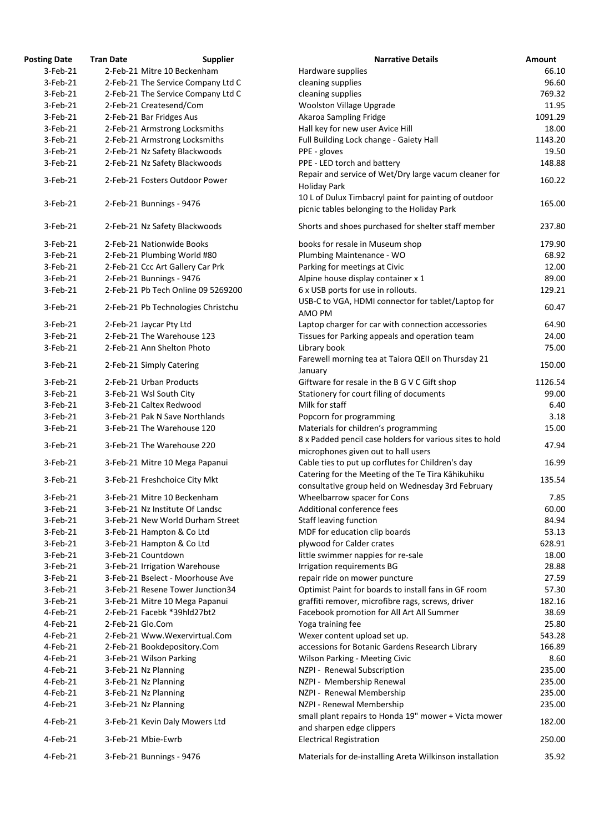| <b>Posting Date</b> | <b>Tran Date</b> | <b>Supplier</b>                                 | <b>Narrative Details</b>                                 | Amount  |
|---------------------|------------------|-------------------------------------------------|----------------------------------------------------------|---------|
| $3-Feb-21$          |                  | 2-Feb-21 Mitre 10 Beckenham                     | Hardware supplies                                        | 66.10   |
| 3-Feb-21            |                  | 2-Feb-21 The Service Company Ltd C              | cleaning supplies                                        | 96.60   |
| 3-Feb-21            |                  | 2-Feb-21 The Service Company Ltd C              | cleaning supplies                                        | 769.32  |
| 3-Feb-21            |                  | 2-Feb-21 Createsend/Com                         | <b>Woolston Village Upgrade</b>                          | 11.95   |
| 3-Feb-21            |                  | 2-Feb-21 Bar Fridges Aus                        | Akaroa Sampling Fridge                                   | 1091.29 |
| 3-Feb-21            |                  | 2-Feb-21 Armstrong Locksmiths                   | Hall key for new user Avice Hill                         | 18.00   |
| 3-Feb-21            |                  | 2-Feb-21 Armstrong Locksmiths                   | Full Building Lock change - Gaiety Hall                  | 1143.20 |
| 3-Feb-21            |                  | 2-Feb-21 Nz Safety Blackwoods                   | PPE - gloves                                             | 19.50   |
| 3-Feb-21            |                  | 2-Feb-21 Nz Safety Blackwoods                   | PPE - LED torch and battery                              | 148.88  |
|                     |                  |                                                 | Repair and service of Wet/Dry large vacum cleaner for    |         |
| 3-Feb-21            |                  | 2-Feb-21 Fosters Outdoor Power                  | <b>Holiday Park</b>                                      | 160.22  |
|                     |                  |                                                 | 10 L of Dulux Timbacryl paint for painting of outdoor    |         |
| 3-Feb-21            |                  | 2-Feb-21 Bunnings - 9476                        | picnic tables belonging to the Holiday Park              | 165.00  |
|                     |                  |                                                 |                                                          |         |
| 3-Feb-21            |                  | 2-Feb-21 Nz Safety Blackwoods                   | Shorts and shoes purchased for shelter staff member      | 237.80  |
| $3-Feb-21$          |                  | 2-Feb-21 Nationwide Books                       | books for resale in Museum shop                          | 179.90  |
| 3-Feb-21            |                  |                                                 |                                                          |         |
|                     |                  | 2-Feb-21 Plumbing World #80                     | Plumbing Maintenance - WO                                | 68.92   |
| 3-Feb-21            |                  | 2-Feb-21 Ccc Art Gallery Car Prk                | Parking for meetings at Civic                            | 12.00   |
| $3-Feb-21$          |                  | 2-Feb-21 Bunnings - 9476                        | Alpine house display container x 1                       | 89.00   |
| $3-Feb-21$          |                  | 2-Feb-21 Pb Tech Online 09 5269200              | 6 x USB ports for use in rollouts.                       | 129.21  |
| $3-Feb-21$          |                  | 2-Feb-21 Pb Technologies Christchu              | USB-C to VGA, HDMI connector for tablet/Laptop for       | 60.47   |
|                     |                  |                                                 | AMO PM                                                   |         |
| 3-Feb-21            |                  | 2-Feb-21 Jaycar Pty Ltd                         | Laptop charger for car with connection accessories       | 64.90   |
| $3-Feb-21$          |                  | 2-Feb-21 The Warehouse 123                      | Tissues for Parking appeals and operation team           | 24.00   |
| 3-Feb-21            |                  | 2-Feb-21 Ann Shelton Photo                      | Library book                                             | 75.00   |
| 3-Feb-21            |                  | 2-Feb-21 Simply Catering                        | Farewell morning tea at Taiora QEII on Thursday 21       | 150.00  |
|                     |                  |                                                 | January                                                  |         |
| 3-Feb-21            |                  | 2-Feb-21 Urban Products                         | Giftware for resale in the B G V C Gift shop             | 1126.54 |
| 3-Feb-21            |                  | 3-Feb-21 Wsl South City                         | Stationery for court filing of documents                 | 99.00   |
| $3-Feb-21$          |                  | 3-Feb-21 Caltex Redwood                         | Milk for staff                                           | 6.40    |
| 3-Feb-21            |                  | 3-Feb-21 Pak N Save Northlands                  | Popcorn for programming                                  | 3.18    |
| $3-Feb-21$          |                  | 3-Feb-21 The Warehouse 120                      | Materials for children's programming                     | 15.00   |
|                     |                  |                                                 | 8 x Padded pencil case holders for various sites to hold |         |
| 3-Feb-21            |                  | 3-Feb-21 The Warehouse 220                      | microphones given out to hall users                      | 47.94   |
| 3-Feb-21            |                  | 3-Feb-21 Mitre 10 Mega Papanui                  | Cable ties to put up corflutes for Children's day        | 16.99   |
|                     |                  |                                                 | Catering for the Meeting of the Te Tira Kāhikuhiku       |         |
| 3-Feb-21            |                  | 3-Feb-21 Freshchoice City Mkt                   | consultative group held on Wednesday 3rd February        | 135.54  |
| 3-Feb-21            |                  | 3-Feb-21 Mitre 10 Beckenham                     | Wheelbarrow spacer for Cons                              | 7.85    |
| 3-Feb-21            |                  | 3-Feb-21 Nz Institute Of Landsc                 | Additional conference fees                               | 60.00   |
| 3-Feb-21            |                  | 3-Feb-21 New World Durham Street                | <b>Staff leaving function</b>                            | 84.94   |
| $3-Feb-21$          |                  | 3-Feb-21 Hampton & Co Ltd                       | MDF for education clip boards                            | 53.13   |
| $3-Feb-21$          |                  |                                                 |                                                          | 628.91  |
|                     |                  | 3-Feb-21 Hampton & Co Ltd<br>3-Feb-21 Countdown | plywood for Calder crates                                |         |
| 3-Feb-21            |                  |                                                 | little swimmer nappies for re-sale                       | 18.00   |
| 3-Feb-21            |                  | 3-Feb-21 Irrigation Warehouse                   | Irrigation requirements BG                               | 28.88   |
| $3-Feb-21$          |                  | 3-Feb-21 Bselect - Moorhouse Ave                | repair ride on mower puncture                            | 27.59   |
| 3-Feb-21            |                  | 3-Feb-21 Resene Tower Junction34                | Optimist Paint for boards to install fans in GF room     | 57.30   |
| 3-Feb-21            |                  | 3-Feb-21 Mitre 10 Mega Papanui                  | graffiti remover, microfibre rags, screws, driver        | 182.16  |
| 4-Feb-21            |                  | 2-Feb-21 Facebk *39hld27bt2                     | Facebook promotion for All Art All Summer                | 38.69   |
| 4-Feb-21            | 2-Feb-21 Glo.Com |                                                 | Yoga training fee                                        | 25.80   |
| 4-Feb-21            |                  | 2-Feb-21 Www.Wexervirtual.Com                   | Wexer content upload set up.                             | 543.28  |
| $4$ -Feb-21         |                  | 2-Feb-21 Bookdepository.Com                     | accessions for Botanic Gardens Research Library          | 166.89  |
| $4$ -Feb-21         |                  | 3-Feb-21 Wilson Parking                         | <b>Wilson Parking - Meeting Civic</b>                    | 8.60    |
| 4-Feb-21            |                  | 3-Feb-21 Nz Planning                            | NZPI - Renewal Subscription                              | 235.00  |
| 4-Feb-21            |                  | 3-Feb-21 Nz Planning                            | NZPI - Membership Renewal                                | 235.00  |
| 4-Feb-21            |                  | 3-Feb-21 Nz Planning                            | NZPI - Renewal Membership                                | 235.00  |
| 4-Feb-21            |                  | 3-Feb-21 Nz Planning                            | NZPI - Renewal Membership                                | 235.00  |
|                     |                  |                                                 | small plant repairs to Honda 19" mower + Victa mower     |         |
| 4-Feb-21            |                  | 3-Feb-21 Kevin Daly Mowers Ltd                  | and sharpen edge clippers                                | 182.00  |
| 4-Feb-21            |                  | 3-Feb-21 Mbie-Ewrb                              | <b>Electrical Registration</b>                           | 250.00  |
|                     |                  |                                                 |                                                          |         |
| 4-Feb-21            |                  | 3-Feb-21 Bunnings - 9476                        | Materials for de-installing Areta Wilkinson installation | 35.92   |
|                     |                  |                                                 |                                                          |         |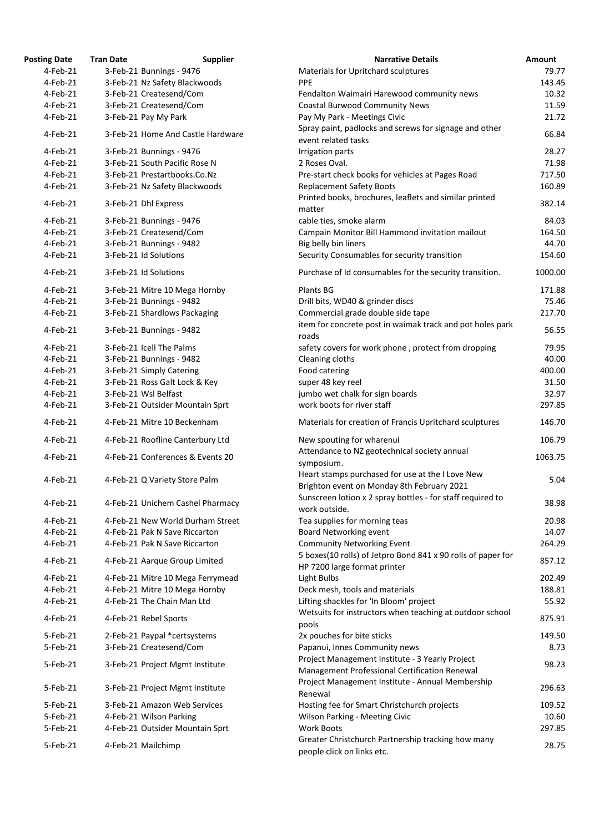| osting Date | <b>Tran Date</b> | <b>Supplier</b>                                           | <b>Narrative Details</b>                                                                         |
|-------------|------------------|-----------------------------------------------------------|--------------------------------------------------------------------------------------------------|
| $4$ -Feb-21 |                  | 3-Feb-21 Bunnings - 9476                                  | Materials for Upritchard sculptures                                                              |
| 4-Feb-21    |                  | 3-Feb-21 Nz Safety Blackwoods                             | <b>PPE</b>                                                                                       |
| 4-Feb-21    |                  | 3-Feb-21 Createsend/Com                                   | Fendalton Waimairi Harewood community news                                                       |
| 4-Feb-21    |                  | 3-Feb-21 Createsend/Com                                   | <b>Coastal Burwood Community News</b>                                                            |
| 4-Feb-21    |                  | 3-Feb-21 Pay My Park                                      | Pay My Park - Meetings Civic                                                                     |
| 4-Feb-21    |                  | 3-Feb-21 Home And Castle Hardware                         | Spray paint, padlocks and screws for signage and othe<br>event related tasks                     |
| 4-Feb-21    |                  |                                                           |                                                                                                  |
| 4-Feb-21    |                  | 3-Feb-21 Bunnings - 9476<br>3-Feb-21 South Pacific Rose N | Irrigation parts<br>2 Roses Oval.                                                                |
| 4-Feb-21    |                  | 3-Feb-21 Prestartbooks.Co.Nz                              |                                                                                                  |
| 4-Feb-21    |                  | 3-Feb-21 Nz Safety Blackwoods                             | Pre-start check books for vehicles at Pages Road<br><b>Replacement Safety Boots</b>              |
| 4-Feb-21    |                  | 3-Feb-21 Dhl Express                                      | Printed books, brochures, leaflets and similar printed                                           |
|             |                  |                                                           | matter                                                                                           |
| 4-Feb-21    |                  | 3-Feb-21 Bunnings - 9476                                  | cable ties, smoke alarm                                                                          |
| 4-Feb-21    |                  | 3-Feb-21 Createsend/Com                                   | Campain Monitor Bill Hammond invitation mailout                                                  |
| 4-Feb-21    |                  | 3-Feb-21 Bunnings - 9482                                  | Big belly bin liners                                                                             |
| 4-Feb-21    |                  | 3-Feb-21 Id Solutions                                     | Security Consumables for security transition                                                     |
| 4-Feb-21    |                  | 3-Feb-21 Id Solutions                                     | Purchase of Id consumables for the security transition                                           |
| 4-Feb-21    |                  | 3-Feb-21 Mitre 10 Mega Hornby                             | Plants BG                                                                                        |
| 4-Feb-21    |                  | 3-Feb-21 Bunnings - 9482                                  | Drill bits, WD40 & grinder discs                                                                 |
| 4-Feb-21    |                  | 3-Feb-21 Shardlows Packaging                              | Commercial grade double side tape                                                                |
| 4-Feb-21    |                  | 3-Feb-21 Bunnings - 9482                                  | item for concrete post in waimak track and pot holes<br>roads                                    |
| 4-Feb-21    |                  | 3-Feb-21 Icell The Palms                                  |                                                                                                  |
|             |                  |                                                           | safety covers for work phone, protect from dropping                                              |
| 4-Feb-21    |                  | 3-Feb-21 Bunnings - 9482                                  | Cleaning cloths                                                                                  |
| 4-Feb-21    |                  | 3-Feb-21 Simply Catering                                  | Food catering                                                                                    |
| 4-Feb-21    |                  | 3-Feb-21 Ross Galt Lock & Key                             | super 48 key reel                                                                                |
| 4-Feb-21    |                  | 3-Feb-21 Wsl Belfast                                      | jumbo wet chalk for sign boards                                                                  |
| 4-Feb-21    |                  | 3-Feb-21 Outsider Mountain Sprt                           | work boots for river staff                                                                       |
| 4-Feb-21    |                  | 4-Feb-21 Mitre 10 Beckenham                               | Materials for creation of Francis Upritchard sculpture                                           |
| 4-Feb-21    |                  | 4-Feb-21 Roofline Canterbury Ltd                          | New spouting for wharenui                                                                        |
| 4-Feb-21    |                  | 4-Feb-21 Conferences & Events 20                          | Attendance to NZ geotechnical society annual<br>symposium.                                       |
| 4-Feb-21    |                  | 4-Feb-21 Q Variety Store Palm                             | Heart stamps purchased for use at the I Love New<br>Brighton event on Monday 8th February 2021   |
| 4-Feb-21    |                  | 4-Feb-21 Unichem Cashel Pharmacy                          | Sunscreen lotion x 2 spray bottles - for staff required<br>work outside.                         |
| 4-Feb-21    |                  | 4-Feb-21 New World Durham Street                          | Tea supplies for morning teas                                                                    |
| 4-Feb-21    |                  | 4-Feb-21 Pak N Save Riccarton                             | Board Networking event                                                                           |
| 4-Feb-21    |                  | 4-Feb-21 Pak N Save Riccarton                             | <b>Community Networking Event</b>                                                                |
| 4-Feb-21    |                  | 4-Feb-21 Aarque Group Limited                             | 5 boxes(10 rolls) of Jetpro Bond 841 x 90 rolls of pape<br>HP 7200 large format printer          |
| 4-Feb-21    |                  | 4-Feb-21 Mitre 10 Mega Ferrymead                          | Light Bulbs                                                                                      |
|             |                  |                                                           |                                                                                                  |
| 4-Feb-21    |                  | 4-Feb-21 Mitre 10 Mega Hornby                             | Deck mesh, tools and materials                                                                   |
| 4-Feb-21    |                  | 4-Feb-21 The Chain Man Ltd                                | Lifting shackles for 'In Bloom' project                                                          |
| 4-Feb-21    |                  | 4-Feb-21 Rebel Sports                                     | Wetsuits for instructors when teaching at outdoor scl<br>pools                                   |
| 5-Feb-21    |                  | 2-Feb-21 Paypal *certsystems                              | 2x pouches for bite sticks                                                                       |
| 5-Feb-21    |                  | 3-Feb-21 Createsend/Com                                   | Papanui, Innes Community news                                                                    |
| 5-Feb-21    |                  | 3-Feb-21 Project Mgmt Institute                           | Project Management Institute - 3 Yearly Project<br>Management Professional Certification Renewal |
| 5-Feb-21    |                  | 3-Feb-21 Project Mgmt Institute                           | Project Management Institute - Annual Membership                                                 |
| 5-Feb-21    |                  |                                                           | Renewal                                                                                          |
|             |                  | 3-Feb-21 Amazon Web Services                              | Hosting fee for Smart Christchurch projects                                                      |
| 5-Feb-21    |                  | 4-Feb-21 Wilson Parking                                   | <b>Wilson Parking - Meeting Civic</b>                                                            |
| 5-Feb-21    |                  | 4-Feb-21 Outsider Mountain Sprt                           | <b>Work Boots</b>                                                                                |
| 5-Feb-21    |                  | 4-Feb-21 Mailchimp                                        | Greater Christchurch Partnership tracking how many                                               |

| <b>Posting Date</b> | <b>Tran Date</b> | <b>Supplier</b>                   | <b>Narrative Details</b>                                                                         | <b>Amount</b> |
|---------------------|------------------|-----------------------------------|--------------------------------------------------------------------------------------------------|---------------|
| $4$ -Feb-21         |                  | 3-Feb-21 Bunnings - 9476          | Materials for Upritchard sculptures                                                              | 79.77         |
| 4-Feb-21            |                  | 3-Feb-21 Nz Safety Blackwoods     | <b>PPE</b>                                                                                       | 143.45        |
| $4$ -Feb-21         |                  | 3-Feb-21 Createsend/Com           | Fendalton Waimairi Harewood community news                                                       | 10.32         |
| 4-Feb-21            |                  | 3-Feb-21 Createsend/Com           | <b>Coastal Burwood Community News</b>                                                            | 11.59         |
| 4-Feb-21            |                  | 3-Feb-21 Pay My Park              | Pay My Park - Meetings Civic                                                                     | 21.72         |
|                     |                  |                                   | Spray paint, padlocks and screws for signage and other                                           |               |
| 4-Feb-21            |                  | 3-Feb-21 Home And Castle Hardware | event related tasks                                                                              | 66.84         |
| 4-Feb-21            |                  | 3-Feb-21 Bunnings - 9476          | Irrigation parts                                                                                 | 28.27         |
| 4-Feb-21            |                  | 3-Feb-21 South Pacific Rose N     | 2 Roses Oval.                                                                                    | 71.98         |
| 4-Feb-21            |                  | 3-Feb-21 Prestartbooks.Co.Nz      | Pre-start check books for vehicles at Pages Road                                                 | 717.50        |
| 4-Feb-21            |                  | 3-Feb-21 Nz Safety Blackwoods     | <b>Replacement Safety Boots</b>                                                                  | 160.89        |
|                     |                  |                                   |                                                                                                  |               |
| 4-Feb-21            |                  | 3-Feb-21 Dhl Express              | Printed books, brochures, leaflets and similar printed                                           | 382.14        |
|                     |                  |                                   | matter                                                                                           |               |
| 4-Feb-21            |                  | 3-Feb-21 Bunnings - 9476          | cable ties, smoke alarm                                                                          | 84.03         |
| 4-Feb-21            |                  | 3-Feb-21 Createsend/Com           | Campain Monitor Bill Hammond invitation mailout                                                  | 164.50        |
| 4-Feb-21            |                  | 3-Feb-21 Bunnings - 9482          | Big belly bin liners                                                                             | 44.70         |
| 4-Feb-21            |                  | 3-Feb-21 Id Solutions             | Security Consumables for security transition                                                     | 154.60        |
| 4-Feb-21            |                  | 3-Feb-21 Id Solutions             | Purchase of Id consumables for the security transition.                                          | 1000.00       |
| 4-Feb-21            |                  | 3-Feb-21 Mitre 10 Mega Hornby     | Plants BG                                                                                        | 171.88        |
| 4-Feb-21            |                  | 3-Feb-21 Bunnings - 9482          |                                                                                                  | 75.46         |
|                     |                  |                                   | Drill bits, WD40 & grinder discs                                                                 |               |
| 4-Feb-21            |                  | 3-Feb-21 Shardlows Packaging      | Commercial grade double side tape                                                                | 217.70        |
| 4-Feb-21            |                  | 3-Feb-21 Bunnings - 9482          | item for concrete post in waimak track and pot holes park<br>roads                               | 56.55         |
| 4-Feb-21            |                  | 3-Feb-21 Icell The Palms          | safety covers for work phone, protect from dropping                                              | 79.95         |
| 4-Feb-21            |                  | 3-Feb-21 Bunnings - 9482          | Cleaning cloths                                                                                  | 40.00         |
| 4-Feb-21            |                  | 3-Feb-21 Simply Catering          | Food catering                                                                                    | 400.00        |
| 4-Feb-21            |                  | 3-Feb-21 Ross Galt Lock & Key     | super 48 key reel                                                                                | 31.50         |
| 4-Feb-21            |                  | 3-Feb-21 Wsl Belfast              | jumbo wet chalk for sign boards                                                                  | 32.97         |
| $4$ -Feb-21         |                  | 3-Feb-21 Outsider Mountain Sprt   | work boots for river staff                                                                       | 297.85        |
|                     |                  |                                   |                                                                                                  |               |
| 4-Feb-21            |                  | 4-Feb-21 Mitre 10 Beckenham       | Materials for creation of Francis Upritchard sculptures                                          | 146.70        |
| 4-Feb-21            |                  | 4-Feb-21 Roofline Canterbury Ltd  | New spouting for wharenui                                                                        | 106.79        |
| $4$ -Feb-21         |                  | 4-Feb-21 Conferences & Events 20  | Attendance to NZ geotechnical society annual<br>symposium.                                       | 1063.75       |
| 4-Feb-21            |                  | 4-Feb-21 Q Variety Store Palm     | Heart stamps purchased for use at the I Love New<br>Brighton event on Monday 8th February 2021   | 5.04          |
| 4-Feb-21            |                  | 4-Feb-21 Unichem Cashel Pharmacy  | Sunscreen lotion x 2 spray bottles - for staff required to<br>work outside.                      | 38.98         |
| $4$ -Feb-21         |                  | 4-Feb-21 New World Durham Street  | Tea supplies for morning teas                                                                    | 20.98         |
| 4-Feb-21            |                  | 4-Feb-21 Pak N Save Riccarton     | Board Networking event                                                                           | 14.07         |
| 4-Feb-21            |                  | 4-Feb-21 Pak N Save Riccarton     | <b>Community Networking Event</b>                                                                | 264.29        |
|                     |                  |                                   | 5 boxes(10 rolls) of Jetpro Bond 841 x 90 rolls of paper for                                     |               |
| 4-Feb-21            |                  | 4-Feb-21 Aarque Group Limited     | HP 7200 large format printer                                                                     | 857.12        |
| 4-Feb-21            |                  | 4-Feb-21 Mitre 10 Mega Ferrymead  | Light Bulbs                                                                                      | 202.49        |
| $4$ -Feb-21         |                  | 4-Feb-21 Mitre 10 Mega Hornby     | Deck mesh, tools and materials                                                                   | 188.81        |
| 4-Feb-21            |                  | 4-Feb-21 The Chain Man Ltd        | Lifting shackles for 'In Bloom' project                                                          | 55.92         |
| 4-Feb-21            |                  | 4-Feb-21 Rebel Sports             | Wetsuits for instructors when teaching at outdoor school                                         | 875.91        |
| 5-Feb-21            |                  |                                   | pools<br>2x pouches for bite sticks                                                              | 149.50        |
|                     |                  | 2-Feb-21 Paypal *certsystems      |                                                                                                  |               |
| 5-Feb-21            |                  | 3-Feb-21 Createsend/Com           | Papanui, Innes Community news                                                                    | 8.73          |
| 5-Feb-21            |                  | 3-Feb-21 Project Mgmt Institute   | Project Management Institute - 3 Yearly Project<br>Management Professional Certification Renewal | 98.23         |
| 5-Feb-21            |                  | 3-Feb-21 Project Mgmt Institute   | Project Management Institute - Annual Membership                                                 | 296.63        |
|                     |                  |                                   | Renewal                                                                                          |               |
| 5-Feb-21            |                  | 3-Feb-21 Amazon Web Services      | Hosting fee for Smart Christchurch projects                                                      | 109.52        |
| 5-Feb-21            |                  | 4-Feb-21 Wilson Parking           | <b>Wilson Parking - Meeting Civic</b>                                                            | 10.60         |
| 5-Feb-21            |                  | 4-Feb-21 Outsider Mountain Sprt   | <b>Work Boots</b>                                                                                | 297.85        |
| 5-Feb-21            |                  | 4-Feb-21 Mailchimp                | Greater Christchurch Partnership tracking how many<br>people click on links etc.                 | 28.75         |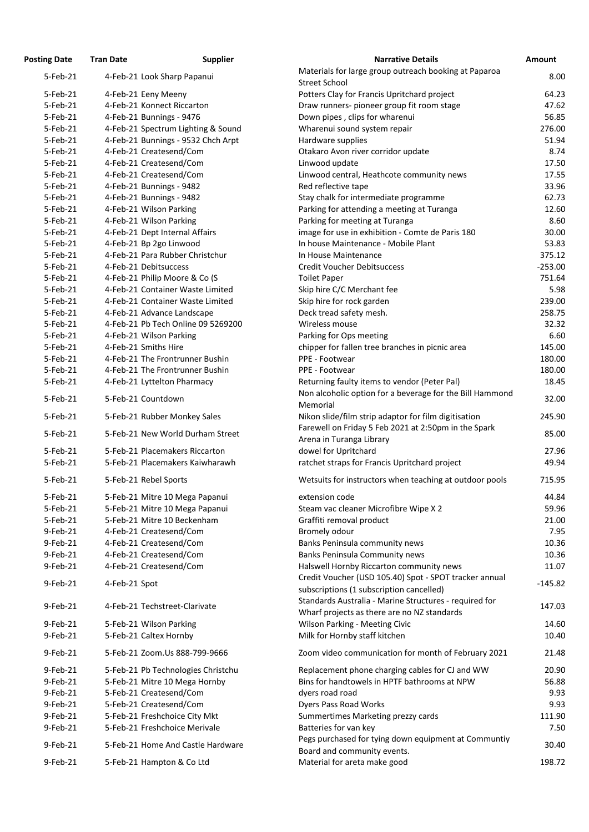| <b>Posting Date</b> | <b>Tran Date</b>               | <b>Supplier</b>                    | <b>Narrative Details</b>                                                                              | Amount    |
|---------------------|--------------------------------|------------------------------------|-------------------------------------------------------------------------------------------------------|-----------|
| 5-Feb-21            | 4-Feb-21 Look Sharp Papanui    |                                    | Materials for large group outreach booking at Paparoa<br><b>Street School</b>                         | 8.00      |
| 5-Feb-21            | 4-Feb-21 Eeny Meeny            |                                    | Potters Clay for Francis Upritchard project                                                           | 64.23     |
| 5-Feb-21            | 4-Feb-21 Konnect Riccarton     |                                    | Draw runners- pioneer group fit room stage                                                            | 47.62     |
| 5-Feb-21            | 4-Feb-21 Bunnings - 9476       |                                    | Down pipes, clips for wharenui                                                                        | 56.85     |
| 5-Feb-21            |                                | 4-Feb-21 Spectrum Lighting & Sound | Wharenui sound system repair                                                                          | 276.00    |
| 5-Feb-21            |                                | 4-Feb-21 Bunnings - 9532 Chch Arpt | Hardware supplies                                                                                     | 51.94     |
| 5-Feb-21            | 4-Feb-21 Createsend/Com        |                                    | Otakaro Avon river corridor update                                                                    | 8.74      |
| 5-Feb-21            | 4-Feb-21 Createsend/Com        |                                    | Linwood update                                                                                        | 17.50     |
| 5-Feb-21            | 4-Feb-21 Createsend/Com        |                                    | Linwood central, Heathcote community news                                                             | 17.55     |
| 5-Feb-21            | 4-Feb-21 Bunnings - 9482       |                                    | Red reflective tape                                                                                   | 33.96     |
| 5-Feb-21            | 4-Feb-21 Bunnings - 9482       |                                    | Stay chalk for intermediate programme                                                                 | 62.73     |
| 5-Feb-21            | 4-Feb-21 Wilson Parking        |                                    | Parking for attending a meeting at Turanga                                                            | 12.60     |
| 5-Feb-21            | 4-Feb-21 Wilson Parking        |                                    | Parking for meeting at Turanga                                                                        | 8.60      |
| 5-Feb-21            | 4-Feb-21 Dept Internal Affairs |                                    | image for use in exhibition - Comte de Paris 180                                                      | 30.00     |
| 5-Feb-21            | 4-Feb-21 Bp 2go Linwood        |                                    | In house Maintenance - Mobile Plant                                                                   | 53.83     |
| 5-Feb-21            |                                | 4-Feb-21 Para Rubber Christchur    | In House Maintenance                                                                                  | 375.12    |
| 5-Feb-21            | 4-Feb-21 Debitsuccess          |                                    | <b>Credit Voucher Debitsuccess</b>                                                                    | $-253.00$ |
| 5-Feb-21            | 4-Feb-21 Philip Moore & Co (S  |                                    | <b>Toilet Paper</b>                                                                                   | 751.64    |
| 5-Feb-21            |                                | 4-Feb-21 Container Waste Limited   | Skip hire C/C Merchant fee                                                                            | 5.98      |
| 5-Feb-21            |                                | 4-Feb-21 Container Waste Limited   | Skip hire for rock garden                                                                             | 239.00    |
| 5-Feb-21            | 4-Feb-21 Advance Landscape     |                                    | Deck tread safety mesh.                                                                               | 258.75    |
| 5-Feb-21            |                                | 4-Feb-21 Pb Tech Online 09 5269200 | Wireless mouse                                                                                        | 32.32     |
| 5-Feb-21            | 4-Feb-21 Wilson Parking        |                                    | Parking for Ops meeting                                                                               | 6.60      |
| 5-Feb-21            | 4-Feb-21 Smiths Hire           |                                    | chipper for fallen tree branches in picnic area                                                       | 145.00    |
| 5-Feb-21            |                                | 4-Feb-21 The Frontrunner Bushin    | PPE - Footwear                                                                                        | 180.00    |
| 5-Feb-21            |                                | 4-Feb-21 The Frontrunner Bushin    | PPE - Footwear                                                                                        | 180.00    |
| 5-Feb-21            | 4-Feb-21 Lyttelton Pharmacy    |                                    | Returning faulty items to vendor (Peter Pal)                                                          | 18.45     |
| 5-Feb-21            | 5-Feb-21 Countdown             |                                    | Non alcoholic option for a beverage for the Bill Hammond<br>Memorial                                  | 32.00     |
| 5-Feb-21            | 5-Feb-21 Rubber Monkey Sales   |                                    | Nikon slide/film strip adaptor for film digitisation                                                  | 245.90    |
|                     |                                |                                    | Farewell on Friday 5 Feb 2021 at 2:50pm in the Spark                                                  |           |
| 5-Feb-21            |                                | 5-Feb-21 New World Durham Street   | Arena in Turanga Library                                                                              | 85.00     |
| 5-Feb-21            | 5-Feb-21 Placemakers Riccarton |                                    | dowel for Upritchard                                                                                  | 27.96     |
| 5-Feb-21            |                                | 5-Feb-21 Placemakers Kaiwharawh    | ratchet straps for Francis Upritchard project                                                         | 49.94     |
| 5-Feb-21            | 5-Feb-21 Rebel Sports          |                                    | Wetsuits for instructors when teaching at outdoor pools                                               | 715.95    |
| 5-Feb-21            |                                | 5-Feb-21 Mitre 10 Mega Papanui     | extension code                                                                                        | 44.84     |
| 5-Feb-21            |                                | 5-Feb-21 Mitre 10 Mega Papanui     | Steam vac cleaner Microfibre Wipe X 2                                                                 | 59.96     |
| 5-Feb-21            | 5-Feb-21 Mitre 10 Beckenham    |                                    | Graffiti removal product                                                                              | 21.00     |
| 9-Feb-21            | 4-Feb-21 Createsend/Com        |                                    | Bromely odour                                                                                         | 7.95      |
| 9-Feb-21            | 4-Feb-21 Createsend/Com        |                                    | Banks Peninsula community news                                                                        | 10.36     |
| 9-Feb-21            | 4-Feb-21 Createsend/Com        |                                    | <b>Banks Peninsula Community news</b>                                                                 | 10.36     |
| 9-Feb-21            | 4-Feb-21 Createsend/Com        |                                    | Halswell Hornby Riccarton community news                                                              | 11.07     |
| 9-Feb-21            | 4-Feb-21 Spot                  |                                    | Credit Voucher (USD 105.40) Spot - SPOT tracker annual<br>subscriptions (1 subscription cancelled)    | $-145.82$ |
| 9-Feb-21            | 4-Feb-21 Techstreet-Clarivate  |                                    | Standards Australia - Marine Structures - required for<br>Wharf projects as there are no NZ standards | 147.03    |
| 9-Feb-21            | 5-Feb-21 Wilson Parking        |                                    | <b>Wilson Parking - Meeting Civic</b>                                                                 | 14.60     |
| 9-Feb-21            | 5-Feb-21 Caltex Hornby         |                                    | Milk for Hornby staff kitchen                                                                         | 10.40     |
| 9-Feb-21            |                                | 5-Feb-21 Zoom.Us 888-799-9666      | Zoom video communication for month of February 2021                                                   | 21.48     |
| 9-Feb-21            |                                | 5-Feb-21 Pb Technologies Christchu | Replacement phone charging cables for CJ and WW                                                       | 20.90     |
| 9-Feb-21            |                                | 5-Feb-21 Mitre 10 Mega Hornby      | Bins for handtowels in HPTF bathrooms at NPW                                                          | 56.88     |
| 9-Feb-21            | 5-Feb-21 Createsend/Com        |                                    | dyers road road                                                                                       | 9.93      |
| 9-Feb-21            | 5-Feb-21 Createsend/Com        |                                    | <b>Dyers Pass Road Works</b>                                                                          | 9.93      |
| 9-Feb-21            | 5-Feb-21 Freshchoice City Mkt  |                                    | Summertimes Marketing prezzy cards                                                                    | 111.90    |
| 9-Feb-21            | 5-Feb-21 Freshchoice Merivale  |                                    | Batteries for van key                                                                                 | 7.50      |
| 9-Feb-21            |                                | 5-Feb-21 Home And Castle Hardware  | Pegs purchased for tying down equipment at Communtiy<br>Board and community events.                   | 30.40     |
| 9-Feb-21            | 5-Feb-21 Hampton & Co Ltd      |                                    | Material for areta make good                                                                          | 198.72    |
|                     |                                |                                    |                                                                                                       |           |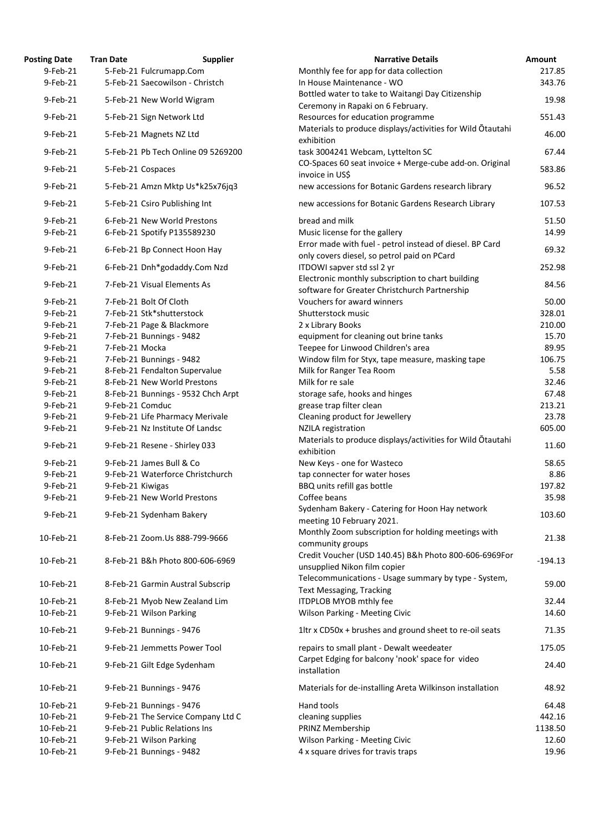| <b>Posting Date</b> | <b>Tran Date</b> | <b>Supplier</b>                    | <b>Narrative Details</b>                                                               |
|---------------------|------------------|------------------------------------|----------------------------------------------------------------------------------------|
| 9-Feb-21            |                  | 5-Feb-21 Fulcrumapp.Com            | Monthly fee for app for data collection                                                |
| 9-Feb-21            |                  | 5-Feb-21 Saecowilson - Christch    | In House Maintenance - WO                                                              |
| 9-Feb-21            |                  | 5-Feb-21 New World Wigram          | Bottled water to take to Waitangi Day Citizenship<br>Ceremony in Rapaki on 6 February. |
| 9-Feb-21            |                  | 5-Feb-21 Sign Network Ltd          | Resources for education programme                                                      |
| 9-Feb-21            |                  | 5-Feb-21 Magnets NZ Ltd            | Materials to produce displays/activities for Wild Otauta<br>exhibition                 |
| 9-Feb-21            |                  | 5-Feb-21 Pb Tech Online 09 5269200 | task 3004241 Webcam, Lyttelton SC                                                      |
| 9-Feb-21            |                  | 5-Feb-21 Cospaces                  | CO-Spaces 60 seat invoice + Merge-cube add-on. Origir<br>invoice in US\$               |
| 9-Feb-21            |                  | 5-Feb-21 Amzn Mktp Us*k25x76jq3    | new accessions for Botanic Gardens research library                                    |
| 9-Feb-21            |                  | 5-Feb-21 Csiro Publishing Int      | new accessions for Botanic Gardens Research Library                                    |
| 9-Feb-21            |                  | 6-Feb-21 New World Prestons        | bread and milk                                                                         |
| 9-Feb-21            |                  | 6-Feb-21 Spotify P135589230        | Music license for the gallery                                                          |
| 9-Feb-21            |                  | 6-Feb-21 Bp Connect Hoon Hay       | Error made with fuel - petrol instead of diesel. BP Card                               |
| 9-Feb-21            |                  | 6-Feb-21 Dnh*godaddy.Com Nzd       | only covers diesel, so petrol paid on PCard<br>ITDOWI sapver std ssl 2 yr              |
|                     |                  |                                    | Electronic monthly subscription to chart building                                      |
| 9-Feb-21            |                  | 7-Feb-21 Visual Elements As        | software for Greater Christchurch Partnership                                          |
| 9-Feb-21            |                  | 7-Feb-21 Bolt Of Cloth             | Vouchers for award winners                                                             |
| 9-Feb-21            |                  | 7-Feb-21 Stk*shutterstock          | Shutterstock music                                                                     |
| 9-Feb-21            |                  | 7-Feb-21 Page & Blackmore          | 2 x Library Books                                                                      |
| 9-Feb-21            |                  | 7-Feb-21 Bunnings - 9482           | equipment for cleaning out brine tanks                                                 |
| 9-Feb-21            | 7-Feb-21 Mocka   |                                    | Teepee for Linwood Children's area                                                     |
| 9-Feb-21            |                  | 7-Feb-21 Bunnings - 9482           | Window film for Styx, tape measure, masking tape                                       |
| 9-Feb-21            |                  | 8-Feb-21 Fendalton Supervalue      | Milk for Ranger Tea Room                                                               |
| 9-Feb-21            |                  | 8-Feb-21 New World Prestons        | Milk for re sale                                                                       |
| 9-Feb-21            |                  | 8-Feb-21 Bunnings - 9532 Chch Arpt | storage safe, hooks and hinges                                                         |
| 9-Feb-21            | 9-Feb-21 Comduc  |                                    | grease trap filter clean                                                               |
| 9-Feb-21            |                  | 9-Feb-21 Life Pharmacy Merivale    | Cleaning product for Jewellery                                                         |
|                     |                  | 9-Feb-21 Nz Institute Of Landsc    |                                                                                        |
| 9-Feb-21            |                  |                                    | <b>NZILA</b> registration                                                              |
| 9-Feb-21            |                  | 9-Feb-21 Resene - Shirley 033      | Materials to produce displays/activities for Wild Otauta<br>exhibition                 |
| 9-Feb-21            |                  | 9-Feb-21 James Bull & Co           | New Keys - one for Wasteco                                                             |
| 9-Feb-21            |                  | 9-Feb-21 Waterforce Christchurch   | tap connecter for water hoses                                                          |
| 9-Feb-21            | 9-Feb-21 Kiwigas |                                    | BBQ units refill gas bottle                                                            |
| 9-Feb-21            |                  | 9-Feb-21 New World Prestons        | Coffee beans                                                                           |
|                     |                  |                                    | Sydenham Bakery - Catering for Hoon Hay network                                        |
| 9-Feb-21            |                  | 9-Feb-21 Sydenham Bakery           | meeting 10 February 2021.                                                              |
| 10-Feb-21           |                  | 8-Feb-21 Zoom.Us 888-799-9666      | Monthly Zoom subscription for holding meetings with<br>community groups                |
|                     |                  |                                    | Credit Voucher (USD 140.45) B&h Photo 800-606-6969                                     |
| 10-Feb-21           |                  | 8-Feb-21 B&h Photo 800-606-6969    | unsupplied Nikon film copier                                                           |
| 10-Feb-21           |                  | 8-Feb-21 Garmin Austral Subscrip   | Telecommunications - Usage summary by type - Systen<br><b>Text Messaging, Tracking</b> |
| 10-Feb-21           |                  | 8-Feb-21 Myob New Zealand Lim      | ITDPLOB MYOB mthly fee                                                                 |
| 10-Feb-21           |                  | 9-Feb-21 Wilson Parking            | <b>Wilson Parking - Meeting Civic</b>                                                  |
| 10-Feb-21           |                  | 9-Feb-21 Bunnings - 9476           | 1ltr x CD50x + brushes and ground sheet to re-oil seats                                |
| 10-Feb-21           |                  | 9-Feb-21 Jemmetts Power Tool       | repairs to small plant - Dewalt weedeater                                              |
| 10-Feb-21           |                  | 9-Feb-21 Gilt Edge Sydenham        | Carpet Edging for balcony 'nook' space for video                                       |
|                     |                  |                                    | installation                                                                           |
| 10-Feb-21           |                  | 9-Feb-21 Bunnings - 9476           | Materials for de-installing Areta Wilkinson installation                               |
| 10-Feb-21           |                  | 9-Feb-21 Bunnings - 9476           | <b>Hand tools</b>                                                                      |
| 10-Feb-21           |                  | 9-Feb-21 The Service Company Ltd C | cleaning supplies                                                                      |
| 10-Feb-21           |                  | 9-Feb-21 Public Relations Ins      | PRINZ Membership                                                                       |
| 10-Feb-21           |                  | 9-Feb-21 Wilson Parking            | <b>Wilson Parking - Meeting Civic</b>                                                  |
| 10-Feb-21           |                  | 9-Feb-21 Bunnings - 9482           | 4 x square drives for travis traps                                                     |

| <b>Posting Date</b> | <b>Tran Date</b> | <b>Supplier</b>                                          | <b>Narrative Details</b>                                                                | <b>Amount</b> |
|---------------------|------------------|----------------------------------------------------------|-----------------------------------------------------------------------------------------|---------------|
| $9$ -Feb-21         |                  | 5-Feb-21 Fulcrumapp.Com                                  | Monthly fee for app for data collection                                                 | 217.85        |
| 9-Feb-21            |                  | 5-Feb-21 Saecowilson - Christch                          | In House Maintenance - WO                                                               | 343.76        |
| 9-Feb-21            |                  | 5-Feb-21 New World Wigram                                | Bottled water to take to Waitangi Day Citizenship<br>Ceremony in Rapaki on 6 February.  | 19.98         |
| 9-Feb-21            |                  | 5-Feb-21 Sign Network Ltd                                | Resources for education programme                                                       | 551.43        |
| 9-Feb-21            |                  | 5-Feb-21 Magnets NZ Ltd                                  | Materials to produce displays/activities for Wild Otautahi<br>exhibition                | 46.00         |
| 9-Feb-21            |                  | 5-Feb-21 Pb Tech Online 09 5269200                       | task 3004241 Webcam, Lyttelton SC                                                       | 67.44         |
| 9-Feb-21            |                  | 5-Feb-21 Cospaces                                        | CO-Spaces 60 seat invoice + Merge-cube add-on. Original<br>invoice in US\$              | 583.86        |
| 9-Feb-21            |                  | 5-Feb-21 Amzn Mktp Us*k25x76jq3                          | new accessions for Botanic Gardens research library                                     | 96.52         |
| 9-Feb-21            |                  | 5-Feb-21 Csiro Publishing Int                            | new accessions for Botanic Gardens Research Library                                     | 107.53        |
| 9-Feb-21            |                  | 6-Feb-21 New World Prestons                              | bread and milk                                                                          | 51.50         |
| 9-Feb-21            |                  | 6-Feb-21 Spotify P135589230                              | Music license for the gallery                                                           | 14.99         |
| 9-Feb-21            |                  | 6-Feb-21 Bp Connect Hoon Hay                             | Error made with fuel - petrol instead of diesel. BP Card                                | 69.32         |
|                     |                  |                                                          | only covers diesel, so petrol paid on PCard                                             |               |
| 9-Feb-21            |                  | 6-Feb-21 Dnh*godaddy.Com Nzd                             | ITDOWI sapver std ssl 2 yr<br>Electronic monthly subscription to chart building         | 252.98        |
| 9-Feb-21            |                  | 7-Feb-21 Visual Elements As                              | software for Greater Christchurch Partnership                                           | 84.56         |
| 9-Feb-21            |                  | 7-Feb-21 Bolt Of Cloth                                   | Vouchers for award winners                                                              | 50.00         |
| 9-Feb-21            |                  | 7-Feb-21 Stk*shutterstock                                | Shutterstock music                                                                      | 328.01        |
| 9-Feb-21            |                  | 7-Feb-21 Page & Blackmore                                | 2 x Library Books                                                                       | 210.00        |
| 9-Feb-21            |                  | 7-Feb-21 Bunnings - 9482                                 | equipment for cleaning out brine tanks                                                  | 15.70         |
| 9-Feb-21            | 7-Feb-21 Mocka   |                                                          | Teepee for Linwood Children's area                                                      | 89.95         |
| 9-Feb-21            |                  | 7-Feb-21 Bunnings - 9482                                 | Window film for Styx, tape measure, masking tape                                        | 106.75        |
| 9-Feb-21            |                  | 8-Feb-21 Fendalton Supervalue                            | Milk for Ranger Tea Room                                                                | 5.58          |
| 9-Feb-21            |                  | 8-Feb-21 New World Prestons                              | Milk for re sale                                                                        | 32.46         |
|                     |                  |                                                          |                                                                                         |               |
| 9-Feb-21            |                  | 8-Feb-21 Bunnings - 9532 Chch Arpt                       | storage safe, hooks and hinges                                                          | 67.48         |
| 9-Feb-21            | 9-Feb-21 Comduc  |                                                          | grease trap filter clean                                                                | 213.21        |
| 9-Feb-21            |                  | 9-Feb-21 Life Pharmacy Merivale                          | Cleaning product for Jewellery                                                          | 23.78         |
| 9-Feb-21            |                  | 9-Feb-21 Nz Institute Of Landsc                          | <b>NZILA</b> registration<br>Materials to produce displays/activities for Wild Otautahi | 605.00        |
| 9-Feb-21            |                  | 9-Feb-21 Resene - Shirley 033                            | exhibition                                                                              | 11.60         |
| 9-Feb-21            |                  | 9-Feb-21 James Bull & Co                                 | New Keys - one for Wasteco                                                              | 58.65         |
| 9-Feb-21            |                  | 9-Feb-21 Waterforce Christchurch                         | tap connecter for water hoses                                                           | 8.86          |
| 9-Feb-21            | 9-Feb-21 Kiwigas |                                                          | BBQ units refill gas bottle                                                             | 197.82        |
| 9-Feb-21            |                  | 9-Feb-21 New World Prestons                              | Coffee beans                                                                            | 35.98         |
| 9-Feb-21            |                  | 9-Feb-21 Sydenham Bakery                                 | Sydenham Bakery - Catering for Hoon Hay network<br>meeting 10 February 2021.            | 103.60        |
| 10-Feb-21           |                  | 8-Feb-21 Zoom.Us 888-799-9666                            | Monthly Zoom subscription for holding meetings with<br>community groups                 | 21.38         |
| 10-Feb-21           |                  | 8-Feb-21 B&h Photo 800-606-6969                          | Credit Voucher (USD 140.45) B&h Photo 800-606-6969For<br>unsupplied Nikon film copier   | $-194.13$     |
| 10-Feb-21           |                  | 8-Feb-21 Garmin Austral Subscrip                         | Telecommunications - Usage summary by type - System,<br><b>Text Messaging, Tracking</b> | 59.00         |
| 10-Feb-21           |                  |                                                          | ITDPLOB MYOB mthly fee                                                                  | 32.44         |
| 10-Feb-21           |                  | 8-Feb-21 Myob New Zealand Lim<br>9-Feb-21 Wilson Parking | <b>Wilson Parking - Meeting Civic</b>                                                   | 14.60         |
| 10-Feb-21           |                  | 9-Feb-21 Bunnings - 9476                                 | 1ltr x CD50x + brushes and ground sheet to re-oil seats                                 | 71.35         |
| 10-Feb-21           |                  | 9-Feb-21 Jemmetts Power Tool                             | repairs to small plant - Dewalt weedeater                                               | 175.05        |
| 10-Feb-21           |                  | 9-Feb-21 Gilt Edge Sydenham                              | Carpet Edging for balcony 'nook' space for video<br>installation                        | 24.40         |
| 10-Feb-21           |                  | 9-Feb-21 Bunnings - 9476                                 | Materials for de-installing Areta Wilkinson installation                                | 48.92         |
| 10-Feb-21           |                  | 9-Feb-21 Bunnings - 9476                                 | <b>Hand tools</b>                                                                       | 64.48         |
| 10-Feb-21           |                  | 9-Feb-21 The Service Company Ltd C                       | cleaning supplies                                                                       | 442.16        |
| 10-Feb-21           |                  | 9-Feb-21 Public Relations Ins                            | PRINZ Membership                                                                        | 1138.50       |
| 10-Feb-21           |                  | 9-Feb-21 Wilson Parking                                  | Wilson Parking - Meeting Civic                                                          | 12.60         |
| 10-Feb-21           |                  | 9-Feb-21 Bunnings - 9482                                 | 4 x square drives for travis traps                                                      | 19.96         |
|                     |                  |                                                          |                                                                                         |               |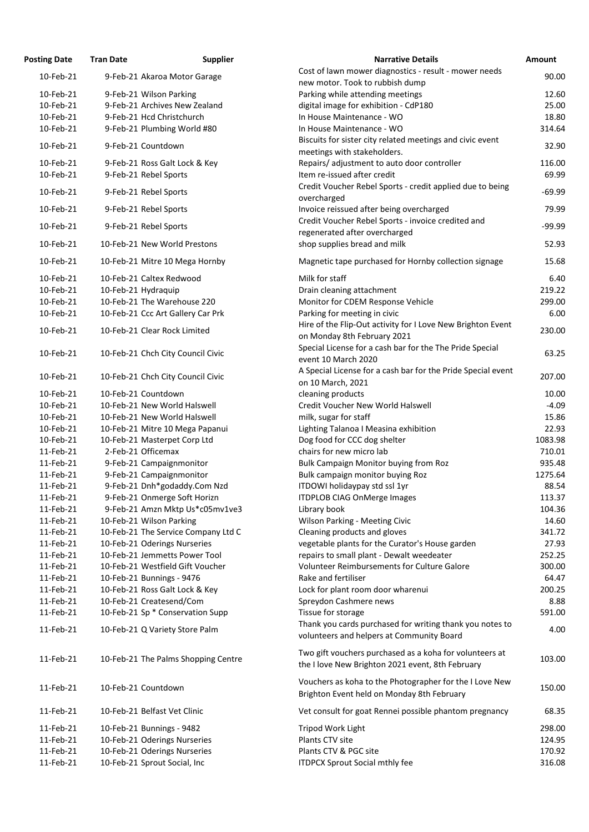| <b>Posting Date</b> | <b>Tran Date</b>    | <b>Supplier</b>                     | <b>Narrative Details</b>                                                               | Amount   |
|---------------------|---------------------|-------------------------------------|----------------------------------------------------------------------------------------|----------|
| 10-Feb-21           |                     | 9-Feb-21 Akaroa Motor Garage        | Cost of lawn mower diagnostics - result - mower needs                                  | 90.00    |
|                     |                     |                                     | new motor. Took to rubbish dump                                                        |          |
| 10-Feb-21           |                     | 9-Feb-21 Wilson Parking             | Parking while attending meetings                                                       | 12.60    |
| 10-Feb-21           |                     | 9-Feb-21 Archives New Zealand       | digital image for exhibition - CdP180                                                  | 25.00    |
| 10-Feb-21           |                     | 9-Feb-21 Hcd Christchurch           | In House Maintenance - WO                                                              | 18.80    |
| 10-Feb-21           |                     | 9-Feb-21 Plumbing World #80         | In House Maintenance - WO<br>Biscuits for sister city related meetings and civic event | 314.64   |
| 10-Feb-21           |                     | 9-Feb-21 Countdown                  | meetings with stakeholders.                                                            | 32.90    |
| 10-Feb-21           |                     | 9-Feb-21 Ross Galt Lock & Key       | Repairs/ adjustment to auto door controller                                            | 116.00   |
| 10-Feb-21           |                     | 9-Feb-21 Rebel Sports               | Item re-issued after credit                                                            | 69.99    |
|                     |                     |                                     | Credit Voucher Rebel Sports - credit applied due to being                              |          |
| 10-Feb-21           |                     | 9-Feb-21 Rebel Sports               | overcharged                                                                            | $-69.99$ |
| 10-Feb-21           |                     | 9-Feb-21 Rebel Sports               | Invoice reissued after being overcharged                                               | 79.99    |
|                     |                     |                                     | Credit Voucher Rebel Sports - invoice credited and                                     |          |
| 10-Feb-21           |                     | 9-Feb-21 Rebel Sports               | regenerated after overcharged                                                          | $-99.99$ |
| 10-Feb-21           |                     | 10-Feb-21 New World Prestons        | shop supplies bread and milk                                                           | 52.93    |
|                     |                     |                                     |                                                                                        |          |
| 10-Feb-21           |                     | 10-Feb-21 Mitre 10 Mega Hornby      | Magnetic tape purchased for Hornby collection signage                                  | 15.68    |
| 10-Feb-21           |                     | 10-Feb-21 Caltex Redwood            | Milk for staff                                                                         | 6.40     |
| 10-Feb-21           | 10-Feb-21 Hydraquip |                                     | Drain cleaning attachment                                                              | 219.22   |
| 10-Feb-21           |                     | 10-Feb-21 The Warehouse 220         | Monitor for CDEM Response Vehicle                                                      | 299.00   |
| 10-Feb-21           |                     | 10-Feb-21 Ccc Art Gallery Car Prk   | Parking for meeting in civic                                                           | 6.00     |
|                     |                     |                                     | Hire of the Flip-Out activity for I Love New Brighton Event                            |          |
| 10-Feb-21           |                     | 10-Feb-21 Clear Rock Limited        | on Monday 8th February 2021                                                            | 230.00   |
|                     |                     |                                     | Special License for a cash bar for the The Pride Special                               |          |
| 10-Feb-21           |                     | 10-Feb-21 Chch City Council Civic   | event 10 March 2020                                                                    | 63.25    |
|                     |                     |                                     | A Special License for a cash bar for the Pride Special event                           |          |
| 10-Feb-21           |                     | 10-Feb-21 Chch City Council Civic   | on 10 March, 2021                                                                      | 207.00   |
| 10-Feb-21           | 10-Feb-21 Countdown |                                     | cleaning products                                                                      | 10.00    |
| 10-Feb-21           |                     | 10-Feb-21 New World Halswell        | Credit Voucher New World Halswell                                                      | $-4.09$  |
| 10-Feb-21           |                     | 10-Feb-21 New World Halswell        | milk, sugar for staff                                                                  | 15.86    |
| 10-Feb-21           |                     | 10-Feb-21 Mitre 10 Mega Papanui     | Lighting Talanoa I Measina exhibition                                                  | 22.93    |
| 10-Feb-21           |                     | 10-Feb-21 Masterpet Corp Ltd        | Dog food for CCC dog shelter                                                           | 1083.98  |
| 11-Feb-21           | 2-Feb-21 Officemax  |                                     | chairs for new micro lab                                                               | 710.01   |
| 11-Feb-21           |                     | 9-Feb-21 Campaignmonitor            | <b>Bulk Campaign Monitor buying from Roz</b>                                           | 935.48   |
| 11-Feb-21           |                     | 9-Feb-21 Campaignmonitor            | Bulk campaign monitor buying Roz                                                       | 1275.64  |
| 11-Feb-21           |                     | 9-Feb-21 Dnh*godaddy.Com Nzd        | ITDOWI holidaypay std ssl 1yr                                                          | 88.54    |
| 11-Feb-21           |                     | 9-Feb-21 Onmerge Soft Horizn        | <b>ITDPLOB CIAG OnMerge Images</b>                                                     | 113.37   |
| 11-Feb-21           |                     | 9-Feb-21 Amzn Mktp Us*c05mv1ve3     | Library book                                                                           | 104.36   |
| 11-Feb-21           |                     | 10-Feb-21 Wilson Parking            | Wilson Parking - Meeting Civic                                                         | 14.60    |
| 11-Feb-21           |                     | 10-Feb-21 The Service Company Ltd C | Cleaning products and gloves                                                           | 341.72   |
| 11-Feb-21           |                     | 10-Feb-21 Oderings Nurseries        | vegetable plants for the Curator's House garden                                        | 27.93    |
| 11-Feb-21           |                     | 10-Feb-21 Jemmetts Power Tool       | repairs to small plant - Dewalt weedeater                                              | 252.25   |
| 11-Feb-21           |                     | 10-Feb-21 Westfield Gift Voucher    | <b>Volunteer Reimbursements for Culture Galore</b>                                     | 300.00   |
| 11-Feb-21           |                     | 10-Feb-21 Bunnings - 9476           | Rake and fertiliser                                                                    | 64.47    |
| 11-Feb-21           |                     | 10-Feb-21 Ross Galt Lock & Key      | Lock for plant room door wharenui                                                      | 200.25   |
| 11-Feb-21           |                     | 10-Feb-21 Createsend/Com            | Spreydon Cashmere news                                                                 | 8.88     |
| 11-Feb-21           |                     | 10-Feb-21 Sp * Conservation Supp    | Tissue for storage                                                                     | 591.00   |
| 11-Feb-21           |                     |                                     | Thank you cards purchased for writing thank you notes to                               | 4.00     |
|                     |                     | 10-Feb-21 Q Variety Store Palm      | volunteers and helpers at Community Board                                              |          |
|                     |                     |                                     | Two gift vouchers purchased as a koha for volunteers at                                |          |
| 11-Feb-21           |                     | 10-Feb-21 The Palms Shopping Centre |                                                                                        | 103.00   |
|                     |                     |                                     | the I love New Brighton 2021 event, 8th February                                       |          |
|                     |                     |                                     | Vouchers as koha to the Photographer for the I Love New                                | 150.00   |
| 11-Feb-21           | 10-Feb-21 Countdown |                                     | Brighton Event held on Monday 8th February                                             |          |
| 11-Feb-21           |                     | 10-Feb-21 Belfast Vet Clinic        |                                                                                        |          |
|                     |                     |                                     | Vet consult for goat Rennei possible phantom pregnancy                                 | 68.35    |
| 11-Feb-21           |                     | 10-Feb-21 Bunnings - 9482           | Tripod Work Light                                                                      | 298.00   |
| 11-Feb-21           |                     | 10-Feb-21 Oderings Nurseries        | Plants CTV site                                                                        | 124.95   |
| 11-Feb-21           |                     | 10-Feb-21 Oderings Nurseries        | Plants CTV & PGC site                                                                  | 170.92   |
| 11-Feb-21           |                     | 10-Feb-21 Sprout Social, Inc        | <b>ITDPCX Sprout Social mthly fee</b>                                                  | 316.08   |

| <b>Narrative Details</b>                                                                       | <b>Amount</b>    |
|------------------------------------------------------------------------------------------------|------------------|
| Cost of lawn mower diagnostics - result - mower needs                                          | 90.00            |
| new motor. Took to rubbish dump                                                                |                  |
| Parking while attending meetings                                                               | 12.60            |
| digital image for exhibition - CdP180                                                          | 25.00            |
| In House Maintenance - WO                                                                      | 18.80            |
| In House Maintenance - WO                                                                      | 314.64           |
| Biscuits for sister city related meetings and civic event                                      | 32.90            |
| meetings with stakeholders.                                                                    |                  |
| Repairs/adjustment to auto door controller                                                     | 116.00           |
| Item re-issued after credit                                                                    | 69.99            |
| Credit Voucher Rebel Sports - credit applied due to being                                      | $-69.99$         |
| overcharged                                                                                    | 79.99            |
| Invoice reissued after being overcharged<br>Credit Voucher Rebel Sports - invoice credited and |                  |
| regenerated after overcharged                                                                  | $-99.99$         |
| shop supplies bread and milk                                                                   | 52.93            |
|                                                                                                |                  |
| Magnetic tape purchased for Hornby collection signage                                          | 15.68            |
| Milk for staff                                                                                 | 6.40             |
| Drain cleaning attachment                                                                      | 219.22           |
| Monitor for CDEM Response Vehicle                                                              | 299.00           |
| Parking for meeting in civic                                                                   | 6.00             |
| Hire of the Flip-Out activity for I Love New Brighton Event                                    | 230.00           |
| on Monday 8th February 2021                                                                    |                  |
| Special License for a cash bar for the The Pride Special                                       | 63.25            |
| event 10 March 2020                                                                            |                  |
| A Special License for a cash bar for the Pride Special event                                   | 207.00           |
| on 10 March, 2021                                                                              |                  |
| cleaning products                                                                              | 10.00            |
| <b>Credit Voucher New World Halswell</b>                                                       | $-4.09$          |
| milk, sugar for staff                                                                          | 15.86            |
| Lighting Talanoa I Measina exhibition                                                          | 22.93            |
| Dog food for CCC dog shelter<br>chairs for new micro lab                                       | 1083.98          |
|                                                                                                | 710.01<br>935.48 |
| <b>Bulk Campaign Monitor buying from Roz</b><br>Bulk campaign monitor buying Roz               | 1275.64          |
| ITDOWI holidaypay std ssl 1yr                                                                  | 88.54            |
| <b>ITDPLOB CIAG OnMerge Images</b>                                                             | 113.37           |
| Library book                                                                                   | 104.36           |
| Wilson Parking - Meeting Civic                                                                 | 14.60            |
| Cleaning products and gloves                                                                   | 341.72           |
| vegetable plants for the Curator's House garden                                                | 27.93            |
| repairs to small plant - Dewalt weedeater                                                      | 252.25           |
| <b>Volunteer Reimbursements for Culture Galore</b>                                             | 300.00           |
| Rake and fertiliser                                                                            | 64.47            |
| Lock for plant room door wharenui                                                              | 200.25           |
| Spreydon Cashmere news                                                                         | 8.88             |
| Tissue for storage                                                                             | 591.00           |
| Thank you cards purchased for writing thank you notes to                                       |                  |
| volunteers and helpers at Community Board                                                      | 4.00             |
| Two gift vouchers purchased as a koha for volunteers at                                        | 103.00           |
| the I love New Brighton 2021 event, 8th February                                               |                  |
| Vouchers as koha to the Photographer for the I Love New                                        |                  |
| Brighton Event held on Monday 8th February                                                     | 150.00           |
|                                                                                                | 68.35            |
| Vet consult for goat Rennei possible phantom pregnancy                                         |                  |
| <b>Tripod Work Light</b>                                                                       | 298.00           |
| Plants CTV site                                                                                | 124.95           |
| Plants CTV & PGC site                                                                          | 170.92           |
| <b>ITDPCX Sprout Social mthly fee</b>                                                          | 316.08           |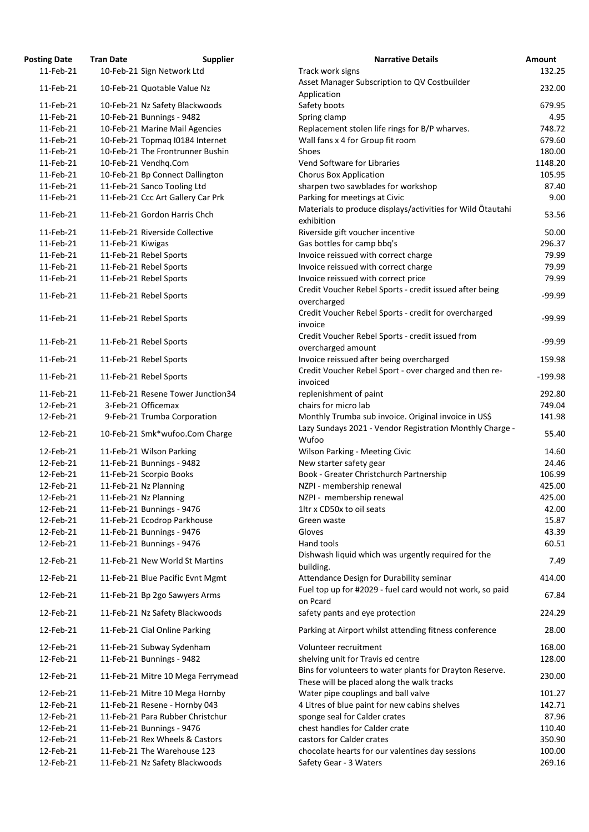| osting Date            | <b>Tran Date</b>  | <b>Supplier</b>                                                | <b>Narrative Details</b>                                                                                     |
|------------------------|-------------------|----------------------------------------------------------------|--------------------------------------------------------------------------------------------------------------|
| 11-Feb-21              |                   | 10-Feb-21 Sign Network Ltd                                     | Track work signs                                                                                             |
| 11-Feb-21              |                   | 10-Feb-21 Quotable Value Nz                                    | Asset Manager Subscription to QV Costbuilder                                                                 |
|                        |                   |                                                                | Application                                                                                                  |
| 11-Feb-21              |                   | 10-Feb-21 Nz Safety Blackwoods                                 | Safety boots                                                                                                 |
| 11-Feb-21              |                   | 10-Feb-21 Bunnings - 9482                                      | Spring clamp                                                                                                 |
| 11-Feb-21              |                   | 10-Feb-21 Marine Mail Agencies                                 | Replacement stolen life rings for B/P wharves.                                                               |
| 11-Feb-21              |                   | 10-Feb-21 Topmaq I0184 Internet                                | Wall fans x 4 for Group fit room                                                                             |
| 11-Feb-21              |                   | 10-Feb-21 The Frontrunner Bushin                               | <b>Shoes</b>                                                                                                 |
| 11-Feb-21              |                   | 10-Feb-21 Vendhq.Com                                           | Vend Software for Libraries                                                                                  |
| 11-Feb-21              |                   | 10-Feb-21 Bp Connect Dallington                                | <b>Chorus Box Application</b>                                                                                |
| 11-Feb-21              |                   | 11-Feb-21 Sanco Tooling Ltd                                    | sharpen two sawblades for workshop                                                                           |
| 11-Feb-21              |                   | 11-Feb-21 Ccc Art Gallery Car Prk                              | Parking for meetings at Civic                                                                                |
| 11-Feb-21              |                   | 11-Feb-21 Gordon Harris Chch                                   | Materials to produce displays/activities for Wild Otauta<br>exhibition                                       |
| 11-Feb-21              |                   | 11-Feb-21 Riverside Collective                                 | Riverside gift voucher incentive                                                                             |
| 11-Feb-21              | 11-Feb-21 Kiwigas |                                                                | Gas bottles for camp bbq's                                                                                   |
| 11-Feb-21              |                   | 11-Feb-21 Rebel Sports                                         | Invoice reissued with correct charge                                                                         |
| 11-Feb-21              |                   | 11-Feb-21 Rebel Sports                                         | Invoice reissued with correct charge                                                                         |
| 11-Feb-21              |                   | 11-Feb-21 Rebel Sports                                         | Invoice reissued with correct price                                                                          |
|                        |                   |                                                                | Credit Voucher Rebel Sports - credit issued after being                                                      |
| 11-Feb-21              |                   | 11-Feb-21 Rebel Sports                                         | overcharged                                                                                                  |
|                        |                   |                                                                | Credit Voucher Rebel Sports - credit for overcharged                                                         |
| 11-Feb-21              |                   | 11-Feb-21 Rebel Sports                                         | invoice                                                                                                      |
| 11-Feb-21              |                   | 11-Feb-21 Rebel Sports                                         | Credit Voucher Rebel Sports - credit issued from                                                             |
|                        |                   |                                                                | overcharged amount                                                                                           |
| 11-Feb-21<br>11-Feb-21 |                   | 11-Feb-21 Rebel Sports<br>11-Feb-21 Rebel Sports               | Invoice reissued after being overcharged<br>Credit Voucher Rebel Sport - over charged and then re-           |
|                        |                   |                                                                | invoiced                                                                                                     |
| 11-Feb-21              |                   | 11-Feb-21 Resene Tower Junction34                              | replenishment of paint                                                                                       |
| 12-Feb-21              |                   | 3-Feb-21 Officemax                                             | chairs for micro lab                                                                                         |
| 12-Feb-21              |                   | 9-Feb-21 Trumba Corporation                                    | Monthly Trumba sub invoice. Original invoice in US\$<br>Lazy Sundays 2021 - Vendor Registration Monthly Char |
| 12-Feb-21<br>12-Feb-21 |                   | 10-Feb-21 Smk*wufoo.Com Charge<br>11-Feb-21 Wilson Parking     | Wufoo                                                                                                        |
|                        |                   | 11-Feb-21 Bunnings - 9482                                      | <b>Wilson Parking - Meeting Civic</b>                                                                        |
| 12-Feb-21              |                   |                                                                | New starter safety gear                                                                                      |
| 12-Feb-21              |                   | 11-Feb-21 Scorpio Books                                        | Book - Greater Christchurch Partnership                                                                      |
| 12-Feb-21              |                   | 11-Feb-21 Nz Planning                                          | NZPI - membership renewal                                                                                    |
| 12-Feb-21              |                   | 11-Feb-21 Nz Planning                                          | NZPI - membership renewal                                                                                    |
| 12-Feb-21              |                   | 11-Feb-21 Bunnings - 9476                                      | 1ltr x CD50x to oil seats                                                                                    |
| 12-Feb-21              |                   | 11-Feb-21 Ecodrop Parkhouse                                    | Green waste                                                                                                  |
| 12-Feb-21              |                   | 11-Feb-21 Bunnings - 9476                                      | Gloves                                                                                                       |
| 12-Feb-21<br>12-Feb-21 |                   | 11-Feb-21 Bunnings - 9476<br>11-Feb-21 New World St Martins    | Hand tools<br>Dishwash liquid which was urgently required for the                                            |
| 12-Feb-21              |                   | 11-Feb-21 Blue Pacific Evnt Mgmt                               | building.<br>Attendance Design for Durability seminar                                                        |
| 12-Feb-21              |                   | 11-Feb-21 Bp 2go Sawyers Arms                                  | Fuel top up for #2029 - fuel card would not work, so pa<br>on Pcard                                          |
| 12-Feb-21              |                   | 11-Feb-21 Nz Safety Blackwoods                                 | safety pants and eye protection                                                                              |
| 12-Feb-21              |                   | 11-Feb-21 Cial Online Parking                                  | Parking at Airport whilst attending fitness conference<br>Volunteer recruitment                              |
| 12-Feb-21<br>12-Feb-21 |                   | 11-Feb-21 Subway Sydenham                                      |                                                                                                              |
| 12-Feb-21              |                   | 11-Feb-21 Bunnings - 9482<br>11-Feb-21 Mitre 10 Mega Ferrymead | shelving unit for Travis ed centre<br>Bins for volunteers to water plants for Drayton Reserve                |
|                        |                   |                                                                | These will be placed along the walk tracks                                                                   |
| 12-Feb-21              |                   | 11-Feb-21 Mitre 10 Mega Hornby                                 | Water pipe couplings and ball valve                                                                          |
| 12-Feb-21              |                   | 11-Feb-21 Resene - Hornby 043                                  | 4 Litres of blue paint for new cabins shelves                                                                |
| 12-Feb-21              |                   | 11-Feb-21 Para Rubber Christchur                               | sponge seal for Calder crates                                                                                |
| 12-Feb-21              |                   | 11-Feb-21 Bunnings - 9476                                      | chest handles for Calder crate                                                                               |
| 12-Feb-21              |                   | 11-Feb-21 Rex Wheels & Castors                                 | castors for Calder crates                                                                                    |
| 12-Feb-21              |                   | 11-Feb-21 The Warehouse 123                                    | chocolate hearts for our valentines day sessions                                                             |
| 12-Feb-21              |                   | 11-Feb-21 Nz Safety Blackwoods                                 | Safety Gear - 3 Waters                                                                                       |

| <b>Posting Date</b>    | <b>Tran Date</b>  | <b>Supplier</b>                                            | <b>Narrative Details</b>                                                                           | Amount              |
|------------------------|-------------------|------------------------------------------------------------|----------------------------------------------------------------------------------------------------|---------------------|
| 11-Feb-21              |                   | 10-Feb-21 Sign Network Ltd                                 | Track work signs                                                                                   | 132.25              |
| 11-Feb-21              |                   | 10-Feb-21 Quotable Value Nz                                | Asset Manager Subscription to QV Costbuilder                                                       | 232.00              |
|                        |                   |                                                            | Application                                                                                        |                     |
| 11-Feb-21              |                   | 10-Feb-21 Nz Safety Blackwoods                             | Safety boots                                                                                       | 679.95              |
| 11-Feb-21              |                   | 10-Feb-21 Bunnings - 9482                                  | Spring clamp                                                                                       | 4.95                |
| 11-Feb-21              |                   | 10-Feb-21 Marine Mail Agencies                             | Replacement stolen life rings for B/P wharves.                                                     | 748.72              |
| 11-Feb-21              |                   | 10-Feb-21 Topmaq I0184 Internet                            | Wall fans x 4 for Group fit room                                                                   | 679.60              |
| 11-Feb-21              |                   | 10-Feb-21 The Frontrunner Bushin                           | Shoes                                                                                              | 180.00              |
| 11-Feb-21              |                   | 10-Feb-21 Vendhq.Com                                       | Vend Software for Libraries                                                                        | 1148.20             |
| 11-Feb-21              |                   | 10-Feb-21 Bp Connect Dallington                            | <b>Chorus Box Application</b>                                                                      | 105.95              |
| 11-Feb-21              |                   | 11-Feb-21 Sanco Tooling Ltd                                | sharpen two sawblades for workshop                                                                 | 87.40               |
| 11-Feb-21              |                   | 11-Feb-21 Ccc Art Gallery Car Prk                          | Parking for meetings at Civic                                                                      | 9.00                |
| 11-Feb-21              |                   | 11-Feb-21 Gordon Harris Chch                               | Materials to produce displays/activities for Wild Otautahi<br>exhibition                           | 53.56               |
| 11-Feb-21              |                   | 11-Feb-21 Riverside Collective                             | Riverside gift voucher incentive                                                                   | 50.00               |
| 11-Feb-21              | 11-Feb-21 Kiwigas |                                                            | Gas bottles for camp bbq's                                                                         | 296.37              |
| 11-Feb-21              |                   | 11-Feb-21 Rebel Sports                                     | Invoice reissued with correct charge                                                               | 79.99               |
| 11-Feb-21              |                   | 11-Feb-21 Rebel Sports                                     | Invoice reissued with correct charge                                                               | 79.99               |
| 11-Feb-21              |                   | 11-Feb-21 Rebel Sports                                     | Invoice reissued with correct price                                                                | 79.99               |
| 11-Feb-21              |                   | 11-Feb-21 Rebel Sports                                     | Credit Voucher Rebel Sports - credit issued after being<br>overcharged                             | $-99.99$            |
|                        |                   |                                                            | Credit Voucher Rebel Sports - credit for overcharged                                               |                     |
| 11-Feb-21              |                   | 11-Feb-21 Rebel Sports                                     | invoice                                                                                            | $-99.99$            |
| 11-Feb-21              |                   | 11-Feb-21 Rebel Sports                                     | Credit Voucher Rebel Sports - credit issued from                                                   | $-99.99$            |
|                        |                   |                                                            | overcharged amount                                                                                 |                     |
| 11-Feb-21<br>11-Feb-21 |                   | 11-Feb-21 Rebel Sports<br>11-Feb-21 Rebel Sports           | Invoice reissued after being overcharged<br>Credit Voucher Rebel Sport - over charged and then re- | 159.98<br>$-199.98$ |
|                        |                   |                                                            | invoiced                                                                                           |                     |
| 11-Feb-21              |                   | 11-Feb-21 Resene Tower Junction34                          | replenishment of paint                                                                             | 292.80              |
| 12-Feb-21              |                   | 3-Feb-21 Officemax                                         | chairs for micro lab                                                                               | 749.04              |
| 12-Feb-21              |                   | 9-Feb-21 Trumba Corporation                                | Monthly Trumba sub invoice. Original invoice in US\$                                               | 141.98              |
| 12-Feb-21              |                   | 10-Feb-21 Smk*wufoo.Com Charge                             | Lazy Sundays 2021 - Vendor Registration Monthly Charge -<br>Wufoo                                  | 55.40               |
| 12-Feb-21              |                   | 11-Feb-21 Wilson Parking                                   | <b>Wilson Parking - Meeting Civic</b>                                                              | 14.60               |
| 12-Feb-21              |                   | 11-Feb-21 Bunnings - 9482                                  | New starter safety gear                                                                            | 24.46               |
| 12-Feb-21              |                   | 11-Feb-21 Scorpio Books                                    | Book - Greater Christchurch Partnership                                                            | 106.99              |
| 12-Feb-21              |                   | 11-Feb-21 Nz Planning                                      | NZPI - membership renewal                                                                          | 425.00              |
| 12-Feb-21              |                   | 11-Feb-21 Nz Planning                                      | NZPI - membership renewal                                                                          | 425.00              |
| 12-Feb-21              |                   | 11-Feb-21 Bunnings - 9476                                  | 1ltr x CD50x to oil seats                                                                          | 42.00               |
| 12-Feb-21              |                   | 11-Feb-21 Ecodrop Parkhouse                                | Green waste                                                                                        | 15.87               |
| 12-Feb-21              |                   | 11-Feb-21 Bunnings - 9476                                  | Gloves                                                                                             | 43.39               |
| 12-Feb-21              |                   | 11-Feb-21 Bunnings - 9476                                  | Hand tools                                                                                         | 60.51               |
| 12-Feb-21              |                   | 11-Feb-21 New World St Martins                             | Dishwash liquid which was urgently required for the<br>building.                                   | 7.49                |
| 12-Feb-21              |                   | 11-Feb-21 Blue Pacific Evnt Mgmt                           | Attendance Design for Durability seminar                                                           | 414.00              |
| 12-Feb-21              |                   | 11-Feb-21 Bp 2go Sawyers Arms                              | Fuel top up for #2029 - fuel card would not work, so paid<br>on Pcard                              | 67.84               |
| 12-Feb-21              |                   | 11-Feb-21 Nz Safety Blackwoods                             | safety pants and eye protection                                                                    | 224.29              |
| 12-Feb-21<br>12-Feb-21 |                   | 11-Feb-21 Cial Online Parking<br>11-Feb-21 Subway Sydenham | Parking at Airport whilst attending fitness conference<br>Volunteer recruitment                    | 28.00<br>168.00     |
| 12-Feb-21              |                   | 11-Feb-21 Bunnings - 9482                                  | shelving unit for Travis ed centre                                                                 | 128.00              |
| 12-Feb-21              |                   | 11-Feb-21 Mitre 10 Mega Ferrymead                          | Bins for volunteers to water plants for Drayton Reserve.                                           | 230.00              |
| 12-Feb-21              |                   | 11-Feb-21 Mitre 10 Mega Hornby                             | These will be placed along the walk tracks<br>Water pipe couplings and ball valve                  | 101.27              |
| 12-Feb-21              |                   | 11-Feb-21 Resene - Hornby 043                              | 4 Litres of blue paint for new cabins shelves                                                      | 142.71              |
| 12-Feb-21              |                   | 11-Feb-21 Para Rubber Christchur                           | sponge seal for Calder crates                                                                      | 87.96               |
| 12-Feb-21              |                   | 11-Feb-21 Bunnings - 9476                                  | chest handles for Calder crate                                                                     | 110.40              |
| 12-Feb-21              |                   | 11-Feb-21 Rex Wheels & Castors                             | castors for Calder crates                                                                          | 350.90              |
| 12-Feb-21              |                   | 11-Feb-21 The Warehouse 123                                | chocolate hearts for our valentines day sessions                                                   | 100.00              |
| 12-Feb-21              |                   | 11-Feb-21 Nz Safety Blackwoods                             | Safety Gear - 3 Waters                                                                             | 269.16              |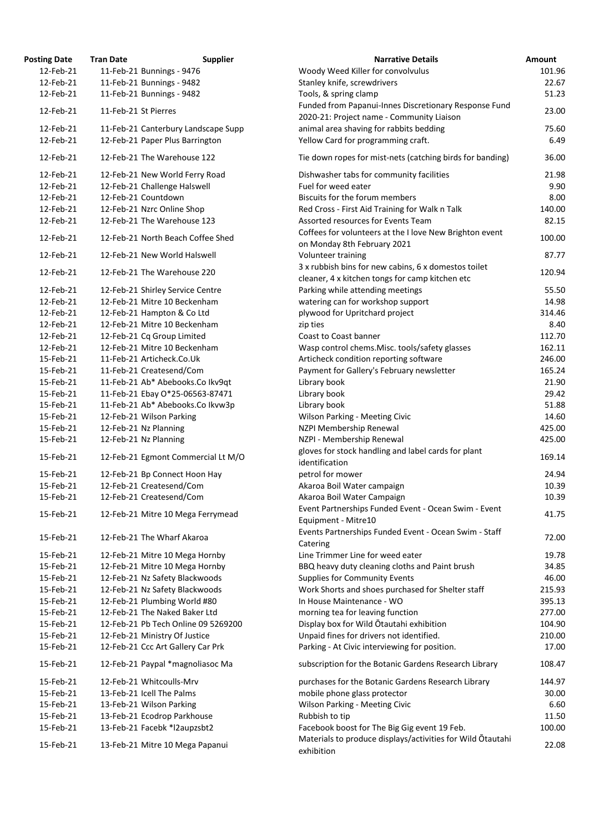| <b>Posting Date</b> | <b>Tran Date</b>     | <b>Supplier</b>                     | <b>Narrative Details</b>                                                               | Amount |
|---------------------|----------------------|-------------------------------------|----------------------------------------------------------------------------------------|--------|
| 12-Feb-21           |                      | 11-Feb-21 Bunnings - 9476           | Woody Weed Killer for convolvulus                                                      | 101.96 |
| 12-Feb-21           |                      | 11-Feb-21 Bunnings - 9482           | Stanley knife, screwdrivers                                                            | 22.67  |
| 12-Feb-21           |                      | 11-Feb-21 Bunnings - 9482           | Tools, & spring clamp                                                                  | 51.23  |
|                     |                      |                                     | Funded from Papanui-Innes Discretionary Response Fund                                  |        |
| 12-Feb-21           | 11-Feb-21 St Pierres |                                     | 2020-21: Project name - Community Liaison                                              | 23.00  |
| 12-Feb-21           |                      | 11-Feb-21 Canterbury Landscape Supp | animal area shaving for rabbits bedding                                                | 75.60  |
| 12-Feb-21           |                      | 12-Feb-21 Paper Plus Barrington     | Yellow Card for programming craft.                                                     | 6.49   |
|                     |                      |                                     |                                                                                        |        |
| 12-Feb-21           |                      | 12-Feb-21 The Warehouse 122         | Tie down ropes for mist-nets (catching birds for banding)                              | 36.00  |
| 12-Feb-21           |                      | 12-Feb-21 New World Ferry Road      | Dishwasher tabs for community facilities                                               | 21.98  |
| 12-Feb-21           |                      | 12-Feb-21 Challenge Halswell        | Fuel for weed eater                                                                    | 9.90   |
| 12-Feb-21           |                      | 12-Feb-21 Countdown                 | Biscuits for the forum members                                                         | 8.00   |
| 12-Feb-21           |                      | 12-Feb-21 Nzrc Online Shop          | Red Cross - First Aid Training for Walk n Talk                                         | 140.00 |
| 12-Feb-21           |                      | 12-Feb-21 The Warehouse 123         | Assorted resources for Events Team                                                     | 82.15  |
| 12-Feb-21           |                      | 12-Feb-21 North Beach Coffee Shed   | Coffees for volunteers at the I love New Brighton event<br>on Monday 8th February 2021 | 100.00 |
| 12-Feb-21           |                      | 12-Feb-21 New World Halswell        | Volunteer training                                                                     | 87.77  |
|                     |                      |                                     | 3 x rubbish bins for new cabins, 6 x domestos toilet                                   |        |
| 12-Feb-21           |                      | 12-Feb-21 The Warehouse 220         | cleaner, 4 x kitchen tongs for camp kitchen etc                                        | 120.94 |
| 12-Feb-21           |                      | 12-Feb-21 Shirley Service Centre    | Parking while attending meetings                                                       | 55.50  |
| 12-Feb-21           |                      | 12-Feb-21 Mitre 10 Beckenham        | watering can for workshop support                                                      | 14.98  |
| 12-Feb-21           |                      | 12-Feb-21 Hampton & Co Ltd          | plywood for Upritchard project                                                         | 314.46 |
| 12-Feb-21           |                      | 12-Feb-21 Mitre 10 Beckenham        | zip ties                                                                               | 8.40   |
| 12-Feb-21           |                      | 12-Feb-21 Cq Group Limited          | Coast to Coast banner                                                                  | 112.70 |
| 12-Feb-21           |                      | 12-Feb-21 Mitre 10 Beckenham        | Wasp control chems. Misc. tools/safety glasses                                         | 162.11 |
| 15-Feb-21           |                      | 11-Feb-21 Articheck.Co.Uk           | Articheck condition reporting software                                                 | 246.00 |
| 15-Feb-21           |                      | 11-Feb-21 Createsend/Com            | Payment for Gallery's February newsletter                                              | 165.24 |
| 15-Feb-21           |                      | 11-Feb-21 Ab* Abebooks.Co Ikv9qt    | Library book                                                                           | 21.90  |
| 15-Feb-21           |                      | 11-Feb-21 Ebay O*25-06563-87471     | Library book                                                                           | 29.42  |
| 15-Feb-21           |                      | 11-Feb-21 Ab* Abebooks.Co Ikvw3p    | Library book                                                                           | 51.88  |
| 15-Feb-21           |                      | 12-Feb-21 Wilson Parking            | <b>Wilson Parking - Meeting Civic</b>                                                  | 14.60  |
| 15-Feb-21           |                      | 12-Feb-21 Nz Planning               | NZPI Membership Renewal                                                                | 425.00 |
|                     |                      |                                     |                                                                                        |        |
| 15-Feb-21           |                      | 12-Feb-21 Nz Planning               | NZPI - Membership Renewal                                                              | 425.00 |
| 15-Feb-21           |                      | 12-Feb-21 Egmont Commercial Lt M/O  | gloves for stock handling and label cards for plant<br>identification                  | 169.14 |
| 15-Feb-21           |                      | 12-Feb-21 Bp Connect Hoon Hay       | petrol for mower                                                                       | 24.94  |
| 15-Feb-21           |                      | 12-Feb-21 Createsend/Com            | Akaroa Boil Water campaign                                                             | 10.39  |
| 15-Feb-21           |                      | 12-Feb-21 Createsend/Com            | Akaroa Boil Water Campaign                                                             | 10.39  |
|                     |                      |                                     | Event Partnerships Funded Event - Ocean Swim - Event                                   |        |
| 15-Feb-21           |                      | 12-Feb-21 Mitre 10 Mega Ferrymead   | Equipment - Mitre10                                                                    | 41.75  |
| 15-Feb-21           |                      | 12-Feb-21 The Wharf Akaroa          | Events Partnerships Funded Event - Ocean Swim - Staff                                  | 72.00  |
|                     |                      |                                     | Catering                                                                               |        |
| 15-Feb-21           |                      | 12-Feb-21 Mitre 10 Mega Hornby      | Line Trimmer Line for weed eater                                                       | 19.78  |
| 15-Feb-21           |                      | 12-Feb-21 Mitre 10 Mega Hornby      | BBQ heavy duty cleaning cloths and Paint brush                                         | 34.85  |
| 15-Feb-21           |                      | 12-Feb-21 Nz Safety Blackwoods      | <b>Supplies for Community Events</b>                                                   | 46.00  |
| 15-Feb-21           |                      | 12-Feb-21 Nz Safety Blackwoods      | Work Shorts and shoes purchased for Shelter staff                                      | 215.93 |
| 15-Feb-21           |                      | 12-Feb-21 Plumbing World #80        | In House Maintenance - WO                                                              | 395.13 |
| 15-Feb-21           |                      | 12-Feb-21 The Naked Baker Ltd       | morning tea for leaving function                                                       | 277.00 |
| 15-Feb-21           |                      | 12-Feb-21 Pb Tech Online 09 5269200 | Display box for Wild Otautahi exhibition                                               | 104.90 |
| 15-Feb-21           |                      | 12-Feb-21 Ministry Of Justice       | Unpaid fines for drivers not identified.                                               | 210.00 |
| 15-Feb-21           |                      | 12-Feb-21 Ccc Art Gallery Car Prk   | Parking - At Civic interviewing for position.                                          | 17.00  |
| 15-Feb-21           |                      | 12-Feb-21 Paypal *magnoliasoc Ma    | subscription for the Botanic Gardens Research Library                                  | 108.47 |
| 15-Feb-21           |                      | 12-Feb-21 Whitcoulls-Mrv            | purchases for the Botanic Gardens Research Library                                     | 144.97 |
| 15-Feb-21           |                      | 13-Feb-21 Icell The Palms           | mobile phone glass protector                                                           | 30.00  |
| 15-Feb-21           |                      | 13-Feb-21 Wilson Parking            | <b>Wilson Parking - Meeting Civic</b>                                                  | 6.60   |
| 15-Feb-21           |                      | 13-Feb-21 Ecodrop Parkhouse         | Rubbish to tip                                                                         | 11.50  |
| 15-Feb-21           |                      | 13-Feb-21 Facebk *l2aupzsbt2        | Facebook boost for The Big Gig event 19 Feb.                                           | 100.00 |
| 15-Feb-21           |                      | 13-Feb-21 Mitre 10 Mega Papanui     | Materials to produce displays/activities for Wild Otautahi<br>exhibition               | 22.08  |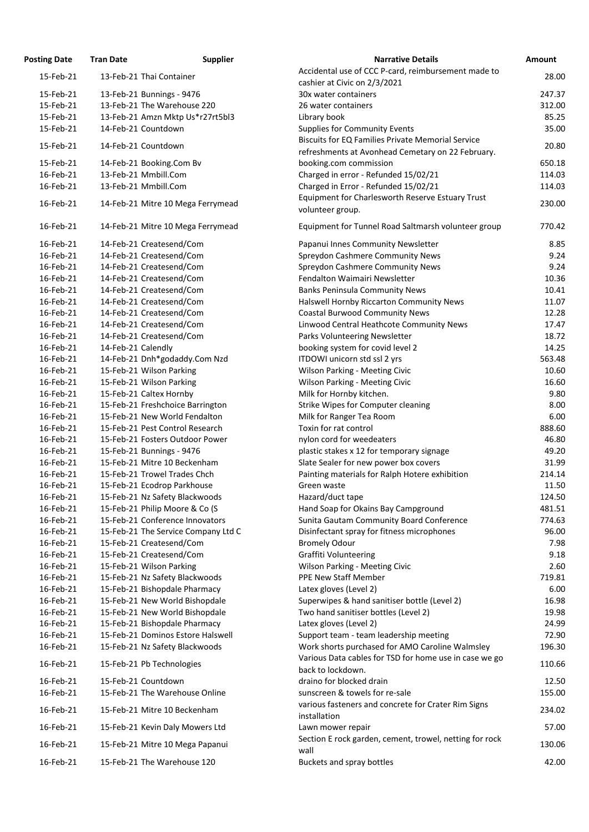| <b>Osting Date</b> | <b>Tran Date</b>                    | <b>Supplier</b> | <b>Narrative Details</b>                                                    |
|--------------------|-------------------------------------|-----------------|-----------------------------------------------------------------------------|
| 15-Feb-21          | 13-Feb-21 Thai Container            |                 | Accidental use of CCC P-card, reimbursement made to                         |
|                    |                                     |                 | cashier at Civic on 2/3/2021                                                |
| 15-Feb-21          | 13-Feb-21 Bunnings - 9476           |                 | 30x water containers                                                        |
| 15-Feb-21          | 13-Feb-21 The Warehouse 220         |                 | 26 water containers                                                         |
| 15-Feb-21          | 13-Feb-21 Amzn Mktp Us*r27rt5bl3    |                 | Library book                                                                |
| 15-Feb-21          | 14-Feb-21 Countdown                 |                 | <b>Supplies for Community Events</b>                                        |
| 15-Feb-21          | 14-Feb-21 Countdown                 |                 | <b>Biscuits for EQ Families Private Memorial Service</b>                    |
|                    |                                     |                 | refreshments at Avonhead Cemetary on 22 February.                           |
| 15-Feb-21          | 14-Feb-21 Booking.Com Bv            |                 | booking.com commission                                                      |
| 16-Feb-21          | 13-Feb-21 Mmbill.Com                |                 | Charged in error - Refunded 15/02/21                                        |
| 16-Feb-21          | 13-Feb-21 Mmbill.Com                |                 | Charged in Error - Refunded 15/02/21                                        |
| 16-Feb-21          | 14-Feb-21 Mitre 10 Mega Ferrymead   |                 | Equipment for Charlesworth Reserve Estuary Trust<br>volunteer group.        |
| 16-Feb-21          | 14-Feb-21 Mitre 10 Mega Ferrymead   |                 | Equipment for Tunnel Road Saltmarsh volunteer group                         |
| 16-Feb-21          | 14-Feb-21 Createsend/Com            |                 | Papanui Innes Community Newsletter                                          |
| 16-Feb-21          | 14-Feb-21 Createsend/Com            |                 | <b>Spreydon Cashmere Community News</b>                                     |
| 16-Feb-21          | 14-Feb-21 Createsend/Com            |                 | <b>Spreydon Cashmere Community News</b>                                     |
| 16-Feb-21          | 14-Feb-21 Createsend/Com            |                 | Fendalton Waimairi Newsletter                                               |
| 16-Feb-21          | 14-Feb-21 Createsend/Com            |                 | <b>Banks Peninsula Community News</b>                                       |
| 16-Feb-21          | 14-Feb-21 Createsend/Com            |                 | Halswell Hornby Riccarton Community News                                    |
| 16-Feb-21          | 14-Feb-21 Createsend/Com            |                 | <b>Coastal Burwood Community News</b>                                       |
| 16-Feb-21          | 14-Feb-21 Createsend/Com            |                 | Linwood Central Heathcote Community News                                    |
| 16-Feb-21          | 14-Feb-21 Createsend/Com            |                 | Parks Volunteering Newsletter                                               |
| 16-Feb-21          | 14-Feb-21 Calendly                  |                 | booking system for covid level 2                                            |
| 16-Feb-21          | 14-Feb-21 Dnh*godaddy.Com Nzd       |                 | ITDOWI unicorn std ssl 2 yrs                                                |
| 16-Feb-21          | 15-Feb-21 Wilson Parking            |                 | <b>Wilson Parking - Meeting Civic</b>                                       |
| 16-Feb-21          | 15-Feb-21 Wilson Parking            |                 | <b>Wilson Parking - Meeting Civic</b>                                       |
| 16-Feb-21          | 15-Feb-21 Caltex Hornby             |                 | Milk for Hornby kitchen.                                                    |
| 16-Feb-21          | 15-Feb-21 Freshchoice Barrington    |                 | Strike Wipes for Computer cleaning                                          |
| 16-Feb-21          | 15-Feb-21 New World Fendalton       |                 | Milk for Ranger Tea Room                                                    |
| 16-Feb-21          | 15-Feb-21 Pest Control Research     |                 | Toxin for rat control                                                       |
| 16-Feb-21          | 15-Feb-21 Fosters Outdoor Power     |                 | nylon cord for weedeaters                                                   |
| 16-Feb-21          | 15-Feb-21 Bunnings - 9476           |                 | plastic stakes x 12 for temporary signage                                   |
| 16-Feb-21          | 15-Feb-21 Mitre 10 Beckenham        |                 | Slate Sealer for new power box covers                                       |
| 16-Feb-21          | 15-Feb-21 Trowel Trades Chch        |                 | Painting materials for Ralph Hotere exhibition                              |
| 16-Feb-21          | 15-Feb-21 Ecodrop Parkhouse         |                 | Green waste                                                                 |
| 16-Feb-21          | 15-Feb-21 Nz Safety Blackwoods      |                 | Hazard/duct tape                                                            |
| 16-Feb-21          | 15-Feb-21 Philip Moore & Co (S      |                 | Hand Soap for Okains Bay Campground                                         |
| 16-Feb-21          | 15-Feb-21 Conference Innovators     |                 | Sunita Gautam Community Board Conference                                    |
| 16-Feb-21          | 15-Feb-21 The Service Company Ltd C |                 | Disinfectant spray for fitness microphones                                  |
| 16-Feb-21          | 15-Feb-21 Createsend/Com            |                 | <b>Bromely Odour</b>                                                        |
| 16-Feb-21          | 15-Feb-21 Createsend/Com            |                 | <b>Graffiti Volunteering</b>                                                |
| 16-Feb-21          | 15-Feb-21 Wilson Parking            |                 | <b>Wilson Parking - Meeting Civic</b>                                       |
| 16-Feb-21          | 15-Feb-21 Nz Safety Blackwoods      |                 | <b>PPE New Staff Member</b>                                                 |
| 16-Feb-21          | 15-Feb-21 Bishopdale Pharmacy       |                 | Latex gloves (Level 2)                                                      |
| 16-Feb-21          | 15-Feb-21 New World Bishopdale      |                 | Superwipes & hand sanitiser bottle (Level 2)                                |
| 16-Feb-21          | 15-Feb-21 New World Bishopdale      |                 | Two hand sanitiser bottles (Level 2)                                        |
| 16-Feb-21          | 15-Feb-21 Bishopdale Pharmacy       |                 | Latex gloves (Level 2)                                                      |
| 16-Feb-21          | 15-Feb-21 Dominos Estore Halswell   |                 | Support team - team leadership meeting                                      |
| 16-Feb-21          | 15-Feb-21 Nz Safety Blackwoods      |                 | Work shorts purchased for AMO Caroline Walmsley                             |
| 16-Feb-21          | 15-Feb-21 Pb Technologies           |                 | Various Data cables for TSD for home use in case we go<br>back to lockdown. |
| 16-Feb-21          | 15-Feb-21 Countdown                 |                 | draino for blocked drain                                                    |
| 16-Feb-21          | 15-Feb-21 The Warehouse Online      |                 | sunscreen & towels for re-sale                                              |
| 16-Feb-21          | 15-Feb-21 Mitre 10 Beckenham        |                 | various fasteners and concrete for Crater Rim Signs<br>installation         |
| 16-Feb-21          | 15-Feb-21 Kevin Daly Mowers Ltd     |                 | Lawn mower repair                                                           |
| 16-Feb-21          | 15-Feb-21 Mitre 10 Mega Papanui     |                 | Section E rock garden, cement, trowel, netting for rock                     |
|                    |                                     |                 | wall                                                                        |
| 16-Feb-21          | 15-Feb-21 The Warehouse 120         |                 | <b>Buckets and spray bottles</b>                                            |

| <b>Posting Date</b> | <b>Tran Date</b>   | <b>Supplier</b>                     | <b>Narrative Details</b>                                            | Amount |
|---------------------|--------------------|-------------------------------------|---------------------------------------------------------------------|--------|
| 15-Feb-21           |                    | 13-Feb-21 Thai Container            | Accidental use of CCC P-card, reimbursement made to                 | 28.00  |
|                     |                    |                                     | cashier at Civic on 2/3/2021                                        |        |
| 15-Feb-21           |                    | 13-Feb-21 Bunnings - 9476           | 30x water containers                                                | 247.37 |
| 15-Feb-21           |                    | 13-Feb-21 The Warehouse 220         | 26 water containers                                                 | 312.00 |
| 15-Feb-21           |                    | 13-Feb-21 Amzn Mktp Us*r27rt5bl3    | Library book                                                        | 85.25  |
| 15-Feb-21           |                    | 14-Feb-21 Countdown                 | <b>Supplies for Community Events</b>                                | 35.00  |
|                     |                    |                                     | <b>Biscuits for EQ Families Private Memorial Service</b>            |        |
| 15-Feb-21           |                    | 14-Feb-21 Countdown                 | refreshments at Avonhead Cemetary on 22 February.                   | 20.80  |
| 15-Feb-21           |                    | 14-Feb-21 Booking.Com Bv            | booking.com commission                                              | 650.18 |
| 16-Feb-21           |                    | 13-Feb-21 Mmbill.Com                | Charged in error - Refunded 15/02/21                                | 114.03 |
| 16-Feb-21           |                    | 13-Feb-21 Mmbill.Com                | Charged in Error - Refunded 15/02/21                                | 114.03 |
|                     |                    |                                     | Equipment for Charlesworth Reserve Estuary Trust                    |        |
| 16-Feb-21           |                    | 14-Feb-21 Mitre 10 Mega Ferrymead   | volunteer group.                                                    | 230.00 |
| 16-Feb-21           |                    | 14-Feb-21 Mitre 10 Mega Ferrymead   | Equipment for Tunnel Road Saltmarsh volunteer group                 | 770.42 |
|                     |                    |                                     |                                                                     |        |
| 16-Feb-21           |                    | 14-Feb-21 Createsend/Com            | Papanui Innes Community Newsletter                                  | 8.85   |
| 16-Feb-21           |                    | 14-Feb-21 Createsend/Com            | <b>Spreydon Cashmere Community News</b>                             | 9.24   |
| 16-Feb-21           |                    | 14-Feb-21 Createsend/Com            | <b>Spreydon Cashmere Community News</b>                             | 9.24   |
| 16-Feb-21           |                    | 14-Feb-21 Createsend/Com            | Fendalton Waimairi Newsletter                                       | 10.36  |
| 16-Feb-21           |                    | 14-Feb-21 Createsend/Com            | <b>Banks Peninsula Community News</b>                               | 10.41  |
| 16-Feb-21           |                    | 14-Feb-21 Createsend/Com            | Halswell Hornby Riccarton Community News                            | 11.07  |
| 16-Feb-21           |                    | 14-Feb-21 Createsend/Com            | <b>Coastal Burwood Community News</b>                               | 12.28  |
| 16-Feb-21           |                    | 14-Feb-21 Createsend/Com            | Linwood Central Heathcote Community News                            | 17.47  |
| 16-Feb-21           |                    | 14-Feb-21 Createsend/Com            | Parks Volunteering Newsletter                                       | 18.72  |
| 16-Feb-21           | 14-Feb-21 Calendly |                                     | booking system for covid level 2                                    | 14.25  |
| 16-Feb-21           |                    | 14-Feb-21 Dnh*godaddy.Com Nzd       | ITDOWI unicorn std ssl 2 yrs                                        | 563.48 |
| 16-Feb-21           |                    | 15-Feb-21 Wilson Parking            | <b>Wilson Parking - Meeting Civic</b>                               | 10.60  |
| 16-Feb-21           |                    | 15-Feb-21 Wilson Parking            | <b>Wilson Parking - Meeting Civic</b>                               | 16.60  |
| 16-Feb-21           |                    | 15-Feb-21 Caltex Hornby             | Milk for Hornby kitchen.                                            | 9.80   |
| 16-Feb-21           |                    | 15-Feb-21 Freshchoice Barrington    | Strike Wipes for Computer cleaning                                  | 8.00   |
| 16-Feb-21           |                    | 15-Feb-21 New World Fendalton       | Milk for Ranger Tea Room                                            | 6.00   |
| 16-Feb-21           |                    | 15-Feb-21 Pest Control Research     | Toxin for rat control                                               | 888.60 |
| 16-Feb-21           |                    | 15-Feb-21 Fosters Outdoor Power     | nylon cord for weedeaters                                           | 46.80  |
| 16-Feb-21           |                    | 15-Feb-21 Bunnings - 9476           | plastic stakes x 12 for temporary signage                           | 49.20  |
| 16-Feb-21           |                    | 15-Feb-21 Mitre 10 Beckenham        | Slate Sealer for new power box covers                               | 31.99  |
| 16-Feb-21           |                    | 15-Feb-21 Trowel Trades Chch        | Painting materials for Ralph Hotere exhibition                      | 214.14 |
| 16-Feb-21           |                    | 15-Feb-21 Ecodrop Parkhouse         | Green waste                                                         | 11.50  |
| 16-Feb-21           |                    | 15-Feb-21 Nz Safety Blackwoods      | Hazard/duct tape                                                    | 124.50 |
| 16-Feb-21           |                    | 15-Feb-21 Philip Moore & Co (S      | Hand Soap for Okains Bay Campground                                 | 481.51 |
| 16-Feb-21           |                    | 15-Feb-21 Conference Innovators     | Sunita Gautam Community Board Conference                            | 774.63 |
| 16-Feb-21           |                    | 15-Feb-21 The Service Company Ltd C | Disinfectant spray for fitness microphones                          | 96.00  |
| 16-Feb-21           |                    | 15-Feb-21 Createsend/Com            | <b>Bromely Odour</b>                                                | 7.98   |
| 16-Feb-21           |                    | 15-Feb-21 Createsend/Com            | <b>Graffiti Volunteering</b>                                        | 9.18   |
| 16-Feb-21           |                    | 15-Feb-21 Wilson Parking            | <b>Wilson Parking - Meeting Civic</b>                               | 2.60   |
| 16-Feb-21           |                    | 15-Feb-21 Nz Safety Blackwoods      | <b>PPE New Staff Member</b>                                         | 719.81 |
| 16-Feb-21           |                    | 15-Feb-21 Bishopdale Pharmacy       | Latex gloves (Level 2)                                              | 6.00   |
| 16-Feb-21           |                    | 15-Feb-21 New World Bishopdale      | Superwipes & hand sanitiser bottle (Level 2)                        | 16.98  |
| 16-Feb-21           |                    | 15-Feb-21 New World Bishopdale      | Two hand sanitiser bottles (Level 2)                                | 19.98  |
| 16-Feb-21           |                    | 15-Feb-21 Bishopdale Pharmacy       | Latex gloves (Level 2)                                              | 24.99  |
| 16-Feb-21           |                    | 15-Feb-21 Dominos Estore Halswell   | Support team - team leadership meeting                              | 72.90  |
| 16-Feb-21           |                    | 15-Feb-21 Nz Safety Blackwoods      | Work shorts purchased for AMO Caroline Walmsley                     | 196.30 |
|                     |                    |                                     | Various Data cables for TSD for home use in case we go              |        |
| 16-Feb-21           |                    | 15-Feb-21 Pb Technologies           | back to lockdown.                                                   | 110.66 |
| 16-Feb-21           |                    | 15-Feb-21 Countdown                 | draino for blocked drain                                            | 12.50  |
| 16-Feb-21           |                    | 15-Feb-21 The Warehouse Online      | sunscreen & towels for re-sale                                      | 155.00 |
| 16-Feb-21           |                    | 15-Feb-21 Mitre 10 Beckenham        | various fasteners and concrete for Crater Rim Signs<br>installation | 234.02 |
| 16-Feb-21           |                    | 15-Feb-21 Kevin Daly Mowers Ltd     | Lawn mower repair                                                   | 57.00  |
| 16-Feb-21           |                    | 15-Feb-21 Mitre 10 Mega Papanui     | Section E rock garden, cement, trowel, netting for rock<br>wall     | 130.06 |
| 16-Feb-21           |                    | 15-Feb-21 The Warehouse 120         | Buckets and spray bottles                                           | 42.00  |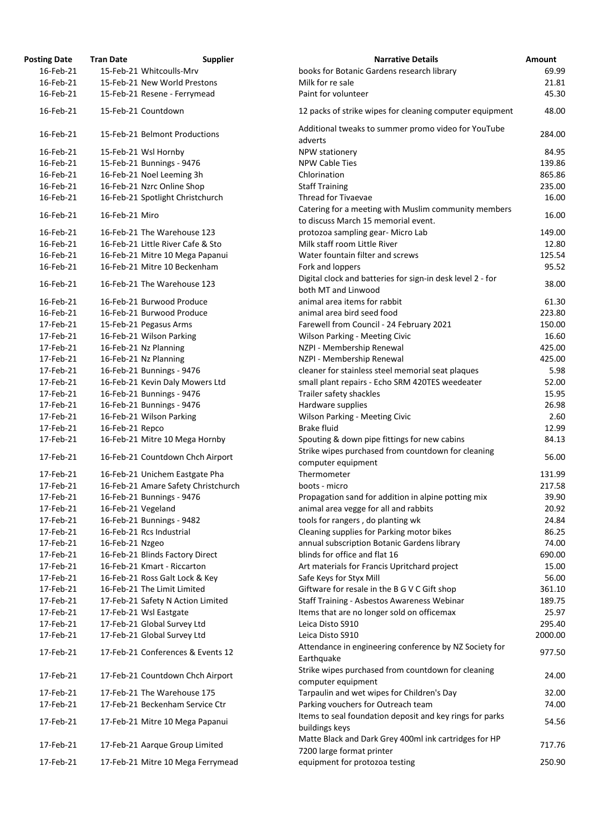| <b>Posting Date</b> | <b>Tran Date</b>   | <b>Supplier</b>                     | <b>Narrative Details</b>                                                                    | Amount  |
|---------------------|--------------------|-------------------------------------|---------------------------------------------------------------------------------------------|---------|
| 16-Feb-21           |                    | 15-Feb-21 Whitcoulls-Mrv            | books for Botanic Gardens research library                                                  | 69.99   |
| 16-Feb-21           |                    | 15-Feb-21 New World Prestons        | Milk for re sale                                                                            | 21.81   |
| 16-Feb-21           |                    | 15-Feb-21 Resene - Ferrymead        | Paint for volunteer                                                                         | 45.30   |
| 16-Feb-21           |                    | 15-Feb-21 Countdown                 | 12 packs of strike wipes for cleaning computer equipment                                    | 48.00   |
| 16-Feb-21           |                    | 15-Feb-21 Belmont Productions       | Additional tweaks to summer promo video for YouTube                                         | 284.00  |
|                     |                    |                                     | adverts                                                                                     |         |
| 16-Feb-21           |                    | 15-Feb-21 Wsl Hornby                | NPW stationery                                                                              | 84.95   |
| 16-Feb-21           |                    | 15-Feb-21 Bunnings - 9476           | <b>NPW Cable Ties</b>                                                                       | 139.86  |
| 16-Feb-21           |                    | 16-Feb-21 Noel Leeming 3h           | Chlorination                                                                                | 865.86  |
| 16-Feb-21           |                    | 16-Feb-21 Nzrc Online Shop          | <b>Staff Training</b>                                                                       | 235.00  |
| 16-Feb-21           |                    | 16-Feb-21 Spotlight Christchurch    | Thread for Tivaevae                                                                         | 16.00   |
| 16-Feb-21           | 16-Feb-21 Miro     |                                     | Catering for a meeting with Muslim community members<br>to discuss March 15 memorial event. | 16.00   |
| 16-Feb-21           |                    | 16-Feb-21 The Warehouse 123         | protozoa sampling gear- Micro Lab                                                           | 149.00  |
| 16-Feb-21           |                    | 16-Feb-21 Little River Cafe & Sto   | Milk staff room Little River                                                                | 12.80   |
| 16-Feb-21           |                    | 16-Feb-21 Mitre 10 Mega Papanui     | Water fountain filter and screws                                                            | 125.54  |
| 16-Feb-21           |                    | 16-Feb-21 Mitre 10 Beckenham        | Fork and loppers                                                                            | 95.52   |
|                     |                    |                                     | Digital clock and batteries for sign-in desk level 2 - for                                  |         |
| 16-Feb-21           |                    | 16-Feb-21 The Warehouse 123         | both MT and Linwood                                                                         | 38.00   |
| 16-Feb-21           |                    | 16-Feb-21 Burwood Produce           | animal area items for rabbit                                                                | 61.30   |
| 16-Feb-21           |                    | 16-Feb-21 Burwood Produce           | animal area bird seed food                                                                  | 223.80  |
| 17-Feb-21           |                    | 15-Feb-21 Pegasus Arms              | Farewell from Council - 24 February 2021                                                    | 150.00  |
| 17-Feb-21           |                    |                                     |                                                                                             | 16.60   |
|                     |                    | 16-Feb-21 Wilson Parking            | <b>Wilson Parking - Meeting Civic</b>                                                       |         |
| 17-Feb-21           |                    | 16-Feb-21 Nz Planning               | NZPI - Membership Renewal                                                                   | 425.00  |
| 17-Feb-21           |                    | 16-Feb-21 Nz Planning               | NZPI - Membership Renewal                                                                   | 425.00  |
| 17-Feb-21           |                    | 16-Feb-21 Bunnings - 9476           | cleaner for stainless steel memorial seat plaques                                           | 5.98    |
| 17-Feb-21           |                    | 16-Feb-21 Kevin Daly Mowers Ltd     | small plant repairs - Echo SRM 420TES weedeater                                             | 52.00   |
| 17-Feb-21           |                    | 16-Feb-21 Bunnings - 9476           | Trailer safety shackles                                                                     | 15.95   |
| 17-Feb-21           |                    | 16-Feb-21 Bunnings - 9476           | Hardware supplies                                                                           | 26.98   |
| 17-Feb-21           |                    | 16-Feb-21 Wilson Parking            | <b>Wilson Parking - Meeting Civic</b>                                                       | 2.60    |
| 17-Feb-21           | 16-Feb-21 Repco    |                                     | <b>Brake fluid</b>                                                                          | 12.99   |
| 17-Feb-21           |                    | 16-Feb-21 Mitre 10 Mega Hornby      | Spouting & down pipe fittings for new cabins                                                | 84.13   |
| 17-Feb-21           |                    | 16-Feb-21 Countdown Chch Airport    | Strike wipes purchased from countdown for cleaning<br>computer equipment                    | 56.00   |
| 17-Feb-21           |                    | 16-Feb-21 Unichem Eastgate Pha      | Thermometer                                                                                 | 131.99  |
| 17-Feb-21           |                    | 16-Feb-21 Amare Safety Christchurch | boots - micro                                                                               | 217.58  |
| 17-Feb-21           |                    | 16-Feb-21 Bunnings - 9476           | Propagation sand for addition in alpine potting mix                                         | 39.90   |
| 17-Feb-21           | 16-Feb-21 Vegeland |                                     | animal area vegge for all and rabbits                                                       | 20.92   |
| 17-Feb-21           |                    | 16-Feb-21 Bunnings - 9482           | tools for rangers, do planting wk                                                           | 24.84   |
| 17-Feb-21           |                    | 16-Feb-21 Rcs Industrial            | Cleaning supplies for Parking motor bikes                                                   | 86.25   |
| 17-Feb-21           |                    |                                     |                                                                                             | 74.00   |
|                     | 16-Feb-21 Nzgeo    |                                     | annual subscription Botanic Gardens library<br>blinds for office and flat 16                |         |
| 17-Feb-21           |                    | 16-Feb-21 Blinds Factory Direct     |                                                                                             | 690.00  |
| 17-Feb-21           |                    | 16-Feb-21 Kmart - Riccarton         | Art materials for Francis Upritchard project                                                | 15.00   |
| 17-Feb-21           |                    | 16-Feb-21 Ross Galt Lock & Key      | Safe Keys for Styx Mill                                                                     | 56.00   |
| 17-Feb-21           |                    | 16-Feb-21 The Limit Limited         | Giftware for resale in the B G V C Gift shop                                                | 361.10  |
| 17-Feb-21           |                    | 17-Feb-21 Safety N Action Limited   | Staff Training - Asbestos Awareness Webinar                                                 | 189.75  |
| 17-Feb-21           |                    | 17-Feb-21 Wsl Eastgate              | Items that are no longer sold on officemax                                                  | 25.97   |
| 17-Feb-21           |                    | 17-Feb-21 Global Survey Ltd         | Leica Disto S910                                                                            | 295.40  |
| 17-Feb-21           |                    | 17-Feb-21 Global Survey Ltd         | Leica Disto S910<br>Attendance in engineering conference by NZ Society for                  | 2000.00 |
| 17-Feb-21           |                    | 17-Feb-21 Conferences & Events 12   | Earthquake                                                                                  | 977.50  |
| 17-Feb-21           |                    | 17-Feb-21 Countdown Chch Airport    | Strike wipes purchased from countdown for cleaning<br>computer equipment                    | 24.00   |
| 17-Feb-21           |                    | 17-Feb-21 The Warehouse 175         | Tarpaulin and wet wipes for Children's Day                                                  | 32.00   |
| 17-Feb-21           |                    | 17-Feb-21 Beckenham Service Ctr     | Parking vouchers for Outreach team                                                          | 74.00   |
| 17-Feb-21           |                    | 17-Feb-21 Mitre 10 Mega Papanui     | Items to seal foundation deposit and key rings for parks<br>buildings keys                  | 54.56   |
| 17-Feb-21           |                    | 17-Feb-21 Aarque Group Limited      | Matte Black and Dark Grey 400ml ink cartridges for HP<br>7200 large format printer          | 717.76  |
| 17-Feb-21           |                    | 17-Feb-21 Mitre 10 Mega Ferrymead   | equipment for protozoa testing                                                              | 250.90  |
|                     |                    |                                     |                                                                                             |         |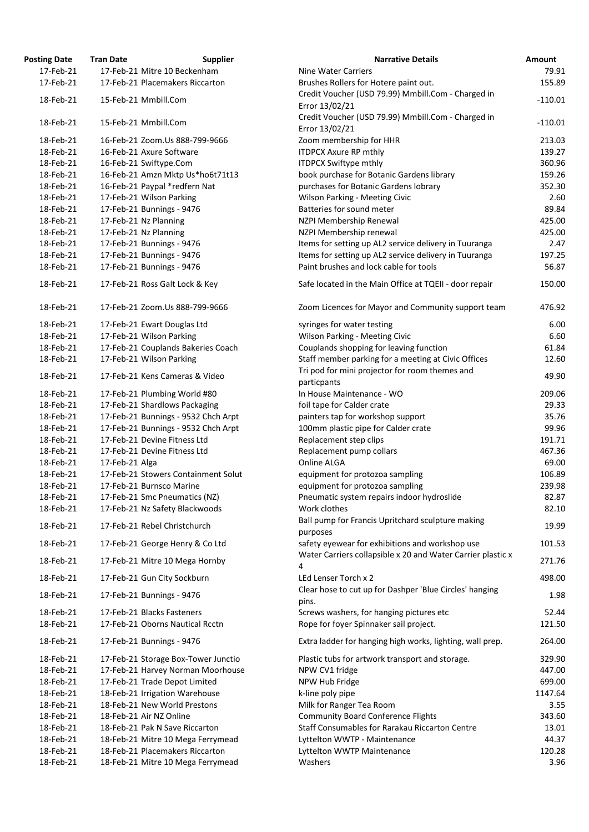| osting Date | <b>Tran Date</b> | <b>Supplier</b>                     | <b>Narrative Details</b>                                 |
|-------------|------------------|-------------------------------------|----------------------------------------------------------|
| 17-Feb-21   |                  | 17-Feb-21 Mitre 10 Beckenham        | <b>Nine Water Carriers</b>                               |
| 17-Feb-21   |                  | 17-Feb-21 Placemakers Riccarton     | Brushes Rollers for Hotere paint out.                    |
| 18-Feb-21   |                  | 15-Feb-21 Mmbill.Com                | Credit Voucher (USD 79.99) Mmbill.Com - Charged in       |
|             |                  |                                     | Error 13/02/21                                           |
| 18-Feb-21   |                  | 15-Feb-21 Mmbill.Com                | Credit Voucher (USD 79.99) Mmbill.Com - Charged in       |
|             |                  |                                     | Error 13/02/21                                           |
| 18-Feb-21   |                  | 16-Feb-21 Zoom.Us 888-799-9666      | Zoom membership for HHR                                  |
| 18-Feb-21   |                  | 16-Feb-21 Axure Software            | <b>ITDPCX Axure RP mthly</b>                             |
| 18-Feb-21   |                  | 16-Feb-21 Swiftype.Com              | <b>ITDPCX Swiftype mthly</b>                             |
| 18-Feb-21   |                  | 16-Feb-21 Amzn Mktp Us*ho6t71t13    | book purchase for Botanic Gardens library                |
| 18-Feb-21   |                  | 16-Feb-21 Paypal *redfern Nat       | purchases for Botanic Gardens lobrary                    |
| 18-Feb-21   |                  | 17-Feb-21 Wilson Parking            | <b>Wilson Parking - Meeting Civic</b>                    |
| 18-Feb-21   |                  | 17-Feb-21 Bunnings - 9476           | Batteries for sound meter                                |
| 18-Feb-21   |                  | 17-Feb-21 Nz Planning               | NZPI Membership Renewal                                  |
| 18-Feb-21   |                  | 17-Feb-21 Nz Planning               | NZPI Membership renewal                                  |
| 18-Feb-21   |                  | 17-Feb-21 Bunnings - 9476           | Items for setting up AL2 service delivery in Tuuranga    |
| 18-Feb-21   |                  | 17-Feb-21 Bunnings - 9476           | Items for setting up AL2 service delivery in Tuuranga    |
| 18-Feb-21   |                  | 17-Feb-21 Bunnings - 9476           | Paint brushes and lock cable for tools                   |
|             |                  |                                     |                                                          |
| 18-Feb-21   |                  | 17-Feb-21 Ross Galt Lock & Key      | Safe located in the Main Office at TQEII - door repair   |
| 18-Feb-21   |                  | 17-Feb-21 Zoom.Us 888-799-9666      | Zoom Licences for Mayor and Community support tea        |
| 18-Feb-21   |                  | 17-Feb-21 Ewart Douglas Ltd         | syringes for water testing                               |
| 18-Feb-21   |                  | 17-Feb-21 Wilson Parking            | Wilson Parking - Meeting Civic                           |
| 18-Feb-21   |                  | 17-Feb-21 Couplands Bakeries Coach  | Couplands shopping for leaving function                  |
| 18-Feb-21   |                  | 17-Feb-21 Wilson Parking            | Staff member parking for a meeting at Civic Offices      |
|             |                  |                                     | Tri pod for mini projector for room themes and           |
| 18-Feb-21   |                  | 17-Feb-21 Kens Cameras & Video      | particpants                                              |
| 18-Feb-21   |                  | 17-Feb-21 Plumbing World #80        | In House Maintenance - WO                                |
| 18-Feb-21   |                  | 17-Feb-21 Shardlows Packaging       | foil tape for Calder crate                               |
| 18-Feb-21   |                  | 17-Feb-21 Bunnings - 9532 Chch Arpt | painters tap for workshop support                        |
| 18-Feb-21   |                  | 17-Feb-21 Bunnings - 9532 Chch Arpt | 100mm plastic pipe for Calder crate                      |
| 18-Feb-21   |                  | 17-Feb-21 Devine Fitness Ltd        | Replacement step clips                                   |
| 18-Feb-21   |                  | 17-Feb-21 Devine Fitness Ltd        | Replacement pump collars                                 |
| 18-Feb-21   | 17-Feb-21 Alga   |                                     | Online ALGA                                              |
| 18-Feb-21   |                  | 17-Feb-21 Stowers Containment Solut | equipment for protozoa sampling                          |
| 18-Feb-21   |                  | 17-Feb-21 Burnsco Marine            | equipment for protozoa sampling                          |
| 18-Feb-21   |                  | 17-Feb-21 Smc Pneumatics (NZ)       | Pneumatic system repairs indoor hydroslide               |
| 18-Feb-21   |                  | 17-Feb-21 Nz Safety Blackwoods      | Work clothes                                             |
|             |                  |                                     | Ball pump for Francis Upritchard sculpture making        |
| 18-Feb-21   |                  | 17-Feb-21 Rebel Christchurch        | purposes                                                 |
| 18-Feb-21   |                  | 17-Feb-21 George Henry & Co Ltd     | safety eyewear for exhibitions and workshop use          |
|             |                  |                                     | Water Carriers collapsible x 20 and Water Carrier plast  |
| 18-Feb-21   |                  | 17-Feb-21 Mitre 10 Mega Hornby      | 4                                                        |
| 18-Feb-21   |                  | 17-Feb-21 Gun City Sockburn         | LEd Lenser Torch x 2                                     |
|             |                  |                                     | Clear hose to cut up for Dashper 'Blue Circles' hanging  |
| 18-Feb-21   |                  | 17-Feb-21 Bunnings - 9476           |                                                          |
| 18-Feb-21   |                  | 17-Feb-21 Blacks Fasteners          | pins.                                                    |
|             |                  |                                     | Screws washers, for hanging pictures etc                 |
| 18-Feb-21   |                  | 17-Feb-21 Oborns Nautical Rcctn     | Rope for foyer Spinnaker sail project.                   |
| 18-Feb-21   |                  | 17-Feb-21 Bunnings - 9476           | Extra ladder for hanging high works, lighting, wall prep |
| 18-Feb-21   |                  | 17-Feb-21 Storage Box-Tower Junctio | Plastic tubs for artwork transport and storage.          |
| 18-Feb-21   |                  | 17-Feb-21 Harvey Norman Moorhouse   | NPW CV1 fridge                                           |
| 18-Feb-21   |                  | 17-Feb-21 Trade Depot Limited       | NPW Hub Fridge                                           |
| 18-Feb-21   |                  | 18-Feb-21 Irrigation Warehouse      | k-line poly pipe                                         |
| 18-Feb-21   |                  | 18-Feb-21 New World Prestons        | Milk for Ranger Tea Room                                 |
| 18-Feb-21   |                  | 18-Feb-21 Air NZ Online             | <b>Community Board Conference Flights</b>                |
| 18-Feb-21   |                  | 18-Feb-21 Pak N Save Riccarton      | Staff Consumables for Rarakau Riccarton Centre           |
| 18-Feb-21   |                  | 18-Feb-21 Mitre 10 Mega Ferrymead   | Lyttelton WWTP - Maintenance                             |
| 18-Feb-21   |                  | 18-Feb-21 Placemakers Riccarton     | Lyttelton WWTP Maintenance                               |
| 18-Feb-21   |                  | 18-Feb-21 Mitre 10 Mega Ferrymead   | Washers                                                  |
|             |                  |                                     |                                                          |

| <b>Posting Date</b> | <b>Tran Date</b> | <b>Supplier</b>                     | <b>Narrative Details</b>                                         | <b>Amount</b> |
|---------------------|------------------|-------------------------------------|------------------------------------------------------------------|---------------|
| 17-Feb-21           |                  | 17-Feb-21 Mitre 10 Beckenham        | <b>Nine Water Carriers</b>                                       | 79.91         |
| 17-Feb-21           |                  | 17-Feb-21 Placemakers Riccarton     | Brushes Rollers for Hotere paint out.                            | 155.89        |
|                     |                  |                                     | Credit Voucher (USD 79.99) Mmbill.Com - Charged in               |               |
| 18-Feb-21           |                  | 15-Feb-21 Mmbill.Com                | Error 13/02/21                                                   | $-110.01$     |
|                     |                  |                                     | Credit Voucher (USD 79.99) Mmbill.Com - Charged in               |               |
| 18-Feb-21           |                  | 15-Feb-21 Mmbill.Com                | Error 13/02/21                                                   | $-110.01$     |
| 18-Feb-21           |                  | 16-Feb-21 Zoom.Us 888-799-9666      | Zoom membership for HHR                                          | 213.03        |
| 18-Feb-21           |                  | 16-Feb-21 Axure Software            | <b>ITDPCX Axure RP mthly</b>                                     | 139.27        |
| 18-Feb-21           |                  | 16-Feb-21 Swiftype.Com              | <b>ITDPCX Swiftype mthly</b>                                     | 360.96        |
| 18-Feb-21           |                  | 16-Feb-21 Amzn Mktp Us*ho6t71t13    | book purchase for Botanic Gardens library                        | 159.26        |
| 18-Feb-21           |                  | 16-Feb-21 Paypal *redfern Nat       | purchases for Botanic Gardens lobrary                            | 352.30        |
| 18-Feb-21           |                  | 17-Feb-21 Wilson Parking            | <b>Wilson Parking - Meeting Civic</b>                            | 2.60          |
| 18-Feb-21           |                  | 17-Feb-21 Bunnings - 9476           | Batteries for sound meter                                        | 89.84         |
| 18-Feb-21           |                  | 17-Feb-21 Nz Planning               | NZPI Membership Renewal                                          | 425.00        |
| 18-Feb-21           |                  | 17-Feb-21 Nz Planning               | NZPI Membership renewal                                          | 425.00        |
| 18-Feb-21           |                  | 17-Feb-21 Bunnings - 9476           | Items for setting up AL2 service delivery in Tuuranga            | 2.47          |
| 18-Feb-21           |                  | 17-Feb-21 Bunnings - 9476           | Items for setting up AL2 service delivery in Tuuranga            | 197.25        |
|                     |                  |                                     |                                                                  |               |
| 18-Feb-21           |                  | 17-Feb-21 Bunnings - 9476           | Paint brushes and lock cable for tools                           | 56.87         |
| 18-Feb-21           |                  | 17-Feb-21 Ross Galt Lock & Key      | Safe located in the Main Office at TQEII - door repair           | 150.00        |
| 18-Feb-21           |                  | 17-Feb-21 Zoom.Us 888-799-9666      | Zoom Licences for Mayor and Community support team               | 476.92        |
| 18-Feb-21           |                  | 17-Feb-21 Ewart Douglas Ltd         | syringes for water testing                                       | 6.00          |
| 18-Feb-21           |                  | 17-Feb-21 Wilson Parking            | Wilson Parking - Meeting Civic                                   | 6.60          |
| 18-Feb-21           |                  | 17-Feb-21 Couplands Bakeries Coach  | Couplands shopping for leaving function                          | 61.84         |
| 18-Feb-21           |                  | 17-Feb-21 Wilson Parking            |                                                                  | 12.60         |
|                     |                  |                                     | Staff member parking for a meeting at Civic Offices              |               |
| 18-Feb-21           |                  | 17-Feb-21 Kens Cameras & Video      | Tri pod for mini projector for room themes and<br>particpants    | 49.90         |
| 18-Feb-21           |                  | 17-Feb-21 Plumbing World #80        | In House Maintenance - WO                                        | 209.06        |
| 18-Feb-21           |                  | 17-Feb-21 Shardlows Packaging       | foil tape for Calder crate                                       | 29.33         |
| 18-Feb-21           |                  | 17-Feb-21 Bunnings - 9532 Chch Arpt | painters tap for workshop support                                | 35.76         |
| 18-Feb-21           |                  | 17-Feb-21 Bunnings - 9532 Chch Arpt | 100mm plastic pipe for Calder crate                              | 99.96         |
| 18-Feb-21           |                  | 17-Feb-21 Devine Fitness Ltd        | Replacement step clips                                           | 191.71        |
| 18-Feb-21           |                  | 17-Feb-21 Devine Fitness Ltd        | Replacement pump collars                                         | 467.36        |
| 18-Feb-21           | 17-Feb-21 Alga   |                                     | Online ALGA                                                      | 69.00         |
| 18-Feb-21           |                  | 17-Feb-21 Stowers Containment Solut | equipment for protozoa sampling                                  | 106.89        |
| 18-Feb-21           |                  | 17-Feb-21 Burnsco Marine            | equipment for protozoa sampling                                  | 239.98        |
| 18-Feb-21           |                  | 17-Feb-21 Smc Pneumatics (NZ)       | Pneumatic system repairs indoor hydroslide                       | 82.87         |
| 18-Feb-21           |                  | 17-Feb-21 Nz Safety Blackwoods      | Work clothes                                                     | 82.10         |
|                     |                  |                                     | Ball pump for Francis Upritchard sculpture making                |               |
| 18-Feb-21           |                  | 17-Feb-21 Rebel Christchurch        | purposes                                                         | 19.99         |
| 18-Feb-21           |                  | 17-Feb-21 George Henry & Co Ltd     | safety eyewear for exhibitions and workshop use                  | 101.53        |
| 18-Feb-21           |                  | 17-Feb-21 Mitre 10 Mega Hornby      | Water Carriers collapsible x 20 and Water Carrier plastic x<br>4 | 271.76        |
| 18-Feb-21           |                  | 17-Feb-21 Gun City Sockburn         | LEd Lenser Torch x 2                                             | 498.00        |
| 18-Feb-21           |                  | 17-Feb-21 Bunnings - 9476           | Clear hose to cut up for Dashper 'Blue Circles' hanging<br>pins. | 1.98          |
| 18-Feb-21           |                  | 17-Feb-21 Blacks Fasteners          | Screws washers, for hanging pictures etc                         | 52.44         |
| 18-Feb-21           |                  | 17-Feb-21 Oborns Nautical Rcctn     | Rope for foyer Spinnaker sail project.                           | 121.50        |
|                     |                  |                                     |                                                                  |               |
| 18-Feb-21           |                  | 17-Feb-21 Bunnings - 9476           | Extra ladder for hanging high works, lighting, wall prep.        | 264.00        |
| 18-Feb-21           |                  | 17-Feb-21 Storage Box-Tower Junctio | Plastic tubs for artwork transport and storage.                  | 329.90        |
| 18-Feb-21           |                  | 17-Feb-21 Harvey Norman Moorhouse   | NPW CV1 fridge                                                   | 447.00        |
| 18-Feb-21           |                  | 17-Feb-21 Trade Depot Limited       | NPW Hub Fridge                                                   | 699.00        |
| 18-Feb-21           |                  | 18-Feb-21 Irrigation Warehouse      | k-line poly pipe                                                 | 1147.64       |
| 18-Feb-21           |                  | 18-Feb-21 New World Prestons        | Milk for Ranger Tea Room                                         | 3.55          |
| 18-Feb-21           |                  | 18-Feb-21 Air NZ Online             | <b>Community Board Conference Flights</b>                        | 343.60        |
| 18-Feb-21           |                  | 18-Feb-21 Pak N Save Riccarton      | Staff Consumables for Rarakau Riccarton Centre                   | 13.01         |
| 18-Feb-21           |                  | 18-Feb-21 Mitre 10 Mega Ferrymead   | Lyttelton WWTP - Maintenance                                     | 44.37         |
| 18-Feb-21           |                  | 18-Feb-21 Placemakers Riccarton     | Lyttelton WWTP Maintenance                                       | 120.28        |
| 18-Feb-21           |                  | 18-Feb-21 Mitre 10 Mega Ferrymead   | Washers                                                          | 3.96          |
|                     |                  |                                     |                                                                  |               |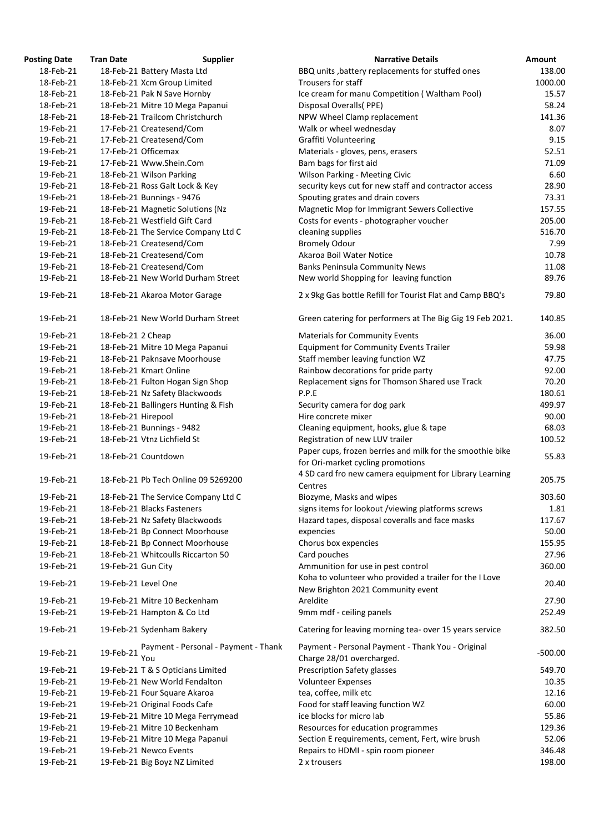| <b>Posting Date</b> | <b>Tran Date</b>   | <b>Supplier</b>                             | <b>Narrative Details</b>                                                                     | Amount    |
|---------------------|--------------------|---------------------------------------------|----------------------------------------------------------------------------------------------|-----------|
| 18-Feb-21           |                    | 18-Feb-21 Battery Masta Ltd                 | BBQ units, battery replacements for stuffed ones                                             | 138.00    |
| 18-Feb-21           |                    | 18-Feb-21 Xcm Group Limited                 | Trousers for staff                                                                           | 1000.00   |
| 18-Feb-21           |                    | 18-Feb-21 Pak N Save Hornby                 | Ice cream for manu Competition (Waltham Pool)                                                | 15.57     |
| 18-Feb-21           |                    | 18-Feb-21 Mitre 10 Mega Papanui             | Disposal Overalls(PPE)                                                                       | 58.24     |
| 18-Feb-21           |                    | 18-Feb-21 Trailcom Christchurch             | NPW Wheel Clamp replacement                                                                  | 141.36    |
| 19-Feb-21           |                    | 17-Feb-21 Createsend/Com                    | Walk or wheel wednesday                                                                      | 8.07      |
| 19-Feb-21           |                    | 17-Feb-21 Createsend/Com                    | <b>Graffiti Volunteering</b>                                                                 | 9.15      |
| 19-Feb-21           |                    | 17-Feb-21 Officemax                         | Materials - gloves, pens, erasers                                                            | 52.51     |
| 19-Feb-21           |                    | 17-Feb-21 Www.Shein.Com                     | Bam bags for first aid                                                                       | 71.09     |
| 19-Feb-21           |                    | 18-Feb-21 Wilson Parking                    | Wilson Parking - Meeting Civic                                                               | 6.60      |
| 19-Feb-21           |                    | 18-Feb-21 Ross Galt Lock & Key              | security keys cut for new staff and contractor access                                        | 28.90     |
| 19-Feb-21           |                    | 18-Feb-21 Bunnings - 9476                   | Spouting grates and drain covers                                                             | 73.31     |
| 19-Feb-21           |                    | 18-Feb-21 Magnetic Solutions (Nz            | Magnetic Mop for Immigrant Sewers Collective                                                 | 157.55    |
| 19-Feb-21           |                    | 18-Feb-21 Westfield Gift Card               | Costs for events - photographer voucher                                                      | 205.00    |
| 19-Feb-21           |                    | 18-Feb-21 The Service Company Ltd C         | cleaning supplies                                                                            | 516.70    |
| 19-Feb-21           |                    | 18-Feb-21 Createsend/Com                    | <b>Bromely Odour</b>                                                                         | 7.99      |
| 19-Feb-21           |                    | 18-Feb-21 Createsend/Com                    | Akaroa Boil Water Notice                                                                     | 10.78     |
| 19-Feb-21           |                    | 18-Feb-21 Createsend/Com                    | <b>Banks Peninsula Community News</b>                                                        | 11.08     |
| 19-Feb-21           |                    | 18-Feb-21 New World Durham Street           | New world Shopping for leaving function                                                      | 89.76     |
|                     |                    |                                             |                                                                                              |           |
| 19-Feb-21           |                    | 18-Feb-21 Akaroa Motor Garage               | 2 x 9kg Gas bottle Refill for Tourist Flat and Camp BBQ's                                    | 79.80     |
| 19-Feb-21           |                    | 18-Feb-21 New World Durham Street           | Green catering for performers at The Big Gig 19 Feb 2021.                                    | 140.85    |
| 19-Feb-21           | 18-Feb-21 2 Cheap  |                                             | <b>Materials for Community Events</b>                                                        | 36.00     |
| 19-Feb-21           |                    | 18-Feb-21 Mitre 10 Mega Papanui             | <b>Equipment for Community Events Trailer</b>                                                | 59.98     |
| 19-Feb-21           |                    | 18-Feb-21 Paknsave Moorhouse                | Staff member leaving function WZ                                                             | 47.75     |
| 19-Feb-21           |                    | 18-Feb-21 Kmart Online                      | Rainbow decorations for pride party                                                          | 92.00     |
| 19-Feb-21           |                    | 18-Feb-21 Fulton Hogan Sign Shop            | Replacement signs for Thomson Shared use Track                                               | 70.20     |
| 19-Feb-21           |                    | 18-Feb-21 Nz Safety Blackwoods              | P.P.E                                                                                        | 180.61    |
| 19-Feb-21           |                    | 18-Feb-21 Ballingers Hunting & Fish         | Security camera for dog park                                                                 | 499.97    |
| 19-Feb-21           | 18-Feb-21 Hirepool |                                             | Hire concrete mixer                                                                          | 90.00     |
| 19-Feb-21           |                    | 18-Feb-21 Bunnings - 9482                   | Cleaning equipment, hooks, glue & tape                                                       | 68.03     |
| 19-Feb-21           |                    | 18-Feb-21 Vtnz Lichfield St                 | Registration of new LUV trailer                                                              | 100.52    |
|                     |                    |                                             | Paper cups, frozen berries and milk for the smoothie bike                                    |           |
| 19-Feb-21           |                    | 18-Feb-21 Countdown                         | for Ori-market cycling promotions                                                            | 55.83     |
| 19-Feb-21           |                    | 18-Feb-21 Pb Tech Online 09 5269200         | 4 SD card fro new camera equipment for Library Learning                                      | 205.75    |
|                     |                    |                                             | Centres                                                                                      |           |
| 19-Feb-21           |                    | 18-Feb-21 The Service Company Ltd C         | Biozyme, Masks and wipes                                                                     | 303.60    |
| 19-Feb-21           |                    | 18-Feb-21 Blacks Fasteners                  | signs items for lookout /viewing platforms screws                                            | 1.81      |
| 19-Feb-21           |                    | 18-Feb-21 Nz Safety Blackwoods              | Hazard tapes, disposal coveralls and face masks                                              | 117.67    |
| 19-Feb-21           |                    | 18-Feb-21 Bp Connect Moorhouse              | expencies                                                                                    | 50.00     |
| 19-Feb-21           |                    | 18-Feb-21 Bp Connect Moorhouse              | Chorus box expencies                                                                         | 155.95    |
| 19-Feb-21           |                    | 18-Feb-21 Whitcoulls Riccarton 50           | Card pouches                                                                                 | 27.96     |
| 19-Feb-21           | 19-Feb-21 Gun City |                                             | Ammunition for use in pest control                                                           | 360.00    |
| 19-Feb-21           |                    | 19-Feb-21 Level One                         | Koha to volunteer who provided a trailer for the I Love<br>New Brighton 2021 Community event | 20.40     |
| 19-Feb-21           |                    | 19-Feb-21 Mitre 10 Beckenham                | Areldite                                                                                     | 27.90     |
| 19-Feb-21           |                    | 19-Feb-21 Hampton & Co Ltd                  | 9mm mdf - ceiling panels                                                                     | 252.49    |
| 19-Feb-21           |                    | 19-Feb-21 Sydenham Bakery                   | Catering for leaving morning tea- over 15 years service                                      | 382.50    |
| 19-Feb-21           | 19-Feb-21          | Payment - Personal - Payment - Thank<br>You | Payment - Personal Payment - Thank You - Original<br>Charge 28/01 overcharged.               | $-500.00$ |
| 19-Feb-21           |                    | 19-Feb-21 T & S Opticians Limited           | <b>Prescription Safety glasses</b>                                                           | 549.70    |
| 19-Feb-21           |                    | 19-Feb-21 New World Fendalton               | <b>Volunteer Expenses</b>                                                                    | 10.35     |
| 19-Feb-21           |                    | 19-Feb-21 Four Square Akaroa                | tea, coffee, milk etc                                                                        | 12.16     |
| 19-Feb-21           |                    | 19-Feb-21 Original Foods Cafe               | Food for staff leaving function WZ                                                           | 60.00     |
| 19-Feb-21           |                    | 19-Feb-21 Mitre 10 Mega Ferrymead           | ice blocks for micro lab                                                                     | 55.86     |
| 19-Feb-21           |                    | 19-Feb-21 Mitre 10 Beckenham                | Resources for education programmes                                                           | 129.36    |
| 19-Feb-21           |                    | 19-Feb-21 Mitre 10 Mega Papanui             | Section E requirements, cement, Fert, wire brush                                             | 52.06     |
| 19-Feb-21           |                    | 19-Feb-21 Newco Events                      | Repairs to HDMI - spin room pioneer                                                          | 346.48    |
| 19-Feb-21           |                    | 19-Feb-21 Big Boyz NZ Limited               | 2 x trousers                                                                                 | 198.00    |
|                     |                    |                                             |                                                                                              |           |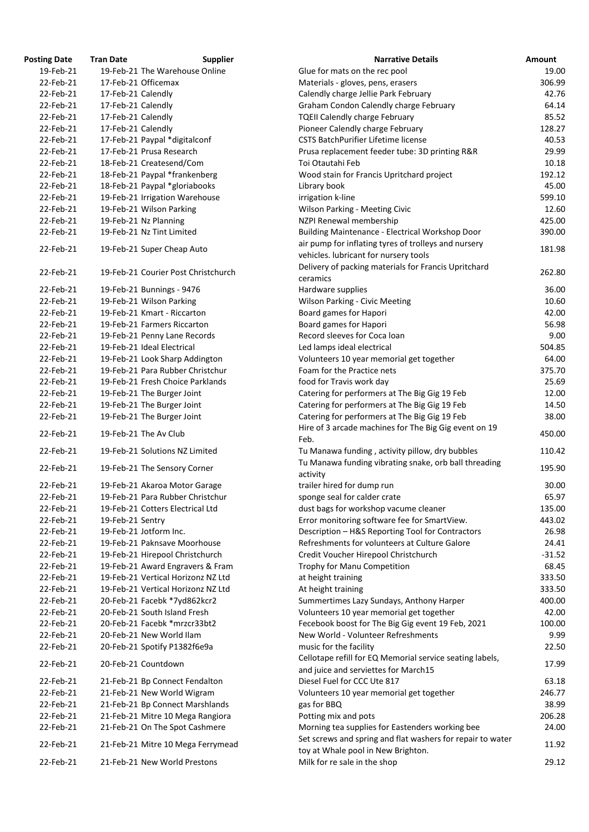| <b>Posting Date</b>    | <b>Tran Date</b>   | <b>Supplier</b>                                                | <b>Narrative Details</b>                                                                              |
|------------------------|--------------------|----------------------------------------------------------------|-------------------------------------------------------------------------------------------------------|
| 19-Feb-21              |                    | 19-Feb-21 The Warehouse Online                                 | Glue for mats on the rec pool                                                                         |
| 22-Feb-21              |                    | 17-Feb-21 Officemax                                            | Materials - gloves, pens, erasers                                                                     |
| 22-Feb-21              | 17-Feb-21 Calendly |                                                                | Calendly charge Jellie Park February                                                                  |
| 22-Feb-21              | 17-Feb-21 Calendly |                                                                | Graham Condon Calendly charge February                                                                |
| 22-Feb-21              | 17-Feb-21 Calendly |                                                                | <b>TQEII Calendly charge February</b>                                                                 |
| 22-Feb-21              | 17-Feb-21 Calendly |                                                                | Pioneer Calendly charge February                                                                      |
| 22-Feb-21              |                    | 17-Feb-21 Paypal *digitalconf                                  | <b>CSTS BatchPurifier Lifetime license</b>                                                            |
| 22-Feb-21              |                    | 17-Feb-21 Prusa Research                                       | Prusa replacement feeder tube: 3D printing R&R                                                        |
| 22-Feb-21              |                    | 18-Feb-21 Createsend/Com                                       | Toi Otautahi Feb                                                                                      |
| 22-Feb-21              |                    | 18-Feb-21 Paypal *frankenberg                                  | Wood stain for Francis Upritchard project                                                             |
| 22-Feb-21              |                    | 18-Feb-21 Paypal *gloriabooks                                  | Library book                                                                                          |
| 22-Feb-21              |                    | 19-Feb-21 Irrigation Warehouse                                 | irrigation k-line                                                                                     |
| 22-Feb-21              |                    | 19-Feb-21 Wilson Parking                                       | <b>Wilson Parking - Meeting Civic</b>                                                                 |
| 22-Feb-21              |                    | 19-Feb-21 Nz Planning                                          | NZPI Renewal membership                                                                               |
| 22-Feb-21              |                    | 19-Feb-21 Nz Tint Limited                                      | Building Maintenance - Electrical Workshop Door                                                       |
|                        |                    |                                                                | air pump for inflating tyres of trolleys and nursery                                                  |
| 22-Feb-21              |                    | 19-Feb-21 Super Cheap Auto                                     | vehicles. lubricant for nursery tools                                                                 |
| 22-Feb-21              |                    | 19-Feb-21 Courier Post Christchurch                            | Delivery of packing materials for Francis Upritchard<br>ceramics                                      |
| 22-Feb-21              |                    | 19-Feb-21 Bunnings - 9476                                      | Hardware supplies                                                                                     |
| 22-Feb-21              |                    | 19-Feb-21 Wilson Parking                                       | <b>Wilson Parking - Civic Meeting</b>                                                                 |
| 22-Feb-21              |                    | 19-Feb-21 Kmart - Riccarton                                    | <b>Board games for Hapori</b>                                                                         |
| 22-Feb-21              |                    | 19-Feb-21 Farmers Riccarton                                    | Board games for Hapori                                                                                |
| 22-Feb-21              |                    | 19-Feb-21 Penny Lane Records                                   | Record sleeves for Coca loan                                                                          |
| 22-Feb-21              |                    | 19-Feb-21 Ideal Electrical                                     | Led lamps ideal electrical                                                                            |
| 22-Feb-21              |                    | 19-Feb-21 Look Sharp Addington                                 | Volunteers 10 year memorial get together                                                              |
| 22-Feb-21              |                    | 19-Feb-21 Para Rubber Christchur                               | Foam for the Practice nets                                                                            |
| 22-Feb-21              |                    | 19-Feb-21 Fresh Choice Parklands                               | food for Travis work day                                                                              |
| 22-Feb-21              |                    | 19-Feb-21 The Burger Joint                                     | Catering for performers at The Big Gig 19 Feb                                                         |
| 22-Feb-21              |                    | 19-Feb-21 The Burger Joint                                     | Catering for performers at The Big Gig 19 Feb                                                         |
| 22-Feb-21              |                    | 19-Feb-21 The Burger Joint                                     | Catering for performers at The Big Gig 19 Feb<br>Hire of 3 arcade machines for The Big Gig event on 2 |
| 22-Feb-21              |                    | 19-Feb-21 The Av Club                                          | Feb.                                                                                                  |
| 22-Feb-21<br>22-Feb-21 |                    | 19-Feb-21 Solutions NZ Limited<br>19-Feb-21 The Sensory Corner | Tu Manawa funding, activity pillow, dry bubbles<br>Tu Manawa funding vibrating snake, orb ball thread |
|                        |                    |                                                                | activity                                                                                              |
| 22-Feb-21              |                    | 19-Feb-21 Akaroa Motor Garage                                  | trailer hired for dump run                                                                            |
| 22-Feb-21              |                    | 19-Feb-21 Para Rubber Christchur                               | sponge seal for calder crate                                                                          |
| 22-Feb-21              |                    | 19-Feb-21 Cotters Electrical Ltd                               | dust bags for workshop vacume cleaner                                                                 |
| 22-Feb-21              | 19-Feb-21 Sentry   |                                                                | Error monitoring software fee for SmartView.                                                          |
| 22-Feb-21              |                    | 19-Feb-21 Jotform Inc.                                         | Description - H&S Reporting Tool for Contractors                                                      |
| 22-Feb-21              |                    | 19-Feb-21 Paknsave Moorhouse                                   | Refreshments for volunteers at Culture Galore                                                         |
| 22-Feb-21              |                    | 19-Feb-21 Hirepool Christchurch                                | Credit Voucher Hirepool Christchurch                                                                  |
| 22-Feb-21              |                    | 19-Feb-21 Award Engravers & Fram                               | Trophy for Manu Competition                                                                           |
| 22-Feb-21              |                    | 19-Feb-21 Vertical Horizonz NZ Ltd                             | at height training                                                                                    |
| 22-Feb-21              |                    | 19-Feb-21 Vertical Horizonz NZ Ltd                             | At height training                                                                                    |
| 22-Feb-21              |                    | 20-Feb-21 Facebk *7yd862kcr2                                   | Summertimes Lazy Sundays, Anthony Harper                                                              |
| 22-Feb-21              |                    | 20-Feb-21 South Island Fresh                                   | Volunteers 10 year memorial get together                                                              |
| 22-Feb-21              |                    | 20-Feb-21 Facebk *mrzcr33bt2                                   | Fecebook boost for The Big Gig event 19 Feb, 2021                                                     |
| 22-Feb-21              |                    | 20-Feb-21 New World Ilam                                       | New World - Volunteer Refreshments                                                                    |
| 22-Feb-21              |                    | 20-Feb-21 Spotify P1382f6e9a                                   | music for the facility                                                                                |
|                        |                    |                                                                | Cellotape refill for EQ Memorial service seating labe                                                 |
| 22-Feb-21              |                    | 20-Feb-21 Countdown                                            | and juice and serviettes for March15                                                                  |
| 22-Feb-21              |                    | 21-Feb-21 Bp Connect Fendalton                                 | Diesel Fuel for CCC Ute 817                                                                           |
| 22-Feb-21              |                    | 21-Feb-21 New World Wigram                                     | Volunteers 10 year memorial get together                                                              |
| 22-Feb-21              |                    | 21-Feb-21 Bp Connect Marshlands                                | gas for BBQ                                                                                           |
| 22-Feb-21              |                    | 21-Feb-21 Mitre 10 Mega Rangiora                               | Potting mix and pots                                                                                  |
| 22-Feb-21              |                    | 21-Feb-21 On The Spot Cashmere                                 | Morning tea supplies for Eastenders working bee                                                       |
| 22-Feb-21              |                    | 21-Feb-21 Mitre 10 Mega Ferrymead                              | Set screws and spring and flat washers for repair to<br>toy at Whale pool in New Brighton.            |
| 22-Feb-21              |                    | 21-Feb-21 New World Prestons                                   | Milk for re sale in the shop                                                                          |

| <b>Posting Date</b> | <b>Tran Date</b>   | <b>Supplier</b>                     | <b>Narrative Details</b>                                                                         | Amount   |
|---------------------|--------------------|-------------------------------------|--------------------------------------------------------------------------------------------------|----------|
| 19-Feb-21           |                    | 19-Feb-21 The Warehouse Online      | Glue for mats on the rec pool                                                                    | 19.00    |
| 22-Feb-21           |                    | 17-Feb-21 Officemax                 | Materials - gloves, pens, erasers                                                                | 306.99   |
| 22-Feb-21           | 17-Feb-21 Calendly |                                     | Calendly charge Jellie Park February                                                             | 42.76    |
| 22-Feb-21           | 17-Feb-21 Calendly |                                     | Graham Condon Calendly charge February                                                           | 64.14    |
| 22-Feb-21           | 17-Feb-21 Calendly |                                     | <b>TQEII Calendly charge February</b>                                                            | 85.52    |
| 22-Feb-21           | 17-Feb-21 Calendly |                                     | Pioneer Calendly charge February                                                                 | 128.27   |
| 22-Feb-21           |                    | 17-Feb-21 Paypal *digitalconf       | <b>CSTS BatchPurifier Lifetime license</b>                                                       | 40.53    |
| 22-Feb-21           |                    | 17-Feb-21 Prusa Research            | Prusa replacement feeder tube: 3D printing R&R                                                   | 29.99    |
| 22-Feb-21           |                    | 18-Feb-21 Createsend/Com            | Toi Otautahi Feb                                                                                 | 10.18    |
| 22-Feb-21           |                    | 18-Feb-21 Paypal *frankenberg       | Wood stain for Francis Upritchard project                                                        | 192.12   |
| 22-Feb-21           |                    | 18-Feb-21 Paypal *gloriabooks       | Library book                                                                                     | 45.00    |
| 22-Feb-21           |                    | 19-Feb-21 Irrigation Warehouse      | irrigation k-line                                                                                | 599.10   |
| 22-Feb-21           |                    | 19-Feb-21 Wilson Parking            | <b>Wilson Parking - Meeting Civic</b>                                                            | 12.60    |
| 22-Feb-21           |                    | 19-Feb-21 Nz Planning               | NZPI Renewal membership                                                                          | 425.00   |
| 22-Feb-21           |                    | 19-Feb-21 Nz Tint Limited           | Building Maintenance - Electrical Workshop Door                                                  | 390.00   |
|                     |                    |                                     |                                                                                                  |          |
| 22-Feb-21           |                    | 19-Feb-21 Super Cheap Auto          | air pump for inflating tyres of trolleys and nursery<br>vehicles. lubricant for nursery tools    | 181.98   |
| 22-Feb-21           |                    | 19-Feb-21 Courier Post Christchurch | Delivery of packing materials for Francis Upritchard<br>ceramics                                 | 262.80   |
| 22-Feb-21           |                    | 19-Feb-21 Bunnings - 9476           | Hardware supplies                                                                                | 36.00    |
| 22-Feb-21           |                    | 19-Feb-21 Wilson Parking            | <b>Wilson Parking - Civic Meeting</b>                                                            | 10.60    |
| 22-Feb-21           |                    | 19-Feb-21 Kmart - Riccarton         | Board games for Hapori                                                                           | 42.00    |
| 22-Feb-21           |                    | 19-Feb-21 Farmers Riccarton         | Board games for Hapori                                                                           | 56.98    |
| 22-Feb-21           |                    | 19-Feb-21 Penny Lane Records        | Record sleeves for Coca loan                                                                     | 9.00     |
| 22-Feb-21           |                    | 19-Feb-21 Ideal Electrical          | Led lamps ideal electrical                                                                       | 504.85   |
| 22-Feb-21           |                    | 19-Feb-21 Look Sharp Addington      | Volunteers 10 year memorial get together                                                         | 64.00    |
| 22-Feb-21           |                    | 19-Feb-21 Para Rubber Christchur    | Foam for the Practice nets                                                                       | 375.70   |
| 22-Feb-21           |                    | 19-Feb-21 Fresh Choice Parklands    | food for Travis work day                                                                         | 25.69    |
| 22-Feb-21           |                    | 19-Feb-21 The Burger Joint          | Catering for performers at The Big Gig 19 Feb                                                    | 12.00    |
| 22-Feb-21           |                    | 19-Feb-21 The Burger Joint          | Catering for performers at The Big Gig 19 Feb                                                    | 14.50    |
| 22-Feb-21           |                    | 19-Feb-21 The Burger Joint          | Catering for performers at The Big Gig 19 Feb                                                    | 38.00    |
| 22-Feb-21           |                    | 19-Feb-21 The Av Club               | Hire of 3 arcade machines for The Big Gig event on 19                                            | 450.00   |
|                     |                    |                                     | Feb.                                                                                             |          |
| 22-Feb-21           |                    | 19-Feb-21 Solutions NZ Limited      | Tu Manawa funding, activity pillow, dry bubbles                                                  | 110.42   |
| 22-Feb-21           |                    | 19-Feb-21 The Sensory Corner        | Tu Manawa funding vibrating snake, orb ball threading<br>activity                                | 195.90   |
| 22-Feb-21           |                    | 19-Feb-21 Akaroa Motor Garage       | trailer hired for dump run                                                                       | 30.00    |
| 22-Feb-21           |                    | 19-Feb-21 Para Rubber Christchur    | sponge seal for calder crate                                                                     | 65.97    |
| 22-Feb-21           |                    | 19-Feb-21 Cotters Electrical Ltd    | dust bags for workshop vacume cleaner                                                            | 135.00   |
| 22-Feb-21           | 19-Feb-21 Sentry   |                                     | Error monitoring software fee for SmartView.                                                     | 443.02   |
| 22-Feb-21           |                    | 19-Feb-21 Jotform Inc.              | Description - H&S Reporting Tool for Contractors                                                 | 26.98    |
| 22-Feb-21           |                    | 19-Feb-21 Paknsave Moorhouse        | Refreshments for volunteers at Culture Galore                                                    | 24.41    |
| 22-Feb-21           |                    | 19-Feb-21 Hirepool Christchurch     | Credit Voucher Hirepool Christchurch                                                             | $-31.52$ |
| 22-Feb-21           |                    | 19-Feb-21 Award Engravers & Fram    | Trophy for Manu Competition                                                                      | 68.45    |
| 22-Feb-21           |                    | 19-Feb-21 Vertical Horizonz NZ Ltd  | at height training                                                                               | 333.50   |
| 22-Feb-21           |                    | 19-Feb-21 Vertical Horizonz NZ Ltd  | At height training                                                                               | 333.50   |
| 22-Feb-21           |                    |                                     |                                                                                                  |          |
|                     |                    | 20-Feb-21 Facebk *7yd862kcr2        | Summertimes Lazy Sundays, Anthony Harper                                                         | 400.00   |
| 22-Feb-21           |                    | 20-Feb-21 South Island Fresh        | Volunteers 10 year memorial get together                                                         | 42.00    |
| 22-Feb-21           |                    | 20-Feb-21 Facebk *mrzcr33bt2        | Fecebook boost for The Big Gig event 19 Feb, 2021                                                | 100.00   |
| 22-Feb-21           |                    | 20-Feb-21 New World Ilam            | New World - Volunteer Refreshments                                                               | 9.99     |
| 22-Feb-21           |                    | 20-Feb-21 Spotify P1382f6e9a        | music for the facility                                                                           | 22.50    |
| 22-Feb-21           |                    | 20-Feb-21 Countdown                 | Cellotape refill for EQ Memorial service seating labels,<br>and juice and serviettes for March15 | 17.99    |
| 22-Feb-21           |                    | 21-Feb-21 Bp Connect Fendalton      | Diesel Fuel for CCC Ute 817                                                                      | 63.18    |
| 22-Feb-21           |                    | 21-Feb-21 New World Wigram          | Volunteers 10 year memorial get together                                                         | 246.77   |
| 22-Feb-21           |                    | 21-Feb-21 Bp Connect Marshlands     | gas for BBQ                                                                                      | 38.99    |
| 22-Feb-21           |                    | 21-Feb-21 Mitre 10 Mega Rangiora    | Potting mix and pots                                                                             | 206.28   |
| 22-Feb-21           |                    | 21-Feb-21 On The Spot Cashmere      | Morning tea supplies for Eastenders working bee                                                  | 24.00    |
| 22-Feb-21           |                    | 21-Feb-21 Mitre 10 Mega Ferrymead   | Set screws and spring and flat washers for repair to water                                       | 11.92    |
| 22-Feb-21           |                    | 21-Feb-21 New World Prestons        | toy at Whale pool in New Brighton.<br>Milk for re sale in the shop                               | 29.12    |
|                     |                    |                                     |                                                                                                  |          |